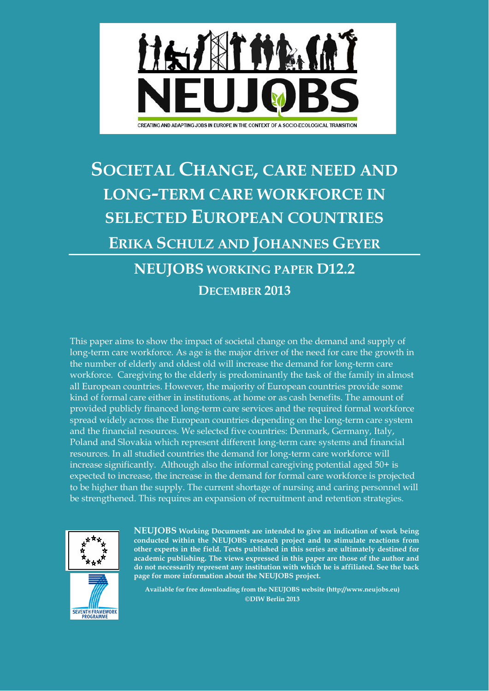

# **SOCIETAL CHANGE, CARE NEED AND LONG-TERM CARE WORKFORCE IN SELECTED EUROPEAN COUNTRIES ERIKA SCHULZ AND JOHANNES GEYER NEUJOBS WORKING PAPER D12.2**

# **DECEMBER 2013**

This paper aims to show the impact of societal change on the demand and supply of long-term care workforce. As age is the major driver of the need for care the growth in the number of elderly and oldest old will increase the demand for long-term care workforce. Caregiving to the elderly is predominantly the task of the family in almost all European countries. However, the majority of European countries provide some kind of formal care either in institutions, at home or as cash benefits. The amount of provided publicly financed long-term care services and the required formal workforce spread widely across the European countries depending on the long-term care system and the financial resources. We selected five countries: Denmark, Germany, Italy, Poland and Slovakia which represent different long-term care systems and financial resources. In all studied countries the demand for long-term care workforce will increase significantly. Although also the informal caregiving potential aged 50+ is expected to increase, the increase in the demand for formal care workforce is projected to be higher than the supply. The current shortage of nursing and caring personnel will be strengthened. This requires an expansion of recruitment and retention strategies.





**NEUJOBS [Working Documents](http://shop.ceps.be/BooksList.php?category_id=5&) are intended to give an indication of work being conducted within the NEUJOBS research project and to stimulate reactions from other experts in the field. Texts published in this series are ultimately destined for academic publishing. The views expressed in this paper are those of the author and do not necessarily represent any institution with which he is affiliated. See the back page for more information about the NEUJOBS project.**

**Available for free downloading from the NEUJOBS website (http://www.neujobs.eu) ©DIW Berlin 2013**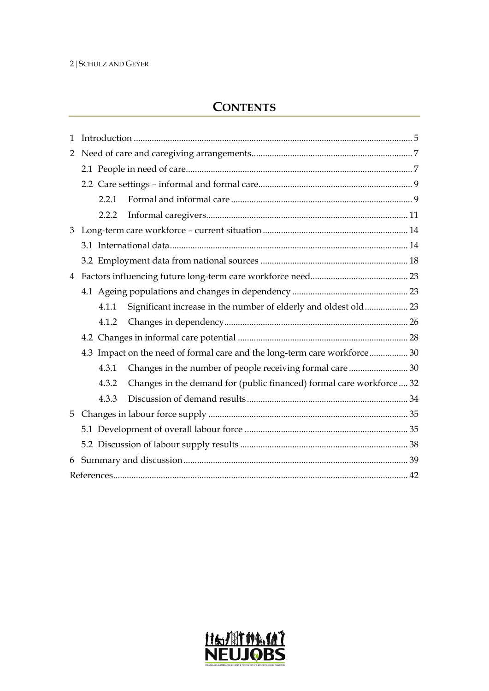#### 2 | SCHULZ AND GEYER

## **CONTENTS**

| $\mathbf{1}$   |                                                                               |
|----------------|-------------------------------------------------------------------------------|
| $\overline{2}$ |                                                                               |
|                |                                                                               |
|                |                                                                               |
|                | 2.2.1                                                                         |
|                | 2.2.2                                                                         |
| 3              |                                                                               |
|                |                                                                               |
|                |                                                                               |
| $\overline{4}$ |                                                                               |
|                |                                                                               |
|                | Significant increase in the number of elderly and oldest old 23<br>4.1.1      |
|                | 4.1.2                                                                         |
|                |                                                                               |
|                | 4.3 Impact on the need of formal care and the long-term care workforce 30     |
|                | Changes in the number of people receiving formal care  30<br>4.3.1            |
|                | Changes in the demand for (public financed) formal care workforce 32<br>4.3.2 |
|                | 4.3.3                                                                         |
| 5              |                                                                               |
|                |                                                                               |
|                |                                                                               |
| 6              |                                                                               |
|                |                                                                               |

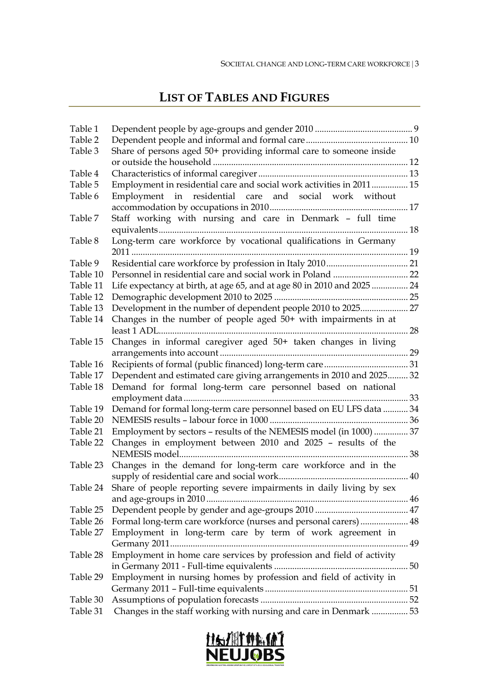## **LIST OF TABLES AND FIGURES**

| Table 1  |                                                                        |    |
|----------|------------------------------------------------------------------------|----|
| Table 2  |                                                                        |    |
| Table 3  | Share of persons aged 50+ providing informal care to someone inside    |    |
|          |                                                                        |    |
| Table 4  |                                                                        |    |
| Table 5  | Employment in residential care and social work activities in 2011 15   |    |
| Table 6  | Employment in residential care and social work without                 |    |
| Table 7  | Staff working with nursing and care in Denmark - full time             |    |
| Table 8  | Long-term care workforce by vocational qualifications in Germany       |    |
| Table 9  |                                                                        |    |
| Table 10 |                                                                        |    |
| Table 11 | Life expectancy at birth, at age 65, and at age 80 in 2010 and 2025 24 |    |
| Table 12 |                                                                        |    |
| Table 13 | Development in the number of dependent people 2010 to 2025 27          |    |
| Table 14 | Changes in the number of people aged $50+$ with impairments in at      |    |
| Table 15 | Changes in informal caregiver aged 50+ taken changes in living         |    |
| Table 16 |                                                                        |    |
| Table 17 | Dependent and estimated care giving arrangements in 2010 and 2025 32   |    |
| Table 18 | Demand for formal long-term care personnel based on national           |    |
|          |                                                                        |    |
| Table 19 | Demand for formal long-term care personnel based on EU LFS data  34    |    |
| Table 20 |                                                                        |    |
| Table 21 | Employment by sectors - results of the NEMESIS model (in 1000)  37     |    |
| Table 22 | Changes in employment between 2010 and 2025 - results of the           | 38 |
| Table 23 | Changes in the demand for long-term care workforce and in the          |    |
| Table 24 | Share of people reporting severe impairments in daily living by sex    |    |
| Table 25 |                                                                        |    |
| Table 26 | Formal long-term care workforce (nurses and personal carers) 48        |    |
| Table 27 | Employment in long-term care by term of work agreement in              |    |
|          |                                                                        |    |
| Table 28 | Employment in home care services by profession and field of activity   |    |
|          |                                                                        |    |
| Table 29 | Employment in nursing homes by profession and field of activity in     |    |
| Table 30 |                                                                        |    |
| Table 31 | Changes in the staff working with nursing and care in Denmark  53      |    |
|          |                                                                        |    |

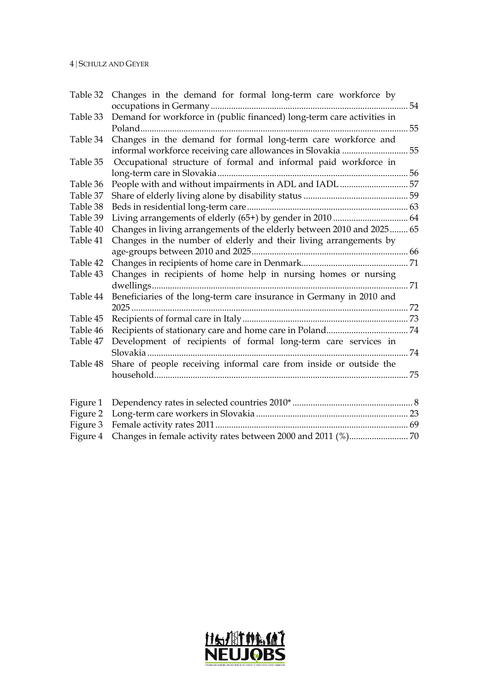| Table 32 | Changes in the demand for formal long-term care workforce by           |    |
|----------|------------------------------------------------------------------------|----|
|          |                                                                        | 54 |
| Table 33 | Demand for workforce in (public financed) long-term care activities in |    |
|          |                                                                        | 55 |
| Table 34 | Changes in the demand for formal long-term care workforce and          |    |
|          |                                                                        | 55 |
| Table 35 | Occupational structure of formal and informal paid workforce in        |    |
|          |                                                                        |    |
| Table 36 | People with and without impairments in ADL and IADL 57                 |    |
| Table 37 |                                                                        |    |
| Table 38 |                                                                        |    |
| Table 39 |                                                                        |    |
| Table 40 | Changes in living arrangements of the elderly between 2010 and 2025 65 |    |
| Table 41 | Changes in the number of elderly and their living arrangements by      |    |
|          |                                                                        |    |
| Table 42 |                                                                        |    |
| Table 43 | Changes in recipients of home help in nursing homes or nursing         |    |
|          |                                                                        |    |
| Table 44 | Beneficiaries of the long-term care insurance in Germany in 2010 and   |    |
|          |                                                                        |    |
| Table 45 |                                                                        |    |
| Table 46 |                                                                        |    |
| Table 47 | Development of recipients of formal long-term care services in         |    |
|          |                                                                        |    |
| Table 48 | Share of people receiving informal care from inside or outside the     |    |
|          |                                                                        |    |
|          |                                                                        |    |
|          |                                                                        |    |
| Figure 1 |                                                                        |    |
| Figure 2 |                                                                        |    |
| Figure 3 |                                                                        |    |
| Figure 4 |                                                                        |    |

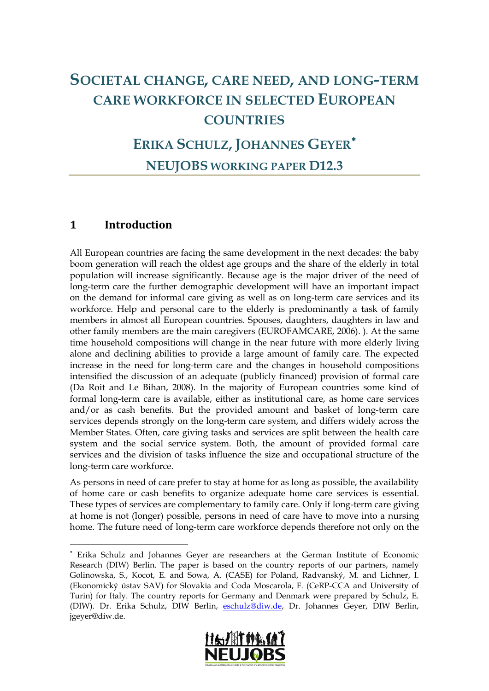# **SOCIETAL CHANGE, CARE NEED, AND LONG-TERM CARE WORKFORCE IN SELECTED EUROPEAN COUNTRIES**

## **ERIKA SCHULZ, JOHANNES GEYER**[∗](#page-4-0) **NEUJOBS WORKING PAPER D12.3**

## **1 Introduction**

-

All European countries are facing the same development in the next decades: the baby boom generation will reach the oldest age groups and the share of the elderly in total population will increase significantly. Because age is the major driver of the need of long-term care the further demographic development will have an important impact on the demand for informal care giving as well as on long-term care services and its workforce. Help and personal care to the elderly is predominantly a task of family members in almost all European countries. Spouses, daughters, daughters in law and other family members are the main caregivers (EUROFAMCARE, 2006). ). At the same time household compositions will change in the near future with more elderly living alone and declining abilities to provide a large amount of family care. The expected increase in the need for long-term care and the changes in household compositions intensified the discussion of an adequate (publicly financed) provision of formal care (Da Roit and Le Bihan, 2008). In the majority of European countries some kind of formal long-term care is available, either as institutional care, as home care services and/or as cash benefits. But the provided amount and basket of long-term care services depends strongly on the long-term care system, and differs widely across the Member States. Often, care giving tasks and services are split between the health care system and the social service system. Both, the amount of provided formal care services and the division of tasks influence the size and occupational structure of the long-term care workforce.

As persons in need of care prefer to stay at home for as long as possible, the availability of home care or cash benefits to organize adequate home care services is essential. These types of services are complementary to family care. Only if long-term care giving at home is not (longer) possible, persons in need of care have to move into a nursing home. The future need of long-term care workforce depends therefore not only on the

<span id="page-4-0"></span><sup>∗</sup> Erika Schulz and Johannes Geyer are researchers at the German Institute of Economic Research (DIW) Berlin. The paper is based on the country reports of our partners, namely Golinowska, S., Kocot, E. and Sowa, A. (CASE) for Poland, Radvanský, M. and Lichner, I. (Ekonomický ústav SAV) for Slovakia and Coda Moscarola, F. (CeRP-CCA and University of Turin) for Italy. The country reports for Germany and Denmark were prepared by Schulz, E. (DIW). Dr. Erika Schulz, DIW Berlin, [eschulz@diw.de,](mailto:eschulz@diw.de) Dr. Johannes Geyer, DIW Berlin, jgeyer@diw.de.

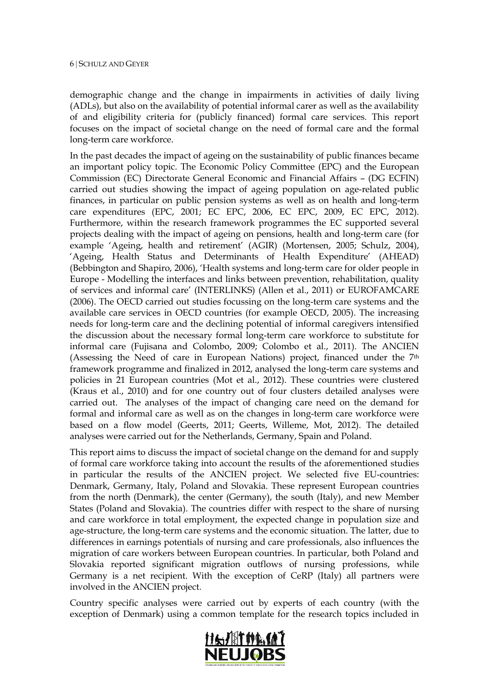demographic change and the change in impairments in activities of daily living (ADLs), but also on the availability of potential informal carer as well as the availability of and eligibility criteria for (publicly financed) formal care services. This report focuses on the impact of societal change on the need of formal care and the formal long-term care workforce.

In the past decades the impact of ageing on the sustainability of public finances became an important policy topic. The Economic Policy Committee (EPC) and the European Commission (EC) Directorate General Economic and Financial Affairs – (DG ECFIN) carried out studies showing the impact of ageing population on age-related public finances, in particular on public pension systems as well as on health and long-term care expenditures (EPC, 2001; EC EPC, 2006, EC EPC, 2009, EC EPC, 2012). Furthermore, within the research framework programmes the EC supported several projects dealing with the impact of ageing on pensions, health and long-term care (for example 'Ageing, health and retirement' (AGIR) (Mortensen, 2005; Schulz, 2004), 'Ageing, Health Status and Determinants of Health Expenditure' (AHEAD) (Bebbington and Shapiro, 2006), 'Health systems and long-term care for older people in Europe - Modelling the interfaces and links between prevention, rehabilitation, quality of services and informal care' (INTERLINKS) (Allen et al., 2011) or EUROFAMCARE (2006). The OECD carried out studies focussing on the long-term care systems and the available care services in OECD countries (for example OECD, 2005). The increasing needs for long-term care and the declining potential of informal caregivers intensified the discussion about the necessary formal long-term care workforce to substitute for informal care (Fujisana and Colombo, 2009; Colombo et al., 2011). The ANCIEN (Assessing the Need of care in European Nations) project, financed under the 7th framework programme and finalized in 2012, analysed the long-term care systems and policies in 21 European countries (Mot et al., 2012). These countries were clustered (Kraus et al., 2010) and for one country out of four clusters detailed analyses were carried out. The analyses of the impact of changing care need on the demand for formal and informal care as well as on the changes in long-term care workforce were based on a flow model (Geerts, 2011; Geerts, Willeme, Mot, 2012). The detailed analyses were carried out for the Netherlands, Germany, Spain and Poland.

This report aims to discuss the impact of societal change on the demand for and supply of formal care workforce taking into account the results of the aforementioned studies in particular the results of the ANCIEN project. We selected five EU-countries: Denmark, Germany, Italy, Poland and Slovakia. These represent European countries from the north (Denmark), the center (Germany), the south (Italy), and new Member States (Poland and Slovakia). The countries differ with respect to the share of nursing and care workforce in total employment, the expected change in population size and age-structure, the long-term care systems and the economic situation. The latter, due to differences in earnings potentials of nursing and care professionals, also influences the migration of care workers between European countries. In particular, both Poland and Slovakia reported significant migration outflows of nursing professions, while Germany is a net recipient. With the exception of CeRP (Italy) all partners were involved in the ANCIEN project.

Country specific analyses were carried out by experts of each country (with the exception of Denmark) using a common template for the research topics included in

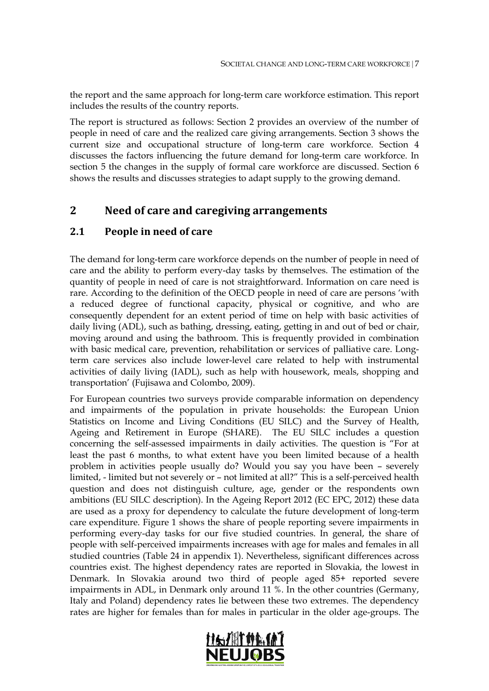the report and the same approach for long-term care workforce estimation. This report includes the results of the country reports.

The report is structured as follows: Section 2 provides an overview of the number of people in need of care and the realized care giving arrangements. Section 3 shows the current size and occupational structure of long-term care workforce. Section 4 discusses the factors influencing the future demand for long-term care workforce. In section 5 the changes in the supply of formal care workforce are discussed. Section 6 shows the results and discusses strategies to adapt supply to the growing demand.

## **2 Need of care and caregiving arrangements**

## **2.1 People in need of care**

The demand for long-term care workforce depends on the number of people in need of care and the ability to perform every-day tasks by themselves. The estimation of the quantity of people in need of care is not straightforward. Information on care need is rare. According to the definition of the OECD people in need of care are persons 'with a reduced degree of functional capacity, physical or cognitive, and who are consequently dependent for an extent period of time on help with basic activities of daily living (ADL), such as bathing, dressing, eating, getting in and out of bed or chair, moving around and using the bathroom. This is frequently provided in combination with basic medical care, prevention, rehabilitation or services of palliative care. Longterm care services also include lower-level care related to help with instrumental activities of daily living (IADL), such as help with housework, meals, shopping and transportation' (Fujisawa and Colombo, 2009).

For European countries two surveys provide comparable information on dependency and impairments of the population in private households: the European Union Statistics on Income and Living Conditions (EU SILC) and the Survey of Health, Ageing and Retirement in Europe (SHARE). The EU SILC includes a question concerning the self-assessed impairments in daily activities. The question is "For at least the past 6 months, to what extent have you been limited because of a health problem in activities people usually do? Would you say you have been – severely limited, - limited but not severely or – not limited at all?" This is a self-perceived health question and does not distinguish culture, age, gender or the respondents own ambitions (EU SILC description). In the Ageing Report 2012 (EC EPC, 2012) these data are used as a proxy for dependency to calculate the future development of long-term care expenditure. Figure 1 shows the share of people reporting severe impairments in performing every-day tasks for our five studied countries. In general, the share of people with self-perceived impairments increases with age for males and females in all studied countries (Table 24 in appendix 1). Nevertheless, significant differences across countries exist. The highest dependency rates are reported in Slovakia, the lowest in Denmark. In Slovakia around two third of people aged 85+ reported severe impairments in ADL, in Denmark only around 11 %. In the other countries (Germany, Italy and Poland) dependency rates lie between these two extremes. The dependency rates are higher for females than for males in particular in the older age-groups. The

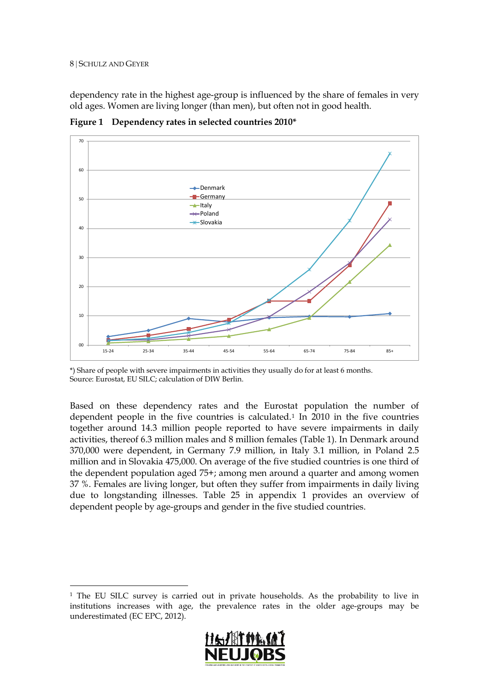#### 8 | SCHULZ AND GEYER

dependency rate in the highest age-group is influenced by the share of females in very old ages. Women are living longer (than men), but often not in good health.



<span id="page-7-0"></span>**Figure 1 Dependency rates in selected countries 2010\***

Based on these dependency rates and the Eurostat population the number of dependent people in the five countries is calculated.[1](#page-7-1) In 2010 in the five countries together around 14.3 million people reported to have severe impairments in daily activities, thereof 6.3 million males and 8 million females (Table 1). In Denmark around 370,000 were dependent, in Germany 7.9 million, in Italy 3.1 million, in Poland 2.5 million and in Slovakia 475,000. On average of the five studied countries is one third of the dependent population aged 75+; among men around a quarter and among women 37 %. Females are living longer, but often they suffer from impairments in daily living due to longstanding illnesses. Table 25 in appendix 1 provides an overview of dependent people by age-groups and gender in the five studied countries.

<span id="page-7-1"></span><sup>&</sup>lt;sup>1</sup> The EU SILC survey is carried out in private households. As the probability to live in institutions increases with age, the prevalence rates in the older age-groups may be underestimated (EC EPC, 2012).



<sup>\*)</sup> Share of people with severe impairments in activities they usually do for at least 6 months. Source: Eurostat, EU SILC; calculation of DIW Berlin.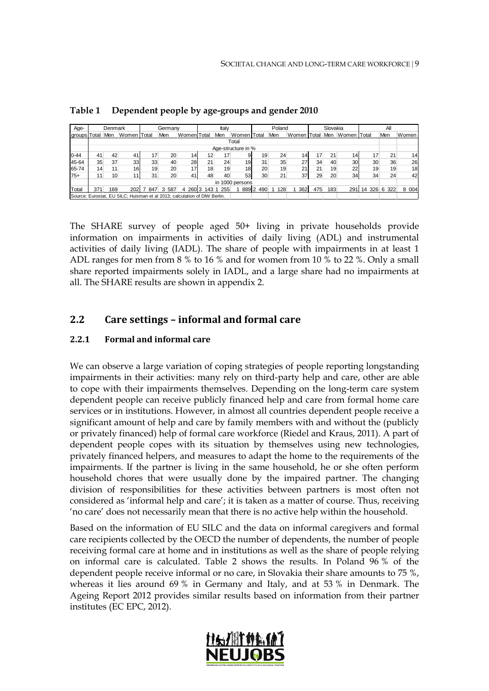| Age-         |                 | Denmark         |                                                                           |     | Germany |                 |             | Italy |                    |     | Poland |                 |     | Slovakia |                 |              | All |         |
|--------------|-----------------|-----------------|---------------------------------------------------------------------------|-----|---------|-----------------|-------------|-------|--------------------|-----|--------|-----------------|-----|----------|-----------------|--------------|-----|---------|
| groups Total |                 | Men             | Women Total                                                               |     | Men     | WomenITotal     |             | Men   | Women Total        |     | Men    | Women Total Men |     |          | Women Total     |              | Men | Women   |
|              |                 |                 |                                                                           |     |         |                 |             |       | Total              |     |        |                 |     |          |                 |              |     |         |
|              |                 |                 |                                                                           |     |         |                 |             |       | Age-structure in % |     |        |                 |     |          |                 |              |     |         |
| $0 - 44$     | 41              | 42              | 41                                                                        | 17  | 20      | 14              | 12          | 17    | 9                  | 19  | 24     | 14              | 17  | 21       | 14 <sub>1</sub> | 17           | 21  | 14      |
| 45-64        | 35              | 37              | 33                                                                        | 33  | 40      | 28              | 21          | 24    | 19                 | 31  | 35     | 27              | 34  | 40       | 30              | 30           | 36  | 26      |
| 65-74        | 14              | 11 <sub>1</sub> | 16                                                                        | 19  | 20      | 17 <sub>l</sub> | 18          | 19    | 18 <sup>1</sup>    | 20  | 19     | 21              | 21  | 19       | 22              | 19           | 19  | 18      |
| $75+$        | 11 <sub>1</sub> | 10              | 11 <sub>1</sub>                                                           | 31  | 20      | 41              | 48          | 40    | 53                 | 30  | 21     | 37              | 29  | 20       | 34              | 34           | 24  | 42      |
|              |                 |                 |                                                                           |     |         |                 |             |       | in 1000 persons    |     |        |                 |     |          |                 |              |     |         |
| Total        | 371             | 169             | 202                                                                       | 847 | 3 587   | 4               | 260 3 143 1 | 255   | 889 2              | 490 | 128    | 362             | 475 | 183      | 291             | 14 326 6 322 |     | 8 0 0 4 |
|              |                 |                 | Source: Eurostat, EU SILC: Huisman et al 2013; calculation of DIW Berlin. |     |         |                 |             |       |                    |     |        |                 |     |          |                 |              |     |         |

<span id="page-8-0"></span>**Table 1 Dependent people by age-groups and gender 2010**

The SHARE survey of people aged 50+ living in private households provide information on impairments in activities of daily living (ADL) and instrumental activities of daily living (IADL). The share of people with impairments in at least 1 ADL ranges for men from 8 % to 16 % and for women from 10 % to 22 %. Only a small share reported impairments solely in IADL, and a large share had no impairments at all. The SHARE results are shown in appendix 2.

## **2.2 Care settings – informal and formal care**

#### **2.2.1 Formal and informal care**

We can observe a large variation of coping strategies of people reporting longstanding impairments in their activities: many rely on third-party help and care, other are able to cope with their impairments themselves. Depending on the long-term care system dependent people can receive publicly financed help and care from formal home care services or in institutions. However, in almost all countries dependent people receive a significant amount of help and care by family members with and without the (publicly or privately financed) help of formal care workforce (Riedel and Kraus, 2011). A part of dependent people copes with its situation by themselves using new technologies, privately financed helpers, and measures to adapt the home to the requirements of the impairments. If the partner is living in the same household, he or she often perform household chores that were usually done by the impaired partner. The changing division of responsibilities for these activities between partners is most often not considered as 'informal help and care'; it is taken as a matter of course. Thus, receiving 'no care' does not necessarily mean that there is no active help within the household.

Based on the information of EU SILC and the data on informal caregivers and formal care recipients collected by the OECD the number of dependents, the number of people receiving formal care at home and in institutions as well as the share of people relying on informal care is calculated. Table 2 shows the results. In Poland 96 % of the dependent people receive informal or no care, in Slovakia their share amounts to 75 %, whereas it lies around 69 % in Germany and Italy, and at 53 % in Denmark. The Ageing Report 2012 provides similar results based on information from their partner institutes (EC EPC, 2012).

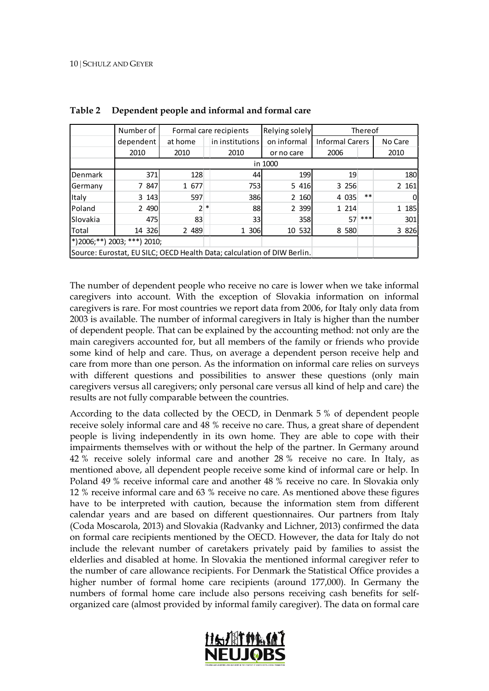|                           | Number of                    |         |                                                                         | Formal care recipients | Relying solely | Thereof                |       |         |  |  |
|---------------------------|------------------------------|---------|-------------------------------------------------------------------------|------------------------|----------------|------------------------|-------|---------|--|--|
|                           | dependent                    | at home |                                                                         | in institutions        | on informal    | <b>Informal Carers</b> |       | No Care |  |  |
|                           | 2010<br>2010                 |         |                                                                         | 2010                   | or no care     | 2006                   |       | 2010    |  |  |
|                           |                              |         |                                                                         |                        | in 1000        |                        |       |         |  |  |
| <b>Denmark</b>            | 371                          | 128     |                                                                         | 44                     | 199            | 19                     |       | 180     |  |  |
| 7 847<br>1 677<br>Germany |                              |         |                                                                         | 753                    | 5 4 1 6        | 3 2 5 6                |       | 2 161   |  |  |
| Italy                     | 3 1 4 3                      | 597     |                                                                         | 386                    | 2 160          | 4 0 35                 | $***$ |         |  |  |
| <b>IPoland</b>            | 2 4 9 0                      | 2 *     |                                                                         | 88                     | 2 3 9 9        | 1 2 1 4                |       | 1 185   |  |  |
| ISlovakia                 | 475                          | 83      |                                                                         | 33 <sup>1</sup>        | 358            | 57                     | $***$ | 301     |  |  |
| <b>Total</b>              | 14 326                       | 2 489   |                                                                         | 1 306                  | 10 532         | 8 5 8 0                |       | 3 8 2 6 |  |  |
|                           | (*)2006;**) 2003; ***) 2010; |         |                                                                         |                        |                |                        |       |         |  |  |
|                           |                              |         | Source: Eurostat, EU SILC; OECD Health Data; calculation of DIW Berlin. |                        |                |                        |       |         |  |  |

<span id="page-9-0"></span>**Table 2 Dependent people and informal and formal care**

The number of dependent people who receive no care is lower when we take informal caregivers into account. With the exception of Slovakia information on informal caregivers is rare. For most countries we report data from 2006, for Italy only data from 2003 is available. The number of informal caregivers in Italy is higher than the number of dependent people. That can be explained by the accounting method: not only are the main caregivers accounted for, but all members of the family or friends who provide some kind of help and care. Thus, on average a dependent person receive help and care from more than one person. As the information on informal care relies on surveys with different questions and possibilities to answer these questions (only main caregivers versus all caregivers; only personal care versus all kind of help and care) the results are not fully comparable between the countries.

According to the data collected by the OECD, in Denmark 5 % of dependent people receive solely informal care and 48 % receive no care. Thus, a great share of dependent people is living independently in its own home. They are able to cope with their impairments themselves with or without the help of the partner. In Germany around 42 % receive solely informal care and another 28 % receive no care. In Italy, as mentioned above, all dependent people receive some kind of informal care or help. In Poland 49 % receive informal care and another 48 % receive no care. In Slovakia only 12 % receive informal care and 63 % receive no care. As mentioned above these figures have to be interpreted with caution, because the information stem from different calendar years and are based on different questionnaires. Our partners from Italy (Coda Moscarola, 2013) and Slovakia (Radvanky and Lichner, 2013) confirmed the data on formal care recipients mentioned by the OECD. However, the data for Italy do not include the relevant number of caretakers privately paid by families to assist the elderlies and disabled at home. In Slovakia the mentioned informal caregiver refer to the number of care allowance recipients. For Denmark the Statistical Office provides a higher number of formal home care recipients (around 177,000). In Germany the numbers of formal home care include also persons receiving cash benefits for selforganized care (almost provided by informal family caregiver). The data on formal care

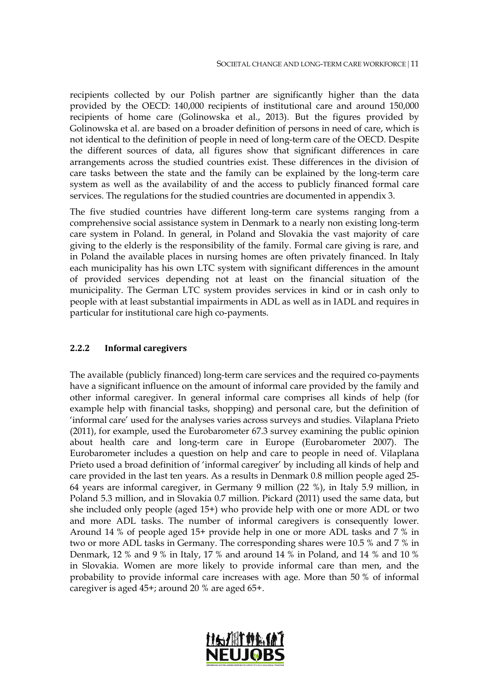recipients collected by our Polish partner are significantly higher than the data provided by the OECD: 140,000 recipients of institutional care and around 150,000 recipients of home care (Golinowska et al., 2013). But the figures provided by Golinowska et al. are based on a broader definition of persons in need of care, which is not identical to the definition of people in need of long-term care of the OECD. Despite the different sources of data, all figures show that significant differences in care arrangements across the studied countries exist. These differences in the division of care tasks between the state and the family can be explained by the long-term care system as well as the availability of and the access to publicly financed formal care services. The regulations for the studied countries are documented in appendix 3.

The five studied countries have different long-term care systems ranging from a comprehensive social assistance system in Denmark to a nearly non existing long-term care system in Poland. In general, in Poland and Slovakia the vast majority of care giving to the elderly is the responsibility of the family. Formal care giving is rare, and in Poland the available places in nursing homes are often privately financed. In Italy each municipality has his own LTC system with significant differences in the amount of provided services depending not at least on the financial situation of the municipality. The German LTC system provides services in kind or in cash only to people with at least substantial impairments in ADL as well as in IADL and requires in particular for institutional care high co-payments.

#### **2.2.2 Informal caregivers**

The available (publicly financed) long-term care services and the required co-payments have a significant influence on the amount of informal care provided by the family and other informal caregiver. In general informal care comprises all kinds of help (for example help with financial tasks, shopping) and personal care, but the definition of 'informal care' used for the analyses varies across surveys and studies. Vilaplana Prieto (2011), for example, used the Eurobarometer 67.3 survey examining the public opinion about health care and long-term care in Europe (Eurobarometer 2007). The Eurobarometer includes a question on help and care to people in need of. Vilaplana Prieto used a broad definition of 'informal caregiver' by including all kinds of help and care provided in the last ten years. As a results in Denmark 0.8 million people aged 25- 64 years are informal caregiver, in Germany 9 million (22 %), in Italy 5.9 million, in Poland 5.3 million, and in Slovakia 0.7 million. Pickard (2011) used the same data, but she included only people (aged 15+) who provide help with one or more ADL or two and more ADL tasks. The number of informal caregivers is consequently lower. Around 14 % of people aged 15+ provide help in one or more ADL tasks and 7 % in two or more ADL tasks in Germany. The corresponding shares were 10.5 % and 7 % in Denmark, 12 % and 9 % in Italy, 17 % and around 14 % in Poland, and 14 % and 10 % in Slovakia. Women are more likely to provide informal care than men, and the probability to provide informal care increases with age. More than 50 % of informal caregiver is aged 45+; around 20 % are aged 65+.

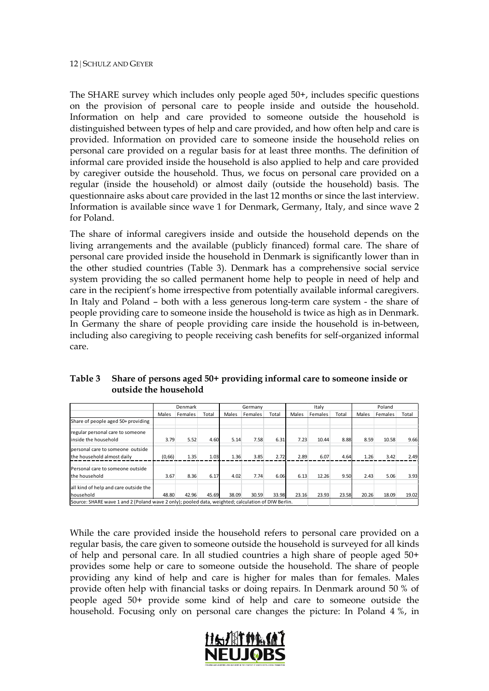The SHARE survey which includes only people aged 50+, includes specific questions on the provision of personal care to people inside and outside the household. Information on help and care provided to someone outside the household is distinguished between types of help and care provided, and how often help and care is provided. Information on provided care to someone inside the household relies on personal care provided on a regular basis for at least three months. The definition of informal care provided inside the household is also applied to help and care provided by caregiver outside the household. Thus, we focus on personal care provided on a regular (inside the household) or almost daily (outside the household) basis. The questionnaire asks about care provided in the last 12 months or since the last interview. Information is available since wave 1 for Denmark, Germany, Italy, and since wave 2 for Poland.

The share of informal caregivers inside and outside the household depends on the living arrangements and the available (publicly financed) formal care. The share of personal care provided inside the household in Denmark is significantly lower than in the other studied countries (Table 3). Denmark has a comprehensive social service system providing the so called permanent home help to people in need of help and care in the recipient's home irrespective from potentially available informal caregivers. In Italy and Poland – both with a less generous long-term care system - the share of people providing care to someone inside the household is twice as high as in Denmark. In Germany the share of people providing care inside the household is in-between, including also caregiving to people receiving cash benefits for self-organized informal care.

|                                                                                                                        |        | Denmark |       |       | Germany |       |       | Italy   |       | Poland |         |       |
|------------------------------------------------------------------------------------------------------------------------|--------|---------|-------|-------|---------|-------|-------|---------|-------|--------|---------|-------|
|                                                                                                                        | Males  | Females | Total | Males | Females | Total | Males | Females | Total | Males  | Females | Total |
| Share of people aged 50+ providing                                                                                     |        |         |       |       |         |       |       |         |       |        |         |       |
| regular personal care to someone<br>inside the household                                                               | 3.79   | 5.52    | 4.60  | 5.14  | 7.58    | 6.31  | 7.23  | 10.44   | 8.88  | 8.59   | 10.58   | 9.66  |
| personal care to someone outside<br>the household almost daily                                                         | (0,66) | 1.35    | 1.03  | 1.36  | 3.85    | 2.72  | 2.89  | 6.07    | 4.64  | 1.26   | 3.42    | 2.49  |
| Personal care to someone outside<br>the household                                                                      | 3.67   | 8.36    | 6.17  | 4.02  | 7.74    | 6.06  | 6.13  | 12.26   | 9.50  | 2.43   | 5.06    | 3.93  |
| all kind of help and care outside the                                                                                  | 48.80  | 42.96   | 45.69 | 38.09 | 30.59   | 33.98 | 23.16 | 23.93   | 23.58 | 20.26  | 18.09   | 19.02 |
| <b>household</b><br>Source: SHARE wave 1 and 2 (Poland wave 2 only); pooled data, weighted; calculation of DIW Berlin. |        |         |       |       |         |       |       |         |       |        |         |       |

<span id="page-11-0"></span>**Table 3 Share of persons aged 50+ providing informal care to someone inside or outside the household**

While the care provided inside the household refers to personal care provided on a regular basis, the care given to someone outside the household is surveyed for all kinds of help and personal care. In all studied countries a high share of people aged 50+ provides some help or care to someone outside the household. The share of people providing any kind of help and care is higher for males than for females. Males provide often help with financial tasks or doing repairs. In Denmark around 50 % of people aged 50+ provide some kind of help and care to someone outside the household. Focusing only on personal care changes the picture: In Poland 4 %, in

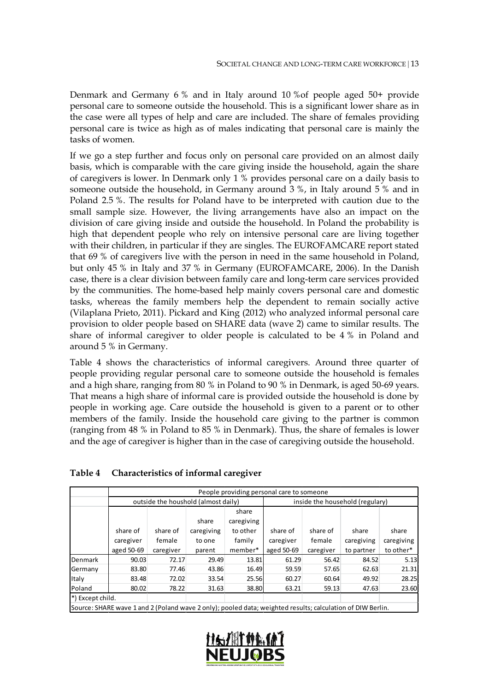Denmark and Germany 6 % and in Italy around 10 %of people aged 50+ provide personal care to someone outside the household. This is a significant lower share as in the case were all types of help and care are included. The share of females providing personal care is twice as high as of males indicating that personal care is mainly the tasks of women.

If we go a step further and focus only on personal care provided on an almost daily basis, which is comparable with the care giving inside the household, again the share of caregivers is lower. In Denmark only 1 % provides personal care on a daily basis to someone outside the household, in Germany around 3 %, in Italy around 5 % and in Poland 2.5 %. The results for Poland have to be interpreted with caution due to the small sample size. However, the living arrangements have also an impact on the division of care giving inside and outside the household. In Poland the probability is high that dependent people who rely on intensive personal care are living together with their children, in particular if they are singles. The EUROFAMCARE report stated that 69 % of caregivers live with the person in need in the same household in Poland, but only 45 % in Italy and 37 % in Germany (EUROFAMCARE, 2006). In the Danish case, there is a clear division between family care and long-term care services provided by the communities. The home-based help mainly covers personal care and domestic tasks, whereas the family members help the dependent to remain socially active (Vilaplana Prieto, 2011). Pickard and King (2012) who analyzed informal personal care provision to older people based on SHARE data (wave 2) came to similar results. The share of informal caregiver to older people is calculated to be 4 % in Poland and around 5 % in Germany.

Table 4 shows the characteristics of informal caregivers. Around three quarter of people providing regular personal care to someone outside the household is females and a high share, ranging from 80 % in Poland to 90 % in Denmark, is aged 50-69 years. That means a high share of informal care is provided outside the household is done by people in working age. Care outside the household is given to a parent or to other members of the family. Inside the household care giving to the partner is common (ranging from 48 % in Poland to 85 % in Denmark). Thus, the share of females is lower and the age of caregiver is higher than in the case of caregiving outside the household.

|                  |                                                                                                            |          |                                     |            | People providing personal care to someone |            |            |           |  |  |  |
|------------------|------------------------------------------------------------------------------------------------------------|----------|-------------------------------------|------------|-------------------------------------------|------------|------------|-----------|--|--|--|
|                  |                                                                                                            |          | outside the houshold (almost daily) |            | inside the household (regulary)           |            |            |           |  |  |  |
|                  |                                                                                                            |          |                                     | share      |                                           |            |            |           |  |  |  |
|                  |                                                                                                            |          | share                               | caregiving |                                           |            |            |           |  |  |  |
|                  | share of                                                                                                   | share of | caregiving                          | to other   | share of                                  | share of   | share      | share     |  |  |  |
|                  | caregiver                                                                                                  | female   | to one                              | caregiver  | female                                    | caregiving | caregiving |           |  |  |  |
|                  | aged 50-69<br>member*<br>caregiver<br>parent                                                               |          |                                     |            |                                           | caregiver  | to partner | to other* |  |  |  |
| <b>Denmark</b>   | 90.03                                                                                                      | 72.17    | 29.49                               | 13.81      | 61.29                                     | 56.42      | 84.52      | 5.13      |  |  |  |
| Germany          | 83.80                                                                                                      | 77.46    | 43.86                               | 16.49      | 59.59                                     | 57.65      | 62.63      | 21.31     |  |  |  |
| <b>Italy</b>     | 83.48                                                                                                      | 72.02    | 33.54                               | 25.56      | 60.27                                     | 60.64      | 49.92      | 28.25     |  |  |  |
| Poland           | 80.02                                                                                                      | 78.22    | 31.63                               | 38.80      | 63.21                                     | 59.13      | 47.63      | 23.60     |  |  |  |
| *) Except child. |                                                                                                            |          |                                     |            |                                           |            |            |           |  |  |  |
|                  | Source: SHARE wave 1 and 2 (Poland wave 2 only); pooled data; weighted results; calculation of DIW Berlin. |          |                                     |            |                                           |            |            |           |  |  |  |

<span id="page-12-0"></span>**Table 4 Characteristics of informal caregiver**

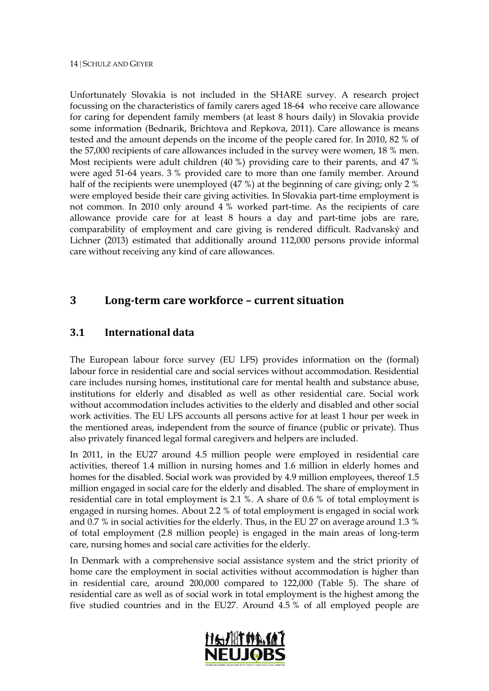Unfortunately Slovakia is not included in the SHARE survey. A research project focussing on the characteristics of family carers aged 18-64 who receive care allowance for caring for dependent family members (at least 8 hours daily) in Slovakia provide some information (Bednarik, Brichtova and Repkova, 2011). Care allowance is means tested and the amount depends on the income of the people cared for. In 2010, 82 % of the 57,000 recipients of care allowances included in the survey were women, 18 % men. Most recipients were adult children (40 %) providing care to their parents, and 47 % were aged 51-64 years. 3 % provided care to more than one family member. Around half of the recipients were unemployed (47 %) at the beginning of care giving; only 2 % were employed beside their care giving activities. In Slovakia part-time employment is not common. In 2010 only around 4 % worked part-time. As the recipients of care allowance provide care for at least 8 hours a day and part-time jobs are rare, comparability of employment and care giving is rendered difficult. Radvanský and Lichner (2013) estimated that additionally around 112,000 persons provide informal care without receiving any kind of care allowances.

## **3 Long-term care workforce – current situation**

## **3.1 International data**

The European labour force survey (EU LFS) provides information on the (formal) labour force in residential care and social services without accommodation. Residential care includes nursing homes, institutional care for mental health and substance abuse, institutions for elderly and disabled as well as other residential care. Social work without accommodation includes activities to the elderly and disabled and other social work activities. The EU LFS accounts all persons active for at least 1 hour per week in the mentioned areas, independent from the source of finance (public or private). Thus also privately financed legal formal caregivers and helpers are included.

In 2011, in the EU27 around 4.5 million people were employed in residential care activities, thereof 1.4 million in nursing homes and 1.6 million in elderly homes and homes for the disabled. Social work was provided by 4.9 million employees, thereof 1.5 million engaged in social care for the elderly and disabled. The share of employment in residential care in total employment is 2.1 %. A share of 0.6 % of total employment is engaged in nursing homes. About 2.2 % of total employment is engaged in social work and 0.7 % in social activities for the elderly. Thus, in the EU 27 on average around 1.3 % of total employment (2.8 million people) is engaged in the main areas of long-term care, nursing homes and social care activities for the elderly.

In Denmark with a comprehensive social assistance system and the strict priority of home care the employment in social activities without accommodation is higher than in residential care, around 200,000 compared to 122,000 (Table 5). The share of residential care as well as of social work in total employment is the highest among the five studied countries and in the EU27. Around 4.5 % of all employed people are

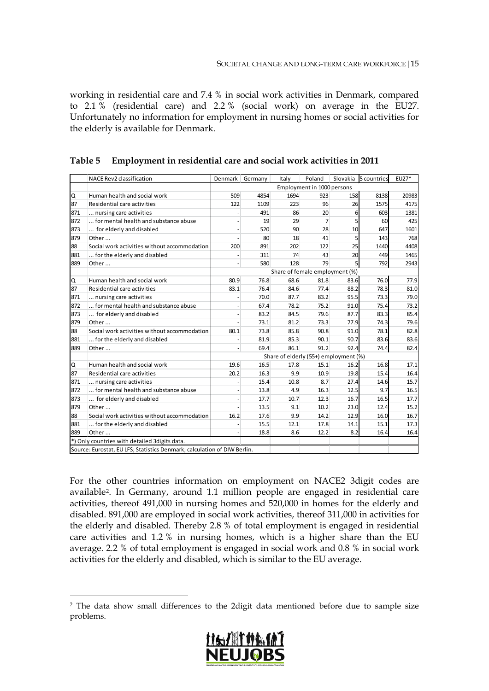working in residential care and 7.4 % in social work activities in Denmark, compared to 2.1 % (residential care) and 2.2 % (social work) on average in the EU27. Unfortunately no information for employment in nursing homes or social activities for the elderly is available for Denmark.

|     | NACE Rev2 classification                                                 | Denmark                  | Germany | Italy                                 | Poland                     | Slovakia        | 5 countries | EU27* |
|-----|--------------------------------------------------------------------------|--------------------------|---------|---------------------------------------|----------------------------|-----------------|-------------|-------|
|     |                                                                          |                          |         |                                       | Employment in 1000 persons |                 |             |       |
| Q   | Human health and social work                                             | 509                      | 4854    | 1694                                  | 923                        | 158             | 8138        | 20983 |
| 87  | Residential care activities                                              | 122                      | 1109    | 223                                   | 96                         | 26              | 1575        | 4175  |
| 871 | nursing care activities                                                  |                          | 491     | 86                                    | 20                         | $6 \mid$        | 603         | 1381  |
| 872 | for mental health and substance abuse                                    |                          | 19      | 29                                    | $\overline{7}$             | $\mathsf{S}$    | 60          | 425   |
| 873 | for elderly and disabled                                                 | ÷,                       | 520     | 90                                    | 28                         | 10 <sup>1</sup> | 647         | 1601  |
| 879 | Other                                                                    |                          | 80      | 18                                    | 41                         | $\mathsf{S}$    | 143         | 768   |
| 88  | Social work activities without accommodation                             | 200                      | 891     | 202                                   | 122                        | 25              | 1440        | 4408  |
| 881 | for the elderly and disabled                                             |                          | 311     | 74                                    | 43                         | 20 <sup>1</sup> | 449         | 1465  |
| 889 | Other                                                                    | ÷,                       | 580     | 128                                   | 79                         | $\mathsf{S}$    | 792         | 2943  |
|     |                                                                          |                          |         | Share of female employment (%)        |                            |                 |             |       |
| Q   | Human health and social work                                             | 80.9                     | 76.8    | 68.6                                  | 81.8                       | 83.6            | 76.0        | 77.9  |
| 87  | Residential care activities                                              | 83.1                     | 76.4    | 84.6                                  | 77.4                       | 88.2            | 78.3        | 81.0  |
| 871 | nursing care activities                                                  |                          | 70.0    | 87.7                                  | 83.2                       | 95.5            | 73.3        | 79.0  |
| 872 | for mental health and substance abuse                                    |                          | 67.4    | 78.2                                  | 75.2                       | 91.0            | 75.4        | 73.2  |
| 873 | for elderly and disabled                                                 | $\overline{\phantom{a}}$ | 83.2    | 84.5                                  | 79.6                       | 87.7            | 83.3        | 85.4  |
| 879 | Other                                                                    |                          | 73.1    | 81.2                                  | 73.3                       | 77.9            | 74.3        | 79.6  |
| 88  | Social work activities without accommodation                             | 80.1                     | 73.8    | 85.8                                  | 90.8                       | 91.0            | 78.1        | 82.8  |
| 881 | for the elderly and disabled                                             |                          | 81.9    | 85.3                                  | 90.1                       | 90.7            | 83.6        | 83.6  |
| 889 | Other                                                                    |                          | 69.4    | 86.1                                  | 91.2                       | 92.4            | 74.4        | 82.4  |
|     |                                                                          |                          |         | Share of elderly (55+) employment (%) |                            |                 |             |       |
| Q   | Human health and social work                                             | 19.6                     | 16.5    | 17.8                                  | 15.1                       | 16.2            | 16.8        | 17.1  |
| 87  | Residential care activities                                              | 20.2                     | 16.3    | 9.9                                   | 10.9                       | 19.8            | 15.4        | 16.4  |
| 871 | nursing care activities                                                  |                          | 15.4    | 10.8                                  | 8.7                        | 27.4            | 14.6        | 15.7  |
| 872 | for mental health and substance abuse                                    | $\overline{\phantom{m}}$ | 13.8    | 4.9                                   | 16.3                       | 12.5            | 9.7         | 16.5  |
| 873 | for elderly and disabled                                                 |                          | 17.7    | 10.7                                  | 12.3                       | 16.7            | 16.5        | 17.7  |
| 879 | Other                                                                    |                          | 13.5    | 9.1                                   | 10.2                       | 23.0            | 12.4        | 15.2  |
| 88  | Social work activities without accommodation                             | 16.2                     | 17.6    | 9.9                                   | 14.2                       | 12.9            | 16.0        | 16.7  |
| 881 | for the elderly and disabled                                             |                          | 15.5    | 12.1                                  | 17.8                       | 14.1            | 15.1        | 17.3  |
| 889 | Other                                                                    |                          | 18.8    | 8.6                                   | 12.2                       | 8.2             | 16.4        | 16.4  |
|     | *) Only countries with detailed 3digits data.                            |                          |         |                                       |                            |                 |             |       |
|     | Source: Eurostat, EU LFS; Statistics Denmark; calculation of DIW Berlin. |                          |         |                                       |                            |                 |             |       |

<span id="page-14-0"></span>

|  | Table 5 Employment in residential care and social work activities in 2011 |  |
|--|---------------------------------------------------------------------------|--|
|--|---------------------------------------------------------------------------|--|

For the other countries information on employment on NACE2 3digit codes are available[2.](#page-14-1) In Germany, around 1.1 million people are engaged in residential care activities, thereof 491,000 in nursing homes and 520,000 in homes for the elderly and disabled. 891,000 are employed in social work activities, thereof 311,000 in activities for the elderly and disabled. Thereby 2.8 % of total employment is engaged in residential care activities and 1.2 % in nursing homes, which is a higher share than the EU average. 2.2 % of total employment is engaged in social work and 0.8 % in social work activities for the elderly and disabled, which is similar to the EU average.

<span id="page-14-1"></span> <sup>2</sup> The data show small differences to the 2digit data mentioned before due to sample size problems.

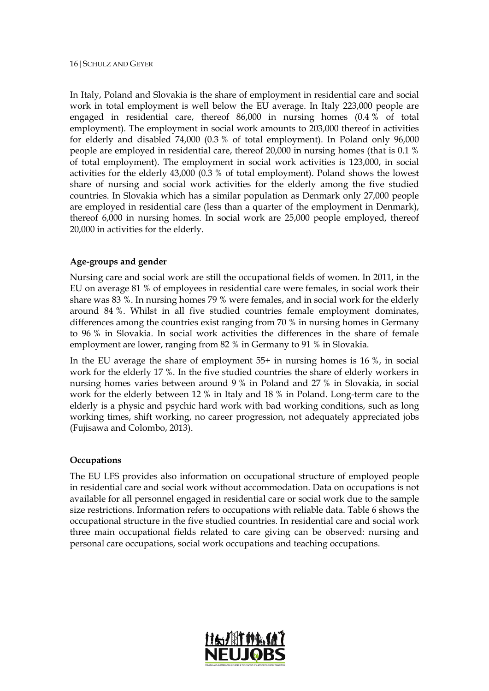In Italy, Poland and Slovakia is the share of employment in residential care and social work in total employment is well below the EU average. In Italy 223,000 people are engaged in residential care, thereof 86,000 in nursing homes (0.4 % of total employment). The employment in social work amounts to 203,000 thereof in activities for elderly and disabled 74,000 (0.3 % of total employment). In Poland only 96,000 people are employed in residential care, thereof 20,000 in nursing homes (that is 0.1 % of total employment). The employment in social work activities is 123,000, in social activities for the elderly 43,000 (0.3 % of total employment). Poland shows the lowest share of nursing and social work activities for the elderly among the five studied countries. In Slovakia which has a similar population as Denmark only 27,000 people are employed in residential care (less than a quarter of the employment in Denmark), thereof 6,000 in nursing homes. In social work are 25,000 people employed, thereof 20,000 in activities for the elderly.

#### **Age-groups and gender**

Nursing care and social work are still the occupational fields of women. In 2011, in the EU on average 81 % of employees in residential care were females, in social work their share was 83 %. In nursing homes 79 % were females, and in social work for the elderly around 84 %. Whilst in all five studied countries female employment dominates, differences among the countries exist ranging from 70 % in nursing homes in Germany to 96 % in Slovakia. In social work activities the differences in the share of female employment are lower, ranging from 82 % in Germany to 91 % in Slovakia.

In the EU average the share of employment 55+ in nursing homes is 16 %, in social work for the elderly 17 %. In the five studied countries the share of elderly workers in nursing homes varies between around 9 % in Poland and 27 % in Slovakia, in social work for the elderly between 12 % in Italy and 18 % in Poland. Long-term care to the elderly is a physic and psychic hard work with bad working conditions, such as long working times, shift working, no career progression, not adequately appreciated jobs (Fujisawa and Colombo, 2013).

#### **Occupations**

The EU LFS provides also information on occupational structure of employed people in residential care and social work without accommodation. Data on occupations is not available for all personnel engaged in residential care or social work due to the sample size restrictions. Information refers to occupations with reliable data. Table 6 shows the occupational structure in the five studied countries. In residential care and social work three main occupational fields related to care giving can be observed: nursing and personal care occupations, social work occupations and teaching occupations.

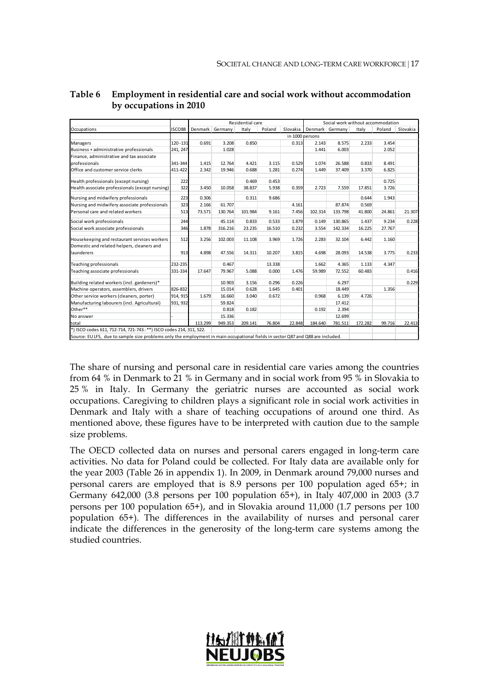|                                                                                                                                 |          |                 |         | Residential care |        |                 |                 | Social work without accommodation |         |        |          |
|---------------------------------------------------------------------------------------------------------------------------------|----------|-----------------|---------|------------------|--------|-----------------|-----------------|-----------------------------------|---------|--------|----------|
| Occupations                                                                                                                     | ISCO88   | Denmark Germany |         | Italy            | Poland | Slovakia        | Denmark Germany |                                   | Italy   | Poland | Slovakia |
|                                                                                                                                 |          |                 |         |                  |        | in 1000 persons |                 |                                   |         |        |          |
| Managers                                                                                                                        | 120-131  | 0.691           | 3.208   | 0.850            |        | 0.313           | 2.143           | 8.575                             | 2.233   | 3.454  |          |
| Business + administrative professionals                                                                                         | 241, 247 |                 | 1.028   |                  |        |                 | 1.441           | 6.003                             |         | 2.052  |          |
| Finance, administrative and tax associate                                                                                       |          |                 |         |                  |        |                 |                 |                                   |         |        |          |
| professionals                                                                                                                   | 341-344  | 1.415           | 12.764  | 4.421            | 3.115  | 0.529           | 1.074           | 26.588                            | 0.833   | 8.491  |          |
| Office and customer service clerks                                                                                              | 411-422  | 2.342           | 19.946  | 0.688            | 1.281  | 0.274           | 1.449           | 37.409                            | 3.370   | 6.825  |          |
| Health professionals (except nursing)                                                                                           | 222      |                 |         | 0.469            | 0.453  |                 |                 |                                   |         | 0.725  |          |
| Health associate professionals (except nursing)                                                                                 | 322      | 3.450           | 10.058  | 38.837           | 5.938  | 0.359           | 2.723           | 7.559                             | 17.851  | 3.726  |          |
| Nursing and midwifery professionals                                                                                             | 223      | 0.306           |         | 0.311            | 9.686  |                 |                 |                                   | 0.644   | 1.943  |          |
| Nursing and midwifery associate professionals                                                                                   | 323      | 2.166           | 61.707  |                  |        | 4.161           |                 | 87.874                            | 0.569   |        |          |
| Personal care and related workers                                                                                               | 513      | 73.571          | 130.764 | 101.984          | 9.161  | 7.456           | 102.314         | 133.798                           | 41.800  | 24.861 | 21.307   |
| Social work professionals                                                                                                       | 244      |                 | 45.114  | 0.833            | 0.533  | 1.879           | 0.149           | 130.865                           | 1.437   | 9.234  | 0.228    |
| Social work associate professionals                                                                                             | 346      | 1.878           | 316.216 | 23.235           | 16.510 | 0.232           | 3.554           | 142.334                           | 16.225  | 27.767 |          |
| Housekeeping and restaurant services workers                                                                                    | 512      | 3.256           | 102.003 | 11.108           | 3.969  | 1.726           | 2.283           | 32.104                            | 6.442   | 1.160  |          |
| Domestic and related helpers, cleaners and                                                                                      |          |                 |         |                  |        |                 |                 |                                   |         |        |          |
| launderers                                                                                                                      | 913      | 4.898           | 47.556  | 14.311           | 10.207 | 3.815           | 4.698           | 28.093                            | 14.538  | 3.775  | 0.233    |
| Teaching professionals                                                                                                          | 232-235  |                 | 0.467   |                  | 13.338 |                 | 1.662           | 4.365                             | 1.133   | 4.347  |          |
| Teaching associate professionals                                                                                                | 331-334  | 17.647          | 79.967  | 5.088            | 0.000  | 1.476           | 59.989          | 72.552                            | 60.483  |        | 0.416    |
| Building related workers (incl. gardeners)*                                                                                     |          |                 | 10.903  | 3.156            | 0.296  | 0.226           |                 | 6.297                             |         |        | 0.229    |
| Machine operators, assemblers, drivers                                                                                          | 826-832  |                 | 15.014  | 0.628            | 1.645  | 0.401           |                 | 18.449                            |         | 1.356  |          |
| Other service workers (cleaners, porter)                                                                                        | 914, 915 | 1.679           | 16.660  | 3.040            | 0.672  |                 | 0.968           | 6.139                             | 4.726   |        |          |
| Manufacturing labourers (incl. Agricultural)                                                                                    | 931, 932 |                 | 59.824  |                  |        |                 |                 | 17.412                            |         |        |          |
| Other**                                                                                                                         |          |                 | 0.818   | 0.182            |        |                 | 0.192           | 2.394                             |         |        |          |
| No answer                                                                                                                       |          |                 | 15.336  |                  |        |                 |                 | 12.699                            |         |        |          |
| total                                                                                                                           |          | 113.299         | 949.353 | 209.141          | 76.804 | 22.848          | 184.640         | 781.511                           | 172.282 | 99.716 | 22.413   |
| *) ISCO codes 611, 712-714, 721-743. -**) ISCO codes 214, 311, 522.                                                             |          |                 |         |                  |        |                 |                 |                                   |         |        |          |
| Source: EU LFS, due to sample size problems only the employment in main occupational fields in sector Q87 and Q88 are included. |          |                 |         |                  |        |                 |                 |                                   |         |        |          |

#### <span id="page-16-0"></span>**Table 6 Employment in residential care and social work without accommodation by occupations in 2010**

The share of nursing and personal care in residential care varies among the countries from 64 % in Denmark to 21 % in Germany and in social work from 95 % in Slovakia to 25 % in Italy. In Germany the geriatric nurses are accounted as social work occupations. Caregiving to children plays a significant role in social work activities in Denmark and Italy with a share of teaching occupations of around one third. As mentioned above, these figures have to be interpreted with caution due to the sample size problems.

The OECD collected data on nurses and personal carers engaged in long-term care activities. No data for Poland could be collected. For Italy data are available only for the year 2003 (Table 26 in appendix 1). In 2009, in Denmark around 79,000 nurses and personal carers are employed that is 8.9 persons per 100 population aged 65+; in Germany 642,000 (3.8 persons per 100 population 65+), in Italy 407,000 in 2003 (3.7 persons per 100 population 65+), and in Slovakia around 11,000 (1.7 persons per 100 population 65+). The differences in the availability of nurses and personal carer indicate the differences in the generosity of the long-term care systems among the studied countries.

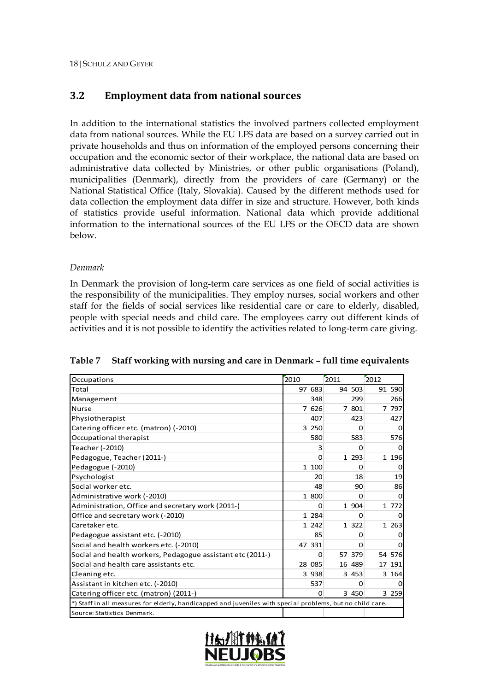## **3.2 Employment data from national sources**

In addition to the international statistics the involved partners collected employment data from national sources. While the EU LFS data are based on a survey carried out in private households and thus on information of the employed persons concerning their occupation and the economic sector of their workplace, the national data are based on administrative data collected by Ministries, or other public organisations (Poland), municipalities (Denmark), directly from the providers of care (Germany) or the National Statistical Office (Italy, Slovakia). Caused by the different methods used for data collection the employment data differ in size and structure. However, both kinds of statistics provide useful information. National data which provide additional information to the international sources of the EU LFS or the OECD data are shown below.

#### *Denmark*

In Denmark the provision of long-term care services as one field of social activities is the responsibility of the municipalities. They employ nurses, social workers and other staff for the fields of social services like residential care or care to elderly, disabled, people with special needs and child care. The employees carry out different kinds of activities and it is not possible to identify the activities related to long-term care giving.

| <b>Occupations</b>                                                                                        | 2010 |          | 2011 |          | 2012 |         |
|-----------------------------------------------------------------------------------------------------------|------|----------|------|----------|------|---------|
| Total                                                                                                     |      | 97 683   |      | 94 503   |      | 91 590  |
| Management                                                                                                |      | 348      |      | 299      |      | 266     |
| <b>Nurse</b>                                                                                              |      | 7 626    |      | 7 801    |      | 7 797   |
| Physiotherapist                                                                                           |      | 407      |      | 423      |      | 427     |
| Catering officer etc. (matron) (-2010)                                                                    |      | 3 250    |      | $\Omega$ |      | O       |
| Occupational therapist                                                                                    |      | 580      |      | 583      |      | 576     |
| Teacher (-2010)                                                                                           |      | 3        |      | 0        |      |         |
| Pedagogue, Teacher (2011-)                                                                                |      | O        |      | 1 2 9 3  |      | 1 1 9 6 |
| Pedagogue (-2010)                                                                                         |      | 1 100    |      | 0        |      |         |
| Psychologist                                                                                              |      | 20       |      | 18       |      | 19      |
| Social worker etc.                                                                                        |      | 48       |      | 90       |      | 86      |
| Administrative work (-2010)                                                                               |      | 1 800    |      | O        |      |         |
| Administration, Office and secretary work (2011-)                                                         |      | 0        |      | 1 904    |      | 1 772   |
| Office and secretary work (-2010)                                                                         |      | 1 284    |      | O        |      |         |
| Caretaker etc.                                                                                            |      | 1 242    |      | 1 322    |      | 1 2 6 3 |
| Pedagogue assistant etc. (-2010)                                                                          |      | 85       |      | O        |      |         |
| Social and health workers etc. (-2010)                                                                    |      | 47 331   |      | o        |      |         |
| Social and health workers, Pedagogue assistant etc (2011-)                                                |      | 0        |      | 57 379   |      | 54 576  |
| Social and health care assistants etc.                                                                    |      | 28 085   |      | 16 489   |      | 17 191  |
| Cleaning etc.                                                                                             |      | 3 9 3 8  |      | 3 4 5 3  |      | 3 164   |
| Assistant in kitchen etc. (-2010)                                                                         |      | 537      |      | $\Omega$ |      |         |
| Catering officer etc. (matron) (2011-)                                                                    |      | $\Omega$ |      | 3 450    |      | 3 2 5 9 |
| *) Staff in all measures for elderly, handicapped and juveniles with special problems, but no child care. |      |          |      |          |      |         |
| Source: Statistics Denmark.                                                                               |      |          |      |          |      |         |

<span id="page-17-0"></span>**Table 7 Staff working with nursing and care in Denmark – full time equivalents**

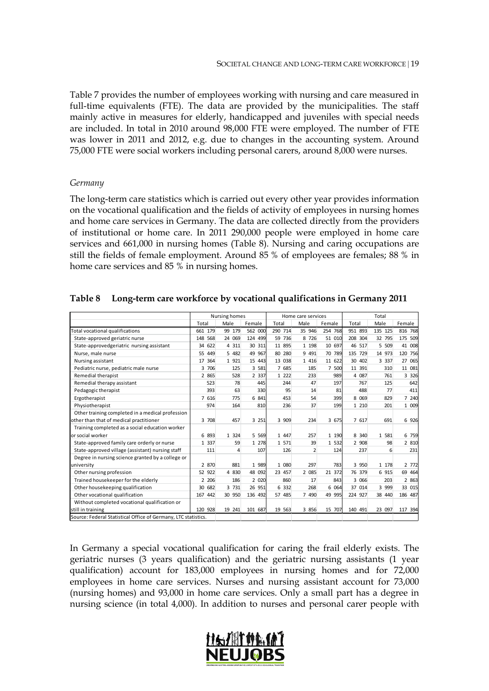Table 7 provides the number of employees working with nursing and care measured in full-time equivalents (FTE). The data are provided by the municipalities. The staff mainly active in measures for elderly, handicapped and juveniles with special needs are included. In total in 2010 around 98,000 FTE were employed. The number of FTE was lower in 2011 and 2012, e.g. due to changes in the accounting system. Around 75,000 FTE were social workers including personal carers, around 8,000 were nurses.

#### *Germany*

The long-term care statistics which is carried out every other year provides information on the vocational qualification and the fields of activity of employees in nursing homes and home care services in Germany. The data are collected directly from the providers of institutional or home care. In 2011 290,000 people were employed in home care services and 661,000 in nursing homes (Table 8). Nursing and caring occupations are still the fields of female employment. Around 85 % of employees are females; 88 % in home care services and 85 % in nursing homes.

|                                                                |            | Nursing homes |         |           | Home care services |         |         | Total   |           |
|----------------------------------------------------------------|------------|---------------|---------|-----------|--------------------|---------|---------|---------|-----------|
|                                                                | Total      | Male          | Female  | Total     | Male               | Female  | Total   | Male    | Female    |
| Total vocational qualifications                                | 661 179    | 99 179        | 562 000 | 290 714   | 35 946             | 254 768 | 951 893 | 135 125 | 816 768   |
| State-approved geriatric nurse                                 | 148 568    | 24 069        | 124 499 | 59<br>736 | 8 7 2 6            | 51 010  | 208 304 | 32 795  | 175 509   |
| State-approvedgeriatric nursing assistant                      | 34 622     | 4 3 1 1       | 30 311  | 11 895    | 1 1 9 8            | 10 697  | 46 517  | 5 509   | 41 008    |
| Nurse, male nurse                                              | 55 449     | 5 482         | 49 967  | 80 280    | 9 4 9 1            | 70 789  | 135 729 | 14 973  | 120 756   |
| Nursing assistant                                              | 364<br>17  | 1 9 2 1       | 15 443  | 13 038    | 1 4 1 6            | 11 622  | 30 402  | 3 3 3 7 | 065<br>27 |
| Pediatric nurse, pediatric male nurse                          | 3 706      | 125           | 3 581   | 7 685     | 185                | 7 500   | 11 391  | 310     | 11 081    |
| Remedial therapist                                             | 2 865      | 528           | 2 3 3 7 | 1 2 2 2   | 233                | 989     | 4 0 87  | 761     | 3 3 2 6   |
| Remedial therapy assistant                                     | 523        | 78            | 445     | 244       | 47                 | 197     | 767     | 125     | 642       |
| Pedagogic therapist                                            | 393        | 63            | 330     | 95        | 14                 | 81      | 488     | 77      | 411       |
| Ergotherapist                                                  | 7 616      | 775           | 6 841   | 453       | 54                 | 399     | 8 0 6 9 | 829     | 7 240     |
| Physiotherapist                                                | 974        | 164           | 810     | 236       | 37                 | 199     | 1 2 1 0 | 201     | 1 009     |
| Other training completed in a medical profession               |            |               |         |           |                    |         |         |         |           |
| other than that of medical practitioner                        | 3 708      | 457           | 3 2 5 1 | 3 909     | 234                | 3 675   | 7 617   | 691     | 6 926     |
| Training completed as a social education worker                |            |               |         |           |                    |         |         |         |           |
| or social worker                                               | 6 893      | 1 3 2 4       | 5 5 6 9 | 1 447     | 257                | 1 1 9 0 | 8 340   | 1 581   | 6 759     |
| State-approved family care orderly or nurse                    | 1 3 3 7    | 59            | 1 278   | 1 571     | 39                 | 1 532   | 2 908   | 98      | 2 810     |
| State-approved village (assistant) nursing staff               | 111        | 4             | 107     | 126       | $\overline{2}$     | 124     | 237     | 6       | 231       |
| Degree in nursing science granted by a college or              |            |               |         |           |                    |         |         |         |           |
| university                                                     | 2 870      | 881           | 1 989   | 1 0 8 0   | 297                | 783     | 3 9 5 0 | 1 178   | 2 772     |
| Other nursing profession                                       | 52 922     | 4 8 3 0       | 48 092  | 23 457    | 2 085              | 21 372  | 76 379  | 6 915   | 69 464    |
| Trained housekeeper for the elderly                            | 2 2 0 6    | 186           | 2 0 2 0 | 860       | 17                 | 843     | 3 0 6 6 | 203     | 2 863     |
| Other housekeeping qualification                               | 30 682     | 3 7 3 1       | 26 951  | 6 3 3 2   | 268                | 6 0 64  | 37 014  | 3 999   | 33 015    |
| Other vocational qualification                                 | 442<br>167 | 30 950        | 136 492 | 57 485    | 7 490              | 49 995  | 224 927 | 38 440  | 186 487   |
| Without completed vocational qualification or                  |            |               |         |           |                    |         |         |         |           |
| still in training                                              | 120 928    | 19 241        | 101 687 | 19 563    | 3 8 5 6            | 15 707  | 140 491 | 23 097  | 117 394   |
| Source: Federal Statistical Office of Germany, LTC statistics. |            |               |         |           |                    |         |         |         |           |

#### <span id="page-18-0"></span>**Table 8 Long-term care workforce by vocational qualifications in Germany 2011**

In Germany a special vocational qualification for caring the frail elderly exists. The geriatric nurses (3 years qualification) and the geriatric nursing assistants (1 year qualification) account for 183,000 employees in nursing homes and for 72,000 employees in home care services. Nurses and nursing assistant account for 73,000 (nursing homes) and 93,000 in home care services. Only a small part has a degree in nursing science (in total 4,000). In addition to nurses and personal carer people with

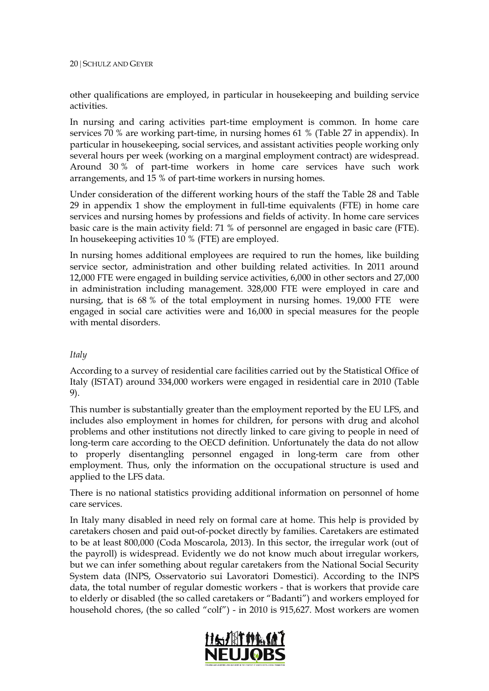#### 20 | SCHULZ AND GEYER

other qualifications are employed, in particular in housekeeping and building service activities.

In nursing and caring activities part-time employment is common. In home care services 70 % are working part-time, in nursing homes 61 % (Table 27 in appendix). In particular in housekeeping, social services, and assistant activities people working only several hours per week (working on a marginal employment contract) are widespread. Around 30 % of part-time workers in home care services have such work arrangements, and 15 % of part-time workers in nursing homes.

Under consideration of the different working hours of the staff the Table 28 and Table 29 in appendix 1 show the employment in full-time equivalents (FTE) in home care services and nursing homes by professions and fields of activity. In home care services basic care is the main activity field: 71 % of personnel are engaged in basic care (FTE). In housekeeping activities 10 % (FTE) are employed.

In nursing homes additional employees are required to run the homes, like building service sector, administration and other building related activities. In 2011 around 12,000 FTE were engaged in building service activities, 6,000 in other sectors and 27,000 in administration including management. 328,000 FTE were employed in care and nursing, that is 68 % of the total employment in nursing homes. 19,000 FTE were engaged in social care activities were and 16,000 in special measures for the people with mental disorders.

#### *Italy*

According to a survey of residential care facilities carried out by the Statistical Office of Italy (ISTAT) around 334,000 workers were engaged in residential care in 2010 (Table 9).

This number is substantially greater than the employment reported by the EU LFS, and includes also employment in homes for children, for persons with drug and alcohol problems and other institutions not directly linked to care giving to people in need of long-term care according to the OECD definition. Unfortunately the data do not allow to properly disentangling personnel engaged in long-term care from other employment. Thus, only the information on the occupational structure is used and applied to the LFS data.

There is no national statistics providing additional information on personnel of home care services.

In Italy many disabled in need rely on formal care at home. This help is provided by caretakers chosen and paid out-of-pocket directly by families. Caretakers are estimated to be at least 800,000 (Coda Moscarola, 2013). In this sector, the irregular work (out of the payroll) is widespread. Evidently we do not know much about irregular workers, but we can infer something about regular caretakers from the National Social Security System data (INPS, Osservatorio sui Lavoratori Domestici). According to the INPS data, the total number of regular domestic workers - that is workers that provide care to elderly or disabled (the so called caretakers or "Badanti") and workers employed for household chores, (the so called "colf") - in 2010 is 915,627. Most workers are women

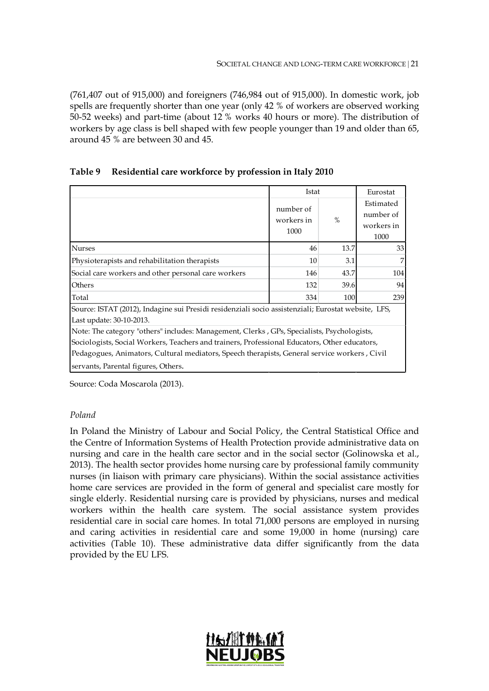(761,407 out of 915,000) and foreigners (746,984 out of 915,000). In domestic work, job spells are frequently shorter than one year (only 42 % of workers are observed working 50-52 weeks) and part-time (about 12 % works 40 hours or more). The distribution of workers by age class is bell shaped with few people younger than 19 and older than 65, around 45 % are between 30 and 45.

<span id="page-20-0"></span>

|  | Table 9 Residential care workforce by profession in Italy 2010 |  |  |  |
|--|----------------------------------------------------------------|--|--|--|
|--|----------------------------------------------------------------|--|--|--|

|                                                                                                                                 | Istat                                                                                        |      | Eurostat                             |  |  |  |  |  |
|---------------------------------------------------------------------------------------------------------------------------------|----------------------------------------------------------------------------------------------|------|--------------------------------------|--|--|--|--|--|
|                                                                                                                                 | number of<br>workers in<br>1000                                                              | $\%$ | Estimated<br>number of<br>workers in |  |  |  |  |  |
|                                                                                                                                 |                                                                                              |      | 1000                                 |  |  |  |  |  |
| <b>Nurses</b>                                                                                                                   | 46                                                                                           | 13.7 | 33                                   |  |  |  |  |  |
| Physioterapists and rehabilitation therapists                                                                                   | 10                                                                                           | 3.1  | 7                                    |  |  |  |  |  |
| Social care workers and other personal care workers                                                                             | 146                                                                                          | 43.7 | 104                                  |  |  |  |  |  |
| Others                                                                                                                          | 132                                                                                          | 39.6 | 94                                   |  |  |  |  |  |
| Total                                                                                                                           | 334                                                                                          | 100  | 239                                  |  |  |  |  |  |
| Source: ISTAT (2012), Indagine sui Presidi residenziali socio assistenziali; Eurostat website, LFS,<br>Last update: 30-10-2013. |                                                                                              |      |                                      |  |  |  |  |  |
| Note: The category "others" includes: Management, Clerks, GPs, Specialists, Psychologists,                                      |                                                                                              |      |                                      |  |  |  |  |  |
| Sociologists, Social Workers, Teachers and trainers, Professional Educators, Other educators,                                   |                                                                                              |      |                                      |  |  |  |  |  |
|                                                                                                                                 | Pedagogues, Animators, Cultural mediators, Speech therapists, General service workers, Civil |      |                                      |  |  |  |  |  |
| servants, Parental figures, Others.                                                                                             |                                                                                              |      |                                      |  |  |  |  |  |

Source: Coda Moscarola (2013).

#### *Poland*

In Poland the Ministry of Labour and Social Policy, the Central Statistical Office and the Centre of Information Systems of Health Protection provide administrative data on nursing and care in the health care sector and in the social sector (Golinowska et al., 2013). The health sector provides home nursing care by professional family community nurses (in liaison with primary care physicians). Within the social assistance activities home care services are provided in the form of general and specialist care mostly for single elderly. Residential nursing care is provided by physicians, nurses and medical workers within the health care system. The social assistance system provides residential care in social care homes. In total 71,000 persons are employed in nursing and caring activities in residential care and some 19,000 in home (nursing) care activities (Table 10). These administrative data differ significantly from the data provided by the EU LFS.

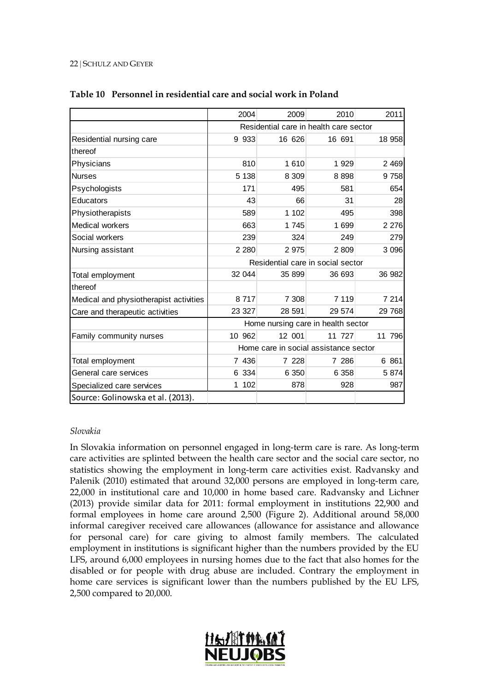#### 22 | SCHULZ AND GEYER

|                                        | 2004     | 2009    | 2010                                   | 2011    |
|----------------------------------------|----------|---------|----------------------------------------|---------|
|                                        |          |         | Residential care in health care sector |         |
| Residential nursing care               | 9 9 3 3  | 16 626  | 16 691                                 | 18 958  |
| thereof                                |          |         |                                        |         |
| Physicians                             | 810      | 1 6 1 0 | 1 9 2 9                                | 2 4 6 9 |
| <b>Nurses</b>                          | 5 1 38   | 8 3 0 9 | 8898                                   | 9758    |
| Psychologists                          | 171      | 495     | 581                                    | 654     |
| Educators                              | 43       | 66      | 31                                     | 28      |
| Physiotherapists                       | 589      | 1 102   | 495                                    | 398     |
| Medical workers                        | 663      | 1745    | 1 699                                  | 2 2 7 6 |
| Social workers                         | 239      | 324     | 249                                    | 279     |
| Nursing assistant                      | 2 2 8 0  | 2 9 7 5 | 2 8 0 9                                | 3 0 9 6 |
|                                        |          |         | Residential care in social sector      |         |
| Total employment                       | 32 044   | 35 899  | 36 693                                 | 36 982  |
| thereof                                |          |         |                                        |         |
| Medical and physiotherapist activities | 8717     | 7 308   | 7 1 1 9                                | 7 2 1 4 |
| Care and therapeutic activities        | 23 327   | 28 591  | 29 574                                 | 29 768  |
|                                        |          |         | Home nursing care in health sector     |         |
| Family community nurses                | 10 962   | 12 001  | 11 727                                 | 11 796  |
|                                        |          |         | Home care in social assistance sector  |         |
| Total employment                       | 7 436    | 7 228   | 7 286                                  | 6 861   |
| General care services                  | 6 334    | 6 3 5 0 | 6 3 5 8                                | 5874    |
| Specialized care services              | 102<br>1 | 878     | 928                                    | 987     |
| Source: Golinowska et al. (2013).      |          |         |                                        |         |

#### <span id="page-21-0"></span>**Table 10 Personnel in residential care and social work in Poland**

#### *Slovakia*

In Slovakia information on personnel engaged in long-term care is rare. As long-term care activities are splinted between the health care sector and the social care sector, no statistics showing the employment in long-term care activities exist. Radvansky and Palenik (2010) estimated that around 32,000 persons are employed in long-term care, 22,000 in institutional care and 10,000 in home based care. Radvansky and Lichner (2013) provide similar data for 2011: formal employment in institutions 22,900 and formal employees in home care around 2,500 (Figure 2). Additional around 58,000 informal caregiver received care allowances (allowance for assistance and allowance for personal care) for care giving to almost family members. The calculated employment in institutions is significant higher than the numbers provided by the EU LFS, around 6,000 employees in nursing homes due to the fact that also homes for the disabled or for people with drug abuse are included. Contrary the employment in home care services is significant lower than the numbers published by the EU LFS, 2,500 compared to 20,000.

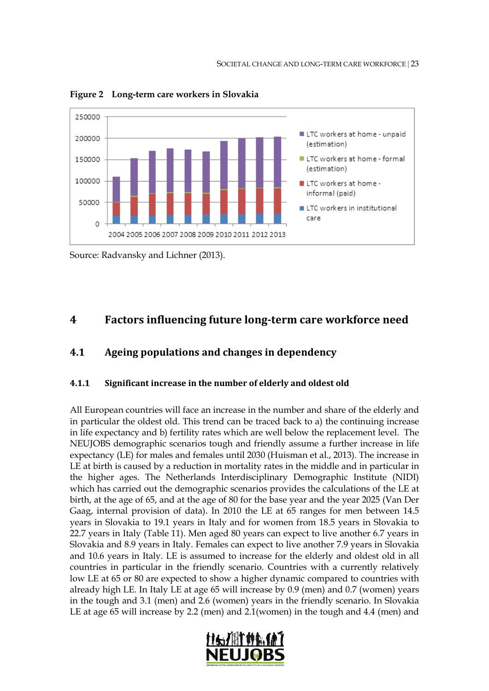

<span id="page-22-0"></span>**Figure 2 Long-term care workers in Slovakia**

## **4 Factors influencing future long-term care workforce need**

## **4.1 Ageing populations and changes in dependency**

#### **4.1.1 Significant increase in the number of elderly and oldest old**

All European countries will face an increase in the number and share of the elderly and in particular the oldest old. This trend can be traced back to a) the continuing increase in life expectancy and b) fertility rates which are well below the replacement level. The NEUJOBS demographic scenarios tough and friendly assume a further increase in life expectancy (LE) for males and females until 2030 (Huisman et al., 2013). The increase in LE at birth is caused by a reduction in mortality rates in the middle and in particular in the higher ages. The Netherlands Interdisciplinary Demographic Institute (NIDI) which has carried out the demographic scenarios provides the calculations of the LE at birth, at the age of 65, and at the age of 80 for the base year and the year 2025 (Van Der Gaag, internal provision of data). In 2010 the LE at 65 ranges for men between 14.5 years in Slovakia to 19.1 years in Italy and for women from 18.5 years in Slovakia to 22.7 years in Italy (Table 11). Men aged 80 years can expect to live another 6.7 years in Slovakia and 8.9 years in Italy. Females can expect to live another 7.9 years in Slovakia and 10.6 years in Italy. LE is assumed to increase for the elderly and oldest old in all countries in particular in the friendly scenario. Countries with a currently relatively low LE at 65 or 80 are expected to show a higher dynamic compared to countries with already high LE. In Italy LE at age 65 will increase by 0.9 (men) and 0.7 (women) years in the tough and 3.1 (men) and 2.6 (women) years in the friendly scenario. In Slovakia LE at age 65 will increase by 2.2 (men) and 2.1(women) in the tough and 4.4 (men) and



Source: Radvansky and Lichner (2013).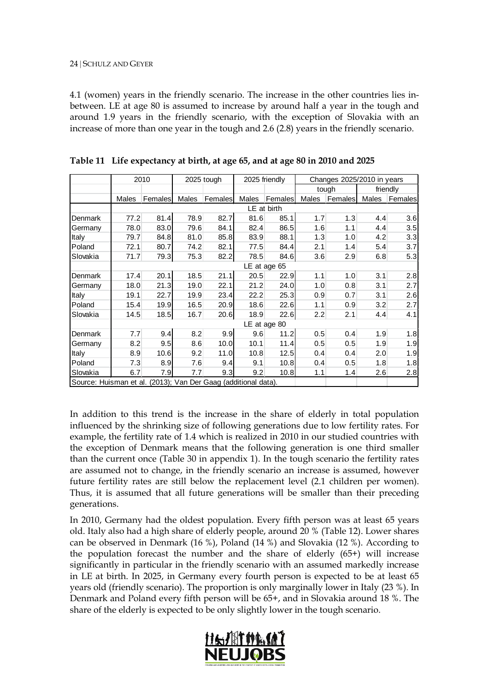4.1 (women) years in the friendly scenario. The increase in the other countries lies inbetween. LE at age 80 is assumed to increase by around half a year in the tough and around 1.9 years in the friendly scenario, with the exception of Slovakia with an increase of more than one year in the tough and 2.6 (2.8) years in the friendly scenario.

|                                                                |                 | 2010    |       | 2025 tough     |       | 2025 friendly |       | Changes 2025/2010 in years |          |         |
|----------------------------------------------------------------|-----------------|---------|-------|----------------|-------|---------------|-------|----------------------------|----------|---------|
|                                                                |                 |         |       |                |       |               |       | tough                      | friendly |         |
|                                                                | Males           | Females | Males | <b>Females</b> | Males | Females       | Males | Females                    | Males    | Females |
|                                                                |                 |         |       |                |       | LE at birth   |       |                            |          |         |
| Denmark                                                        | 77.2            | 81.4    | 78.9  | 82.7           | 81.6  | 85.1          | 1.7   | 1.3                        | 4.4      | 3.6     |
| Germany                                                        | 78.0            | 83.0    | 79.6  | 84.1           | 82.4  | 86.5          | 1.6   | 1.1                        | 4.4      | 3.5     |
| Italy                                                          | 79.7            | 84.8    | 81.0  | 85.8           | 83.9  | 88.1          | 1.3   | 1.0                        | 4.2      | 3.3     |
| Poland                                                         | 72.1            | 80.7    | 74.2  | 82.1           | 77.5  | 84.4          | 2.1   | 1.4                        | 5.4      | 3.7     |
| Slovakia                                                       | 71.7            | 79.3    | 75.3  | 82.2           | 78.5  | 84.6          | 3.6   | 2.9                        | 6.8      | 5.3     |
|                                                                | LE at age<br>65 |         |       |                |       |               |       |                            |          |         |
| Denmark                                                        | 17.4            | 20.1    | 18.5  | 21.1           | 20.5  | 22.9          | 1.1   | 1.0                        | 3.1      | 2.8     |
| Germany                                                        | 18.0            | 21.3    | 19.0  | 22.1           | 21.2  | 24.0          | 1.0   | 0.8                        | 3.1      | 2.7     |
| Italy                                                          | 19.1            | 22.7    | 19.9  | 23.4           | 22.2  | 25.3          | 0.9   | 0.7                        | 3.1      | 2.6     |
| Poland                                                         | 15.4            | 19.9    | 16.5  | 20.9           | 18.6  | 22.6          | 1.1   | 0.9                        | 3.2      | 2.7     |
| Slovakia                                                       | 14.5            | 18.5    | 16.7  | 20.6           | 18.9  | 22.6          | 2.2   | 2.1                        | 4.4      | 4.1     |
|                                                                |                 |         |       |                |       | LE at age 80  |       |                            |          |         |
| <b>Denmark</b>                                                 | 7.7             | 9.4     | 8.2   | 9.9            | 9.6   | 11.2          | 0.5   | 0.4                        | 1.9      | 1.8     |
| Germany                                                        | 8.2             | 9.5     | 8.6   | 10.0           | 10.1  | 11.4          | 0.5   | 0.5                        | 1.9      | 1.9     |
| Italy                                                          | 8.9             | 10.6    | 9.2   | 11.0           | 10.8  | 12.5          | 0.4   | 0.4                        | 2.0      | 1.9     |
| Poland                                                         | 7.3             | 8.9     | 7.6   | 9.4            | 9.1   | 10.8          | 0.4   | 0.5                        | 1.8      | 1.8     |
| Slovakia                                                       | 6.7             | 7.9     | 7.7   | 9.3            | 9.2   | 10.8          | 1.1   | 1.4                        | 2.6      | 2.8     |
| Source: Huisman et al. (2013); Van Der Gaag (additional data). |                 |         |       |                |       |               |       |                            |          |         |

<span id="page-23-0"></span>**Table 11 Life expectancy at birth, at age 65, and at age 80 in 2010 and 2025**

In addition to this trend is the increase in the share of elderly in total population influenced by the shrinking size of following generations due to low fertility rates. For example, the fertility rate of 1.4 which is realized in 2010 in our studied countries with the exception of Denmark means that the following generation is one third smaller than the current once (Table 30 in appendix 1). In the tough scenario the fertility rates are assumed not to change, in the friendly scenario an increase is assumed, however future fertility rates are still below the replacement level (2.1 children per women). Thus, it is assumed that all future generations will be smaller than their preceding generations.

In 2010, Germany had the oldest population. Every fifth person was at least 65 years old. Italy also had a high share of elderly people, around 20 % (Table 12). Lower shares can be observed in Denmark (16 %), Poland (14 %) and Slovakia (12 %). According to the population forecast the number and the share of elderly (65+) will increase significantly in particular in the friendly scenario with an assumed markedly increase in LE at birth. In 2025, in Germany every fourth person is expected to be at least 65 years old (friendly scenario). The proportion is only marginally lower in Italy (23 %). In Denmark and Poland every fifth person will be 65+, and in Slovakia around 18 %. The share of the elderly is expected to be only slightly lower in the tough scenario.

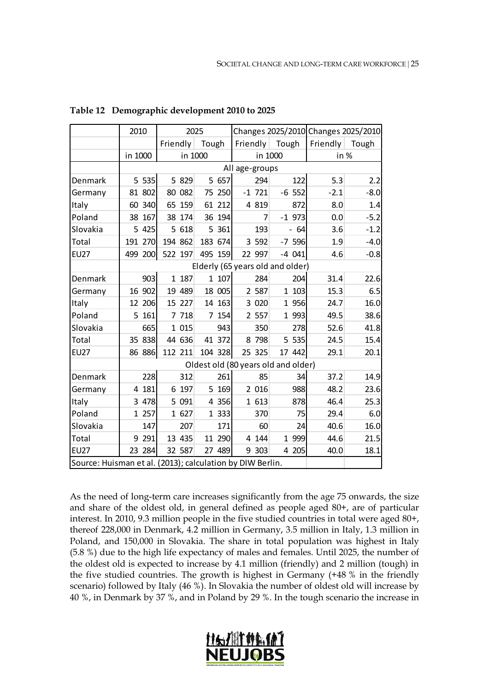|                                                           | 2010     | 2025     |          |                                     |          | Changes 2025/2010 Changes 2025/2010 |        |
|-----------------------------------------------------------|----------|----------|----------|-------------------------------------|----------|-------------------------------------|--------|
|                                                           |          | Friendly | Tough    | Friendly                            | Tough    | Friendly                            | Tough  |
|                                                           | in 1000  | in 1000  |          | in 1000                             |          | in %                                |        |
|                                                           |          |          |          | All age-groups                      |          |                                     |        |
| Denmark                                                   | 5 535    | 5 829    | 5 657    | 294                                 | 122      | 5.3                                 | 2.2    |
| Germany                                                   | 81 802   | 80 082   | 75 250   | $-1$ 721                            | $-6$ 552 | $-2.1$                              | $-8.0$ |
| Italy                                                     | 60 340   | 65 159   | 61 212   | 4 8 19                              | 872      | 8.0                                 | 1.4    |
| Poland                                                    | 38 167   | 38 174   | 36 194   | 7                                   | $-1$ 973 | 0.0                                 | $-5.2$ |
| Slovakia                                                  | 5 4 2 5  | 5 618    | 361<br>5 | 193                                 | $-64$    | 3.6                                 | $-1.2$ |
| Total                                                     | 191 270  | 194 862  | 183 674  | 3 5 9 2                             | $-7$ 596 | 1.9                                 | $-4.0$ |
| <b>EU27</b>                                               | 499 200  | 522 197  | 495 159  | 22 997                              | $-4041$  | 4.6                                 | $-0.8$ |
|                                                           |          |          |          | Elderly (65 years old and older)    |          |                                     |        |
| Denmark                                                   | 903      | 1 187    | 1 107    | 284                                 | 204      | 31.4                                | 22.6   |
| Germany                                                   | 16 902   | 19 489   | 18 005   | 2 587                               | 1 1 0 3  | 15.3                                | 6.5    |
| Italy                                                     | 12 206   | 15 227   | 14 163   | 3 0 2 0                             | 1 956    | 24.7                                | 16.0   |
| Poland                                                    | 5 161    | 7 7 18   | 7 154    | 2 5 5 7                             | 1 993    | 49.5                                | 38.6   |
| Slovakia                                                  | 665      | 1 0 1 5  | 943      | 350                                 | 278      | 52.6                                | 41.8   |
| Total                                                     | 35 838   | 44 636   | 41 372   | 8 798                               | 5 535    | 24.5                                | 15.4   |
| <b>EU27</b>                                               | 86 886   | 112 211  | 104 328  | 25 325                              | 17 442   | 29.1                                | 20.1   |
|                                                           |          |          |          | Oldest old (80 years old and older) |          |                                     |        |
| Denmark                                                   | 228      | 312      | 261      | 85                                  | 34       | 37.2                                | 14.9   |
| Germany                                                   | 181<br>4 | 6 197    | 5 169    | 2 0 16                              | 988      | 48.2                                | 23.6   |
| Italy                                                     | 3 478    | 5 0 9 1  | 4 356    | 1 613                               | 878      | 46.4                                | 25.3   |
| Poland                                                    | 1 257    | 1 627    | 1 333    | 370                                 | 75       | 29.4                                | 6.0    |
| Slovakia                                                  | 147      | 207      | 171      | 60                                  | 24       | 40.6                                | 16.0   |
| Total                                                     | 9 291    | 13 435   | 11 290   | 4 1 4 4                             | 1 999    | 44.6                                | 21.5   |
| <b>EU27</b>                                               | 23 284   | 32 587   | 27 489   | 9 303                               | 4 205    | 40.0                                | 18.1   |
| Source: Huisman et al. (2013); calculation by DIW Berlin. |          |          |          |                                     |          |                                     |        |

<span id="page-24-0"></span>**Table 12 Demographic development 2010 to 2025**

As the need of long-term care increases significantly from the age 75 onwards, the size and share of the oldest old, in general defined as people aged 80+, are of particular interest. In 2010, 9.3 million people in the five studied countries in total were aged 80+, thereof 228,000 in Denmark, 4.2 million in Germany, 3.5 million in Italy, 1.3 million in Poland, and 150,000 in Slovakia. The share in total population was highest in Italy (5.8 %) due to the high life expectancy of males and females. Until 2025, the number of the oldest old is expected to increase by 4.1 million (friendly) and 2 million (tough) in the five studied countries. The growth is highest in Germany (+48 % in the friendly scenario) followed by Italy (46 %). In Slovakia the number of oldest old will increase by 40 %, in Denmark by 37 %, and in Poland by 29 %. In the tough scenario the increase in

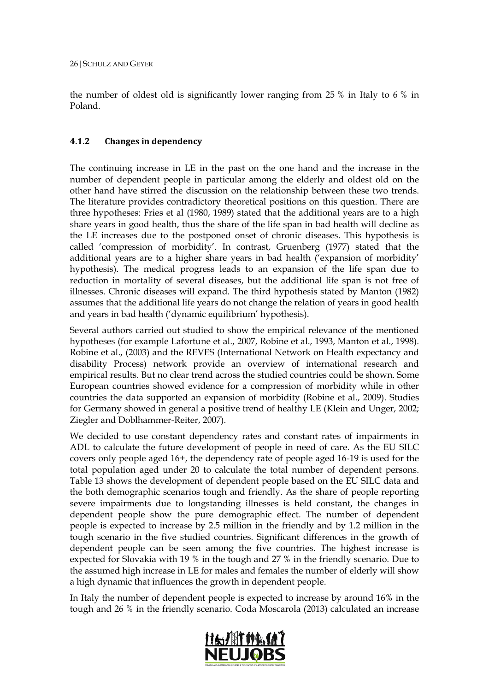the number of oldest old is significantly lower ranging from 25 % in Italy to 6 % in Poland.

### **4.1.2 Changes in dependency**

The continuing increase in LE in the past on the one hand and the increase in the number of dependent people in particular among the elderly and oldest old on the other hand have stirred the discussion on the relationship between these two trends. The literature provides contradictory theoretical positions on this question. There are three hypotheses: Fries et al (1980, 1989) stated that the additional years are to a high share years in good health, thus the share of the life span in bad health will decline as the LE increases due to the postponed onset of chronic diseases. This hypothesis is called 'compression of morbidity'. In contrast, Gruenberg (1977) stated that the additional years are to a higher share years in bad health ('expansion of morbidity' hypothesis). The medical progress leads to an expansion of the life span due to reduction in mortality of several diseases, but the additional life span is not free of illnesses. Chronic diseases will expand. The third hypothesis stated by Manton (1982) assumes that the additional life years do not change the relation of years in good health and years in bad health ('dynamic equilibrium' hypothesis).

Several authors carried out studied to show the empirical relevance of the mentioned hypotheses (for example Lafortune et al., 2007, Robine et al., 1993, Manton et al., 1998). Robine et al., (2003) and the REVES (International Network on Health expectancy and disability Process) network provide an overview of international research and empirical results. But no clear trend across the studied countries could be shown. Some European countries showed evidence for a compression of morbidity while in other countries the data supported an expansion of morbidity (Robine et al., 2009). Studies for Germany showed in general a positive trend of healthy LE (Klein and Unger, 2002; Ziegler and Doblhammer-Reiter, 2007).

We decided to use constant dependency rates and constant rates of impairments in ADL to calculate the future development of people in need of care. As the EU SILC covers only people aged 16+, the dependency rate of people aged 16-19 is used for the total population aged under 20 to calculate the total number of dependent persons. Table 13 shows the development of dependent people based on the EU SILC data and the both demographic scenarios tough and friendly. As the share of people reporting severe impairments due to longstanding illnesses is held constant, the changes in dependent people show the pure demographic effect. The number of dependent people is expected to increase by 2.5 million in the friendly and by 1.2 million in the tough scenario in the five studied countries. Significant differences in the growth of dependent people can be seen among the five countries. The highest increase is expected for Slovakia with 19 % in the tough and 27 % in the friendly scenario. Due to the assumed high increase in LE for males and females the number of elderly will show a high dynamic that influences the growth in dependent people.

In Italy the number of dependent people is expected to increase by around 16% in the tough and 26 % in the friendly scenario. Coda Moscarola (2013) calculated an increase

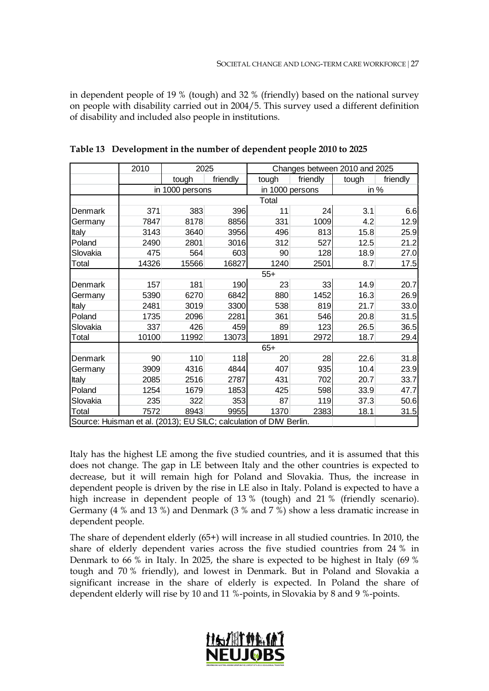in dependent people of 19 % (tough) and 32 % (friendly) based on the national survey on people with disability carried out in 2004/5. This survey used a different definition of disability and included also people in institutions.

|                                                                    | 2010  | 2025            |          |                 | Changes between 2010 and 2025 |       |          |  |
|--------------------------------------------------------------------|-------|-----------------|----------|-----------------|-------------------------------|-------|----------|--|
|                                                                    |       | tough           | friendly | tough           | friendly                      | tough | friendly |  |
|                                                                    |       | in 1000 persons |          | in 1000 persons |                               | in %  |          |  |
|                                                                    |       |                 |          | Total           |                               |       |          |  |
| Denmark                                                            | 371   | 383             | 396      | 11              | 24                            | 3.1   | 6.6      |  |
| Germany                                                            | 7847  | 8178            | 8856     | 331             | 1009                          | 4.2   | 12.9     |  |
| <b>Italy</b>                                                       | 3143  | 3640            | 3956     | 496             | 813                           | 15.8  | 25.9     |  |
| Poland                                                             | 2490  | 2801            | 3016     | 312             | 527                           | 12.5  | 21.2     |  |
| Slovakia                                                           | 475   | 564             | 603      | 90              | 128                           | 18.9  | 27.0     |  |
| Total                                                              | 14326 | 15566           | 16827    | 1240            | 2501                          | 8.7   | 17.5     |  |
|                                                                    |       |                 |          | $55+$           |                               |       |          |  |
| Denmark                                                            | 157   | 181             | 190      | 23              | 33                            | 14.9  | 20.7     |  |
| Germany                                                            | 5390  | 6270            | 6842     | 880             | 1452                          | 16.3  | 26.9     |  |
| <b>Italy</b>                                                       | 2481  | 3019            | 3300     | 538             | 819                           | 21.7  | 33.0     |  |
| Poland                                                             | 1735  | 2096            | 2281     | 361             | 546                           | 20.8  | 31.5     |  |
| Slovakia                                                           | 337   | 426             | 459      | 89              | 123                           | 26.5  | 36.5     |  |
| Total                                                              | 10100 | 11992           | 13073    | 1891            | 2972                          | 18.7  | 29.4     |  |
|                                                                    |       |                 |          | $65+$           |                               |       |          |  |
| Denmark                                                            | 90    | 110             | 118      | 20              | 28                            | 22.6  | 31.8     |  |
| Germany                                                            | 3909  | 4316            | 4844     | 407             | 935                           | 10.4  | 23.9     |  |
| <b>Italy</b>                                                       | 2085  | 2516            | 2787     | 431             | 702                           | 20.7  | 33.7     |  |
| Poland                                                             | 1254  | 1679            | 1853     | 425             | 598                           | 33.9  | 47.7     |  |
| Slovakia                                                           | 235   | 322             | 353      | 87              | 119                           | 37.3  | 50.6     |  |
| Total                                                              | 7572  | 8943            | 9955     | 1370            | 2383                          | 18.1  | 31.5     |  |
| Source: Huisman et al. (2013); EU SILC; calculation of DIW Berlin. |       |                 |          |                 |                               |       |          |  |

<span id="page-26-0"></span>**Table 13 Development in the number of dependent people 2010 to 2025**

Italy has the highest LE among the five studied countries, and it is assumed that this does not change. The gap in LE between Italy and the other countries is expected to decrease, but it will remain high for Poland and Slovakia. Thus, the increase in dependent people is driven by the rise in LE also in Italy. Poland is expected to have a high increase in dependent people of 13 % (tough) and 21 % (friendly scenario). Germany (4 % and 13 %) and Denmark (3 % and 7 %) show a less dramatic increase in dependent people.

The share of dependent elderly (65+) will increase in all studied countries. In 2010, the share of elderly dependent varies across the five studied countries from 24 % in Denmark to 66 % in Italy. In 2025, the share is expected to be highest in Italy (69 % tough and 70 % friendly), and lowest in Denmark. But in Poland and Slovakia a significant increase in the share of elderly is expected. In Poland the share of dependent elderly will rise by 10 and 11 %-points, in Slovakia by 8 and 9 %-points.

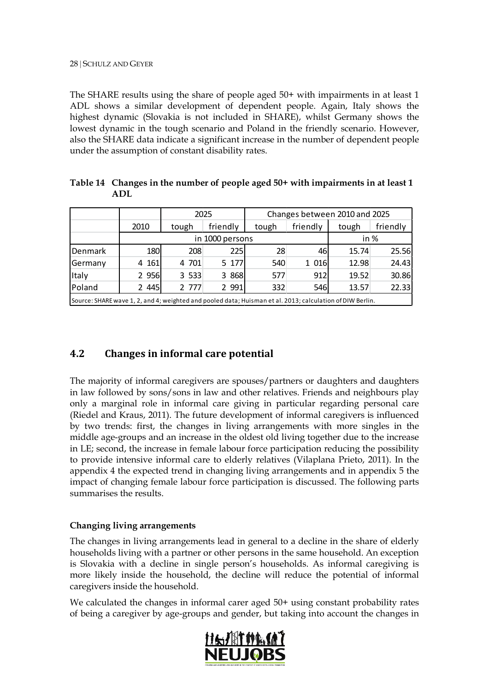The SHARE results using the share of people aged 50+ with impairments in at least 1 ADL shows a similar development of dependent people. Again, Italy shows the highest dynamic (Slovakia is not included in SHARE), whilst Germany shows the lowest dynamic in the tough scenario and Poland in the friendly scenario. However, also the SHARE data indicate a significant increase in the number of dependent people under the assumption of constant disability rates.

<span id="page-27-0"></span>

| Table 14 Changes in the number of people aged 50+ with impairments in at least 1 |
|----------------------------------------------------------------------------------|
| ADL                                                                              |
|                                                                                  |

and a

and the state of the state of the

|                                                                                                           |         |       | 2025            |       | Changes between 2010 and 2025 |       |          |  |
|-----------------------------------------------------------------------------------------------------------|---------|-------|-----------------|-------|-------------------------------|-------|----------|--|
|                                                                                                           | 2010    | tough | friendly        | tough | friendly                      | tough | friendly |  |
|                                                                                                           |         |       | in 1000 persons |       |                               |       |          |  |
| Denmark                                                                                                   | 180     | 208   | 225             | 28    | 46                            | 15.74 | 25.56    |  |
| Germany                                                                                                   | 4 1 61  | 4 701 | 5 177           | 540   | 1 0 16                        | 12.98 | 24.43    |  |
| Italy                                                                                                     | 2 9 5 6 | 3 533 | 3 8 6 8         | 577   | 912                           | 19.52 | 30.86    |  |
| Poland                                                                                                    | 2 4 4 5 | 2 777 | 2 9 9 1         | 332   | 546                           | 13.57 | 22.33    |  |
| Source: SHARE wave 1, 2, and 4; weighted and pooled data; Huisman et al. 2013; calculation of DIW Berlin. |         |       |                 |       |                               |       |          |  |

## **4.2 Changes in informal care potential**

The majority of informal caregivers are spouses/partners or daughters and daughters in law followed by sons/sons in law and other relatives. Friends and neighbours play only a marginal role in informal care giving in particular regarding personal care (Riedel and Kraus, 2011). The future development of informal caregivers is influenced by two trends: first, the changes in living arrangements with more singles in the middle age-groups and an increase in the oldest old living together due to the increase in LE; second, the increase in female labour force participation reducing the possibility to provide intensive informal care to elderly relatives (Vilaplana Prieto, 2011). In the appendix 4 the expected trend in changing living arrangements and in appendix 5 the impact of changing female labour force participation is discussed. The following parts summarises the results.

### **Changing living arrangements**

The changes in living arrangements lead in general to a decline in the share of elderly households living with a partner or other persons in the same household. An exception is Slovakia with a decline in single person's households. As informal caregiving is more likely inside the household, the decline will reduce the potential of informal caregivers inside the household.

We calculated the changes in informal carer aged 50+ using constant probability rates of being a caregiver by age-groups and gender, but taking into account the changes in

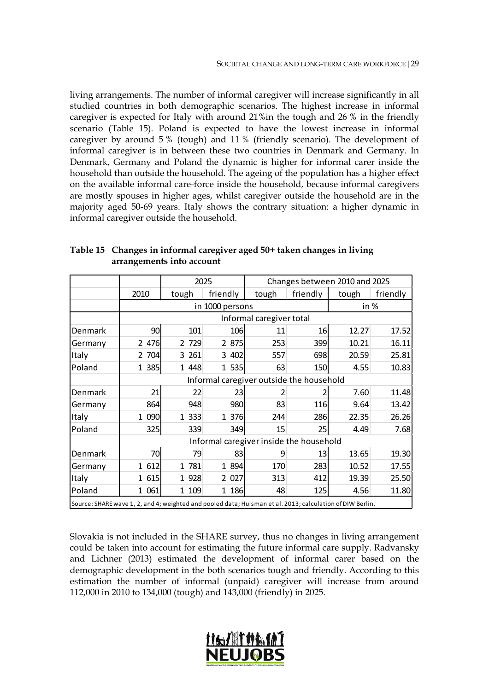living arrangements. The number of informal caregiver will increase significantly in all studied countries in both demographic scenarios. The highest increase in informal caregiver is expected for Italy with around 21%in the tough and 26 % in the friendly scenario (Table 15). Poland is expected to have the lowest increase in informal caregiver by around 5 % (tough) and 11 % (friendly scenario). The development of informal caregiver is in between these two countries in Denmark and Germany. In Denmark, Germany and Poland the dynamic is higher for informal carer inside the household than outside the household. The ageing of the population has a higher effect on the available informal care-force inside the household, because informal caregivers are mostly spouses in higher ages, whilst caregiver outside the household are in the majority aged 50-69 years. Italy shows the contrary situation: a higher dynamic in informal caregiver outside the household.

|                                                                                                           |         |         | 2025            | Changes between 2010 and 2025            |          |       |          |
|-----------------------------------------------------------------------------------------------------------|---------|---------|-----------------|------------------------------------------|----------|-------|----------|
|                                                                                                           | 2010    | tough   | friendly        | tough                                    | friendly | tough | friendly |
|                                                                                                           |         |         | in 1000 persons |                                          |          | in %  |          |
|                                                                                                           |         |         |                 | Informal caregiver total                 |          |       |          |
| Denmark                                                                                                   | 90      | 101     | 106             | 11                                       | 16       | 12.27 | 17.52    |
| Germany                                                                                                   | 2 476   | 2 729   | 2 875           | 253                                      | 399      | 10.21 | 16.11    |
| Italy                                                                                                     | 2 704   | 3 261   | 3 402           | 557                                      | 698      | 20.59 | 25.81    |
| Poland                                                                                                    | 1 385   | 1 4 4 8 | 1 535           | 63                                       | 150      | 4.55  | 10.83    |
|                                                                                                           |         |         |                 | Informal caregiver outside the household |          |       |          |
| Denmark                                                                                                   | 21      | 22      | 23              | 2                                        |          | 7.60  | 11.48    |
| Germany                                                                                                   | 864     | 948     | 980             | 83                                       | 116      | 9.64  | 13.42    |
| Italy                                                                                                     | 1 0 9 0 | 1 3 3 3 | 1 376           | 244                                      | 286      | 22.35 | 26.26    |
| Poland                                                                                                    | 325     | 339     | 349             | 15                                       | 25       | 4.49  | 7.68     |
|                                                                                                           |         |         |                 | Informal caregiver inside the household  |          |       |          |
| Denmark                                                                                                   | 70      | 79      | 83              | 9                                        | 13       | 13.65 | 19.30    |
| Germany                                                                                                   | 1 612   | 1 781   | 1 894           | 170                                      | 283      | 10.52 | 17.55    |
| Italy                                                                                                     | 1 615   | 1 928   | 2 027           | 313                                      | 412      | 19.39 | 25.50    |
| Poland                                                                                                    | 1 061   | 1 109   | 1 186           | 48                                       | 125      | 4.56  | 11.80    |
| Source: SHARE wave 1, 2, and 4; weighted and pooled data; Huisman et al. 2013; calculation of DIW Berlin. |         |         |                 |                                          |          |       |          |

<span id="page-28-0"></span>**Table 15 Changes in informal caregiver aged 50+ taken changes in living arrangements into account**

Slovakia is not included in the SHARE survey, thus no changes in living arrangement could be taken into account for estimating the future informal care supply. Radvansky and Lichner (2013) estimated the development of informal carer based on the demographic development in the both scenarios tough and friendly. According to this estimation the number of informal (unpaid) caregiver will increase from around 112,000 in 2010 to 134,000 (tough) and 143,000 (friendly) in 2025.

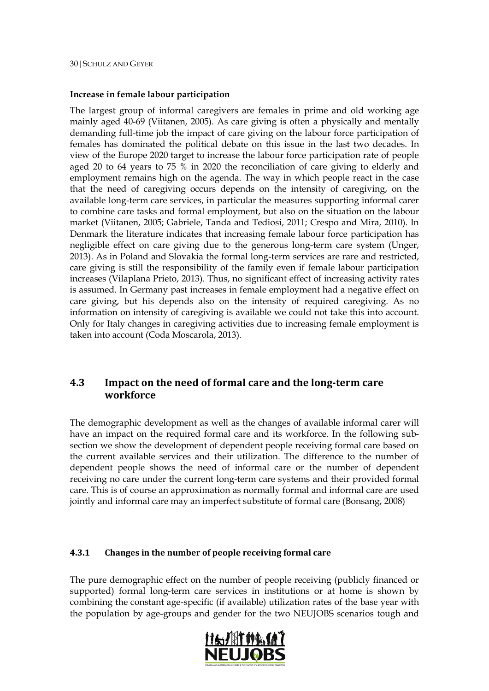#### **Increase in female labour participation**

The largest group of informal caregivers are females in prime and old working age mainly aged 40-69 (Viitanen, 2005). As care giving is often a physically and mentally demanding full-time job the impact of care giving on the labour force participation of females has dominated the political debate on this issue in the last two decades. In view of the Europe 2020 target to increase the labour force participation rate of people aged 20 to 64 years to 75 % in 2020 the reconciliation of care giving to elderly and employment remains high on the agenda. The way in which people react in the case that the need of caregiving occurs depends on the intensity of caregiving, on the available long-term care services, in particular the measures supporting informal carer to combine care tasks and formal employment, but also on the situation on the labour market (Viitanen, 2005; Gabriele, Tanda and Tediosi, 2011; Crespo and Mira, 2010). In Denmark the literature indicates that increasing female labour force participation has negligible effect on care giving due to the generous long-term care system (Unger, 2013). As in Poland and Slovakia the formal long-term services are rare and restricted, care giving is still the responsibility of the family even if female labour participation increases (Vilaplana Prieto, 2013). Thus, no significant effect of increasing activity rates is assumed. In Germany past increases in female employment had a negative effect on care giving, but his depends also on the intensity of required caregiving. As no information on intensity of caregiving is available we could not take this into account. Only for Italy changes in caregiving activities due to increasing female employment is taken into account (Coda Moscarola, 2013).

## **4.3 Impact on the need of formal care and the long-term care workforce**

The demographic development as well as the changes of available informal carer will have an impact on the required formal care and its workforce. In the following subsection we show the development of dependent people receiving formal care based on the current available services and their utilization. The difference to the number of dependent people shows the need of informal care or the number of dependent receiving no care under the current long-term care systems and their provided formal care. This is of course an approximation as normally formal and informal care are used jointly and informal care may an imperfect substitute of formal care (Bonsang, 2008)

#### **4.3.1 Changes in the number of people receiving formal care**

The pure demographic effect on the number of people receiving (publicly financed or supported) formal long-term care services in institutions or at home is shown by combining the constant age-specific (if available) utilization rates of the base year with the population by age-groups and gender for the two NEUJOBS scenarios tough and

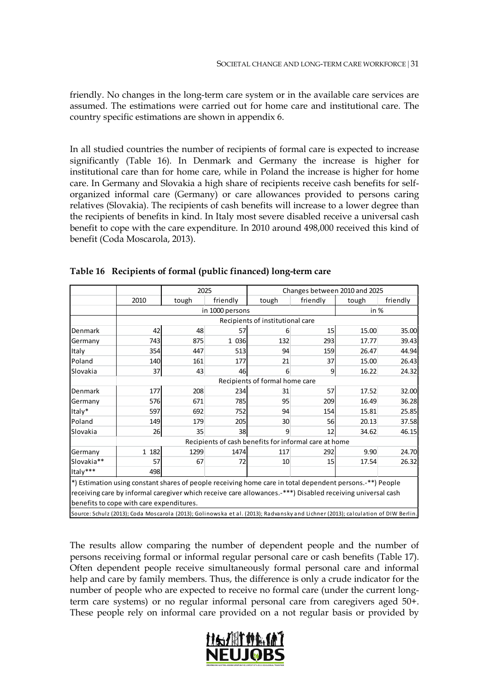friendly. No changes in the long-term care system or in the available care services are assumed. The estimations were carried out for home care and institutional care. The country specific estimations are shown in appendix 6.

In all studied countries the number of recipients of formal care is expected to increase significantly (Table 16). In Denmark and Germany the increase is higher for institutional care than for home care, while in Poland the increase is higher for home care. In Germany and Slovakia a high share of recipients receive cash benefits for selforganized informal care (Germany) or care allowances provided to persons caring relatives (Slovakia). The recipients of cash benefits will increase to a lower degree than the recipients of benefits in kind. In Italy most severe disabled receive a universal cash benefit to cope with the care expenditure. In 2010 around 498,000 received this kind of benefit (Coda Moscarola, 2013).

|            |                                                                                                                                  | 2025  |                 |                                  | Changes between 2010 and 2025                         |       |          |  |
|------------|----------------------------------------------------------------------------------------------------------------------------------|-------|-----------------|----------------------------------|-------------------------------------------------------|-------|----------|--|
|            | 2010                                                                                                                             | tough | friendly        | tough                            | friendly                                              | tough | friendly |  |
|            |                                                                                                                                  |       | in 1000 persons |                                  |                                                       | in %  |          |  |
|            |                                                                                                                                  |       |                 | Recipients of institutional care |                                                       |       |          |  |
| Denmark    | 42                                                                                                                               | 48    | 57              | 6                                | 15 <sup>1</sup>                                       | 15.00 | 35.00    |  |
| Germany    | 743                                                                                                                              | 875   | 1 0 36          | 132                              | 293                                                   | 17.77 | 39.43    |  |
| Italy      | 354                                                                                                                              | 447   | 513             | 94                               | 159                                                   | 26.47 | 44.94    |  |
| Poland     | 140                                                                                                                              | 161   | 177             | 21                               | 37                                                    | 15.00 | 26.43    |  |
| Slovakia   | 37                                                                                                                               | 43    | 46              | 6                                | $\overline{9}$                                        | 16.22 | 24.32    |  |
|            |                                                                                                                                  |       |                 | Recipients of formal home care   |                                                       |       |          |  |
| Denmark    | 177                                                                                                                              | 208   | 234             | 31                               | 57                                                    | 17.52 | 32.00    |  |
| Germany    | 576l                                                                                                                             | 671   | 785             | 95                               | 209                                                   | 16.49 | 36.28    |  |
| Italy*     | 597                                                                                                                              | 692   | 752             | 94                               | 154                                                   | 15.81 | 25.85    |  |
| Poland     | 149                                                                                                                              | 179   | 205             | 30                               | 56                                                    | 20.13 | 37.58    |  |
| Slovakia   | 26                                                                                                                               | 35    | 38              | 9                                | 12                                                    | 34.62 | 46.15    |  |
|            |                                                                                                                                  |       |                 |                                  | Recipients of cash benefits for informal care at home |       |          |  |
| Germany    | 1 182                                                                                                                            | 1299  | 1474            | 117                              | 292                                                   | 9.90  | 24.70    |  |
| Slovakia** | 57                                                                                                                               | 67    | 72              | 10                               | 15                                                    | 17.54 | 26.32    |  |
| Italy***   | 498                                                                                                                              |       |                 |                                  |                                                       |       |          |  |
|            | *) Estimation using constant shares of people receiving home care in total dependent persons.-**) People                         |       |                 |                                  |                                                       |       |          |  |
|            | receiving care by informal caregiver which receive care allowances.-***) Disabled receiving universal cash                       |       |                 |                                  |                                                       |       |          |  |
|            | benefits to cope with care expenditures.                                                                                         |       |                 |                                  |                                                       |       |          |  |
|            | Source: Schulz (2013); Coda Moscarola (2013); Golinowska et al. (2013); Radvansky and Lichner (2013); calculation of DIW Berlin. |       |                 |                                  |                                                       |       |          |  |

<span id="page-30-0"></span>**Table 16 Recipients of formal (public financed) long-term care**

The results allow comparing the number of dependent people and the number of persons receiving formal or informal regular personal care or cash benefits (Table 17). Often dependent people receive simultaneously formal personal care and informal help and care by family members. Thus, the difference is only a crude indicator for the number of people who are expected to receive no formal care (under the current longterm care systems) or no regular informal personal care from caregivers aged 50+. These people rely on informal care provided on a not regular basis or provided by

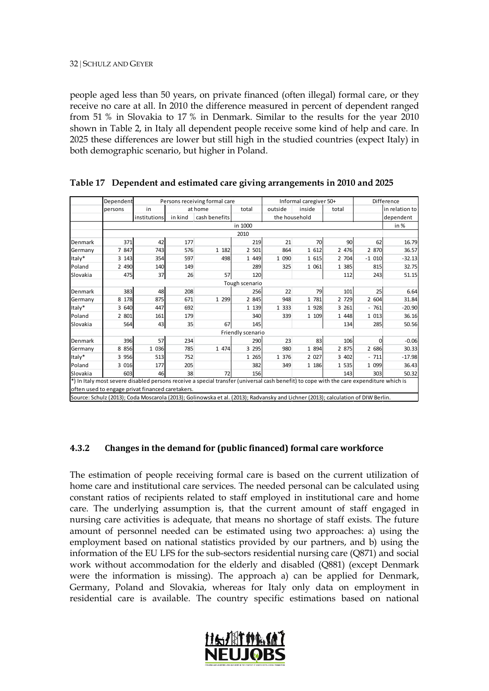people aged less than 50 years, on private financed (often illegal) formal care, or they receive no care at all. In 2010 the difference measured in percent of dependent ranged from 51 % in Slovakia to 17 % in Denmark. Similar to the results for the year 2010 shown in Table 2, in Italy all dependent people receive some kind of help and care. In 2025 these differences are lower but still high in the studied countries (expect Italy) in both demographic scenario, but higher in Poland.

|          | Dependent |                                                  |         | Persons receiving formal care                                                                                                           |                   |               | Informal caregiver 50+ |         | Difference |                |  |
|----------|-----------|--------------------------------------------------|---------|-----------------------------------------------------------------------------------------------------------------------------------------|-------------------|---------------|------------------------|---------|------------|----------------|--|
|          | persons   | in                                               |         | at home                                                                                                                                 | total             | outside       | inside                 | total   |            | in relation to |  |
|          |           | institutions                                     | in kind | cash benefits                                                                                                                           |                   | the household |                        |         |            | dependent      |  |
|          |           |                                                  |         |                                                                                                                                         | in 1000           |               |                        |         |            | in %           |  |
|          |           | 2010                                             |         |                                                                                                                                         |                   |               |                        |         |            |                |  |
| Denmark  | 371       | 42                                               | 177     |                                                                                                                                         | 219               | 21            | 70                     | 90      | 62         | 16.79          |  |
| Germany  | 7 847     | 743                                              | 576     | 1 182                                                                                                                                   | 2 501             | 864           | 1 612                  | 2 4 7 6 | 2 870      | 36.57          |  |
| Italy*   | 3 1 4 3   | 354                                              | 597     | 498                                                                                                                                     | 1 4 4 9           | 1 0 9 0       | 1 615                  | 2 704   | $-1010$    | $-32.13$       |  |
| Poland   | 2 4 9 0   | 140                                              | 149     |                                                                                                                                         | 289               | 325           | 1 0 6 1                | 1 3 8 5 | 815        | 32.75          |  |
| Slovakia | 475       | 37                                               | 26      | 57                                                                                                                                      | 120               |               |                        | 112     | 243        | 51.15          |  |
|          |           |                                                  |         |                                                                                                                                         | Tough scenario    |               |                        |         |            |                |  |
| Denmark  | 383       | 48                                               | 208     |                                                                                                                                         | 256               | 22            | 79                     | 101     | 25         | 6.64           |  |
| Germany  | 8 1 7 8   | 875                                              | 671     | 1 2 9 9                                                                                                                                 | 2 8 4 5           | 948           | 1 781                  | 2 7 2 9 | 2 604      | 31.84          |  |
| Italy*   | 3 640     | 447                                              | 692     |                                                                                                                                         | 1 1 3 9           | 1 3 3 3       | 1 9 2 8                | 3 2 6 1 | $-761$     | $-20.90$       |  |
| Poland   | 2 801     | 161                                              | 179     |                                                                                                                                         | 340               | 339           | 1 109                  | 1 4 4 8 | 1 0 1 3    | 36.16          |  |
| Slovakia | 564       | 43                                               | 35      | 67                                                                                                                                      | 145               |               |                        | 134     | 285        | 50.56          |  |
|          |           |                                                  |         |                                                                                                                                         | Friendly scenario |               |                        |         |            |                |  |
| Denmark  | 396       | 57                                               | 234     |                                                                                                                                         | 290               | 23            | 83                     | 106     | $\Omega$   | $-0.06$        |  |
| Germany  | 8 8 5 6   | 1 0 36                                           | 785     | 1 474                                                                                                                                   | 3 2 9 5           | 980           | 1 8 9 4                | 2 875   | 2 686      | 30.33          |  |
| Italy*   | 3 9 5 6   | 513                                              | 752     |                                                                                                                                         | 1 2 6 5           | 1 376         | 2 0 2 7                | 3 402   | $-711$     | $-17.98$       |  |
| Poland   | 3 0 1 6   | 177                                              | 205     |                                                                                                                                         | 382               | 349           | 1 186                  | 1 535   | 1 0 9 9    | 36.43          |  |
| Slovakia | 603       | 46                                               | 38      | 72                                                                                                                                      | 156               |               |                        | 143     | 303        | 50.32          |  |
|          |           |                                                  |         | *) In Italy most severe disabled persons receive a special transfer (universal cash benefit) to cope with the care expenditure which is |                   |               |                        |         |            |                |  |
|          |           | often used to engage privat financed caretakers. |         |                                                                                                                                         |                   |               |                        |         |            |                |  |
|          |           |                                                  |         | Source: Schulz (2013); Coda Moscarola (2013); Golinowska et al. (2013); Radvansky and Lichner (2013); calculation of DIW Berlin.        |                   |               |                        |         |            |                |  |

<span id="page-31-0"></span>**Table 17 Dependent and estimated care giving arrangements in 2010 and 2025**

#### **4.3.2 Changes in the demand for (public financed) formal care workforce**

The estimation of people receiving formal care is based on the current utilization of home care and institutional care services. The needed personal can be calculated using constant ratios of recipients related to staff employed in institutional care and home care. The underlying assumption is, that the current amount of staff engaged in nursing care activities is adequate, that means no shortage of staff exists. The future amount of personnel needed can be estimated using two approaches: a) using the employment based on national statistics provided by our partners, and b) using the information of the EU LFS for the sub-sectors residential nursing care (Q871) and social work without accommodation for the elderly and disabled (Q881) (except Denmark were the information is missing). The approach a) can be applied for Denmark, Germany, Poland and Slovakia, whereas for Italy only data on employment in residential care is available. The country specific estimations based on national

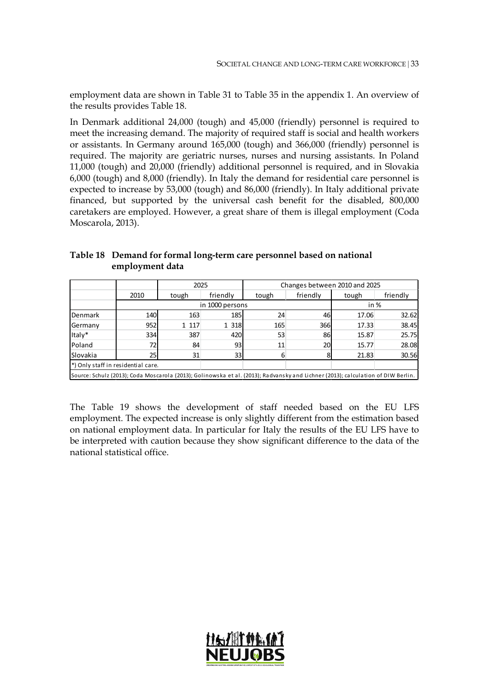employment data are shown in Table 31 to Table 35 in the appendix 1. An overview of the results provides Table 18.

In Denmark additional 24,000 (tough) and 45,000 (friendly) personnel is required to meet the increasing demand. The majority of required staff is social and health workers or assistants. In Germany around 165,000 (tough) and 366,000 (friendly) personnel is required. The majority are geriatric nurses, nurses and nursing assistants. In Poland 11,000 (tough) and 20,000 (friendly) additional personnel is required, and in Slovakia 6,000 (tough) and 8,000 (friendly). In Italy the demand for residential care personnel is expected to increase by 53,000 (tough) and 86,000 (friendly). In Italy additional private financed, but supported by the universal cash benefit for the disabled, 800,000 caretakers are employed. However, a great share of them is illegal employment (Coda Moscarola, 2013).

|                 | chipio vinchi unu |       |                 |                               |          |       |          |
|-----------------|-------------------|-------|-----------------|-------------------------------|----------|-------|----------|
|                 |                   |       | 2025            | Changes between 2010 and 2025 |          |       |          |
|                 | 2010              | tough | friendly        | tough                         | friendly | tough | friendly |
|                 |                   |       | in 1000 persons |                               | in $%$   |       |          |
| <b>IDenmark</b> | 140               | 163   | 185             | 24                            | 46       | 17.06 | 32.62    |
| <b>Germany</b>  | 952               | 1 117 | 1 318           | 165                           | 366      | 17.33 | 38.45    |

Italy\* 334 387 420 53 86 15.87 25.75 Poland 1 72 84 93 11 20 15.77 28.08 Slovakia | 25 31 33 6 8 21.83 30.56

Source: Schulz (2013); Coda Moscarola (2013); Golinowska et al. (2013); Radvansky and Lichner (2013); calculation of DIW Berlin.

<span id="page-32-0"></span>**Table 18 Demand for formal long-term care personnel based on national employment data**

\*) Only staff in residential care.

The Table 19 shows the development of staff needed based on the EU LFS employment. The expected increase is only slightly different from the estimation based on national employment data. In particular for Italy the results of the EU LFS have to be interpreted with caution because they show significant difference to the data of the national statistical office.

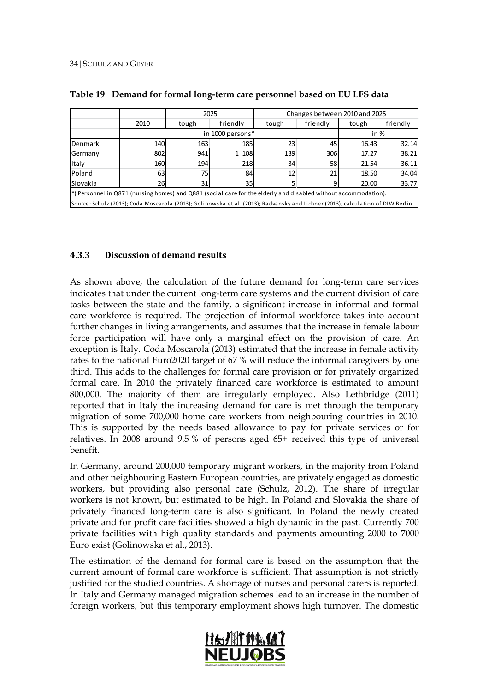|                                                                                                                                  |                          |       | 2025       | Changes between 2010 and 2025 |          |       |          |  |
|----------------------------------------------------------------------------------------------------------------------------------|--------------------------|-------|------------|-------------------------------|----------|-------|----------|--|
|                                                                                                                                  | 2010                     | tough | friendly   | tough                         | friendly | tough | friendly |  |
|                                                                                                                                  | in 1000 persons*<br>in % |       |            |                               |          |       |          |  |
| Denmark                                                                                                                          | 140                      | 163   | <b>185</b> | 23                            | 45       | 16.43 | 32.14    |  |
| Germany                                                                                                                          | 802                      | 941   | 1 108      | 139                           | 306      | 17.27 | 38.21    |  |
| Italy                                                                                                                            | 160                      | 194   | 218        | 34                            | 58       | 21.54 | 36.11    |  |
| Poland                                                                                                                           | 63                       | 75    | 84         | 12                            | 21       | 18.50 | 34.04    |  |
| Slovakia                                                                                                                         | 26                       | 31    | 35         | 5                             |          | 20.00 | 33.77    |  |
| $ $ *) Personnel in Q871 (nursing homes) and Q881 (social care for the elderly and disabled without accommodation).              |                          |       |            |                               |          |       |          |  |
| Source: Schulz (2013); Coda Moscarola (2013); Golinowska et al. (2013); Radvansky and Lichner (2013); calculation of DIW Berlin. |                          |       |            |                               |          |       |          |  |

<span id="page-33-0"></span>

|  | Table 19 Demand for formal long-term care personnel based on EU LFS data |  |  |  |  |  |
|--|--------------------------------------------------------------------------|--|--|--|--|--|
|--|--------------------------------------------------------------------------|--|--|--|--|--|

#### **4.3.3 Discussion of demand results**

As shown above, the calculation of the future demand for long-term care services indicates that under the current long-term care systems and the current division of care tasks between the state and the family, a significant increase in informal and formal care workforce is required. The projection of informal workforce takes into account further changes in living arrangements, and assumes that the increase in female labour force participation will have only a marginal effect on the provision of care. An exception is Italy. Coda Moscarola (2013) estimated that the increase in female activity rates to the national Euro2020 target of 67 % will reduce the informal caregivers by one third. This adds to the challenges for formal care provision or for privately organized formal care. In 2010 the privately financed care workforce is estimated to amount 800,000. The majority of them are irregularly employed. Also Lethbridge (2011) reported that in Italy the increasing demand for care is met through the temporary migration of some 700,000 home care workers from neighbouring countries in 2010. This is supported by the needs based allowance to pay for private services or for relatives. In 2008 around 9.5 % of persons aged 65+ received this type of universal benefit.

In Germany, around 200,000 temporary migrant workers, in the majority from Poland and other neighbouring Eastern European countries, are privately engaged as domestic workers, but providing also personal care (Schulz, 2012). The share of irregular workers is not known, but estimated to be high. In Poland and Slovakia the share of privately financed long-term care is also significant. In Poland the newly created private and for profit care facilities showed a high dynamic in the past. Currently 700 private facilities with high quality standards and payments amounting 2000 to 7000 Euro exist (Golinowska et al., 2013).

The estimation of the demand for formal care is based on the assumption that the current amount of formal care workforce is sufficient. That assumption is not strictly justified for the studied countries. A shortage of nurses and personal carers is reported. In Italy and Germany managed migration schemes lead to an increase in the number of foreign workers, but this temporary employment shows high turnover. The domestic

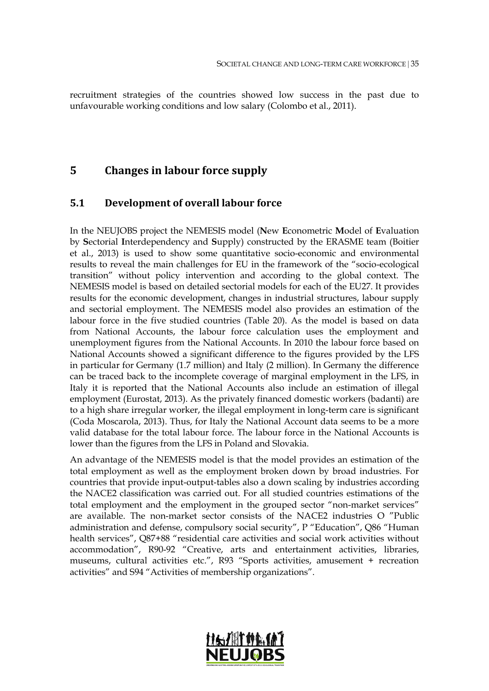recruitment strategies of the countries showed low success in the past due to unfavourable working conditions and low salary (Colombo et al., 2011).

### **5 Changes in labour force supply**

#### **5.1 Development of overall labour force**

In the NEUJOBS project the NEMESIS model (**N**ew **E**conometric **M**odel of **E**valuation by **S**ectorial **I**nterdependency and **S**upply) constructed by the ERASME team (Boitier et al., 2013) is used to show some quantitative socio-economic and environmental results to reveal the main challenges for EU in the framework of the "socio-ecological transition" without policy intervention and according to the global context. The NEMESIS model is based on detailed sectorial models for each of the EU27. It provides results for the economic development, changes in industrial structures, labour supply and sectorial employment. The NEMESIS model also provides an estimation of the labour force in the five studied countries (Table 20). As the model is based on data from National Accounts, the labour force calculation uses the employment and unemployment figures from the National Accounts. In 2010 the labour force based on National Accounts showed a significant difference to the figures provided by the LFS in particular for Germany (1.7 million) and Italy (2 million). In Germany the difference can be traced back to the incomplete coverage of marginal employment in the LFS, in Italy it is reported that the National Accounts also include an estimation of illegal employment (Eurostat, 2013). As the privately financed domestic workers (badanti) are to a high share irregular worker, the illegal employment in long-term care is significant (Coda Moscarola, 2013). Thus, for Italy the National Account data seems to be a more valid database for the total labour force. The labour force in the National Accounts is lower than the figures from the LFS in Poland and Slovakia.

An advantage of the NEMESIS model is that the model provides an estimation of the total employment as well as the employment broken down by broad industries. For countries that provide input-output-tables also a down scaling by industries according the NACE2 classification was carried out. For all studied countries estimations of the total employment and the employment in the grouped sector "non-market services" are available. The non-market sector consists of the NACE2 industries O "Public administration and defense, compulsory social security", P "Education", Q86 "Human health services", Q87+88 "residential care activities and social work activities without accommodation", R90-92 "Creative, arts and entertainment activities, libraries, museums, cultural activities etc.", R93 "Sports activities, amusement + recreation activities" and S94 "Activities of membership organizations".

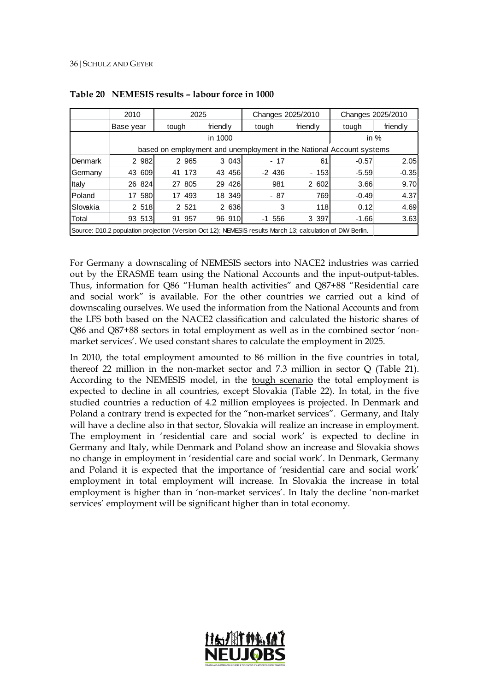|                                                                                                            | 2010                                                                 |       | 2025    |          | Changes 2025/2010 |           |   | Changes 2025/2010 |         |          |
|------------------------------------------------------------------------------------------------------------|----------------------------------------------------------------------|-------|---------|----------|-------------------|-----------|---|-------------------|---------|----------|
|                                                                                                            | Base year                                                            | tough |         | friendly |                   | tough     |   | friendly          | tough   | friendly |
|                                                                                                            | in 1000                                                              |       |         |          |                   |           |   |                   |         | in $%$   |
|                                                                                                            | based on employment and unemployment in the National Account systems |       |         |          |                   |           |   |                   |         |          |
| Denmark                                                                                                    | 2 9 8 2                                                              |       | 2 9 6 5 |          | 3 0 4 3           | $-17$     |   | 61                | $-0.57$ | 2.05     |
| Germany                                                                                                    | 43 609                                                               |       | 41 173  | 43       | 456               | $-2$ 436  |   | $-153$            | $-5.59$ | $-0.35$  |
| Italy                                                                                                      | 26 824                                                               |       | 27 805  |          | 29 426            | 981       |   | 2 602             | 3.66    | 9.70     |
| Poland                                                                                                     | 580<br>17                                                            |       | 17 493  |          | 18 349            | $-87$     |   | 769               | $-0.49$ | 4.37     |
| Slovakia                                                                                                   | 2 518                                                                |       | 2 5 21  |          | 2 636             |           | 3 | 118               | 0.12    | 4.69     |
| Total                                                                                                      | 93 513                                                               |       | 91 957  |          | 96 910            | $-1, 556$ |   | 3 3 9 7           | $-1.66$ | 3.63     |
| Source: D10.2 population projection (Version Oct 12); NEMESIS results March 13; calculation of DIW Berlin. |                                                                      |       |         |          |                   |           |   |                   |         |          |

<span id="page-35-0"></span>**Table 20 NEMESIS results – labour force in 1000**

For Germany a downscaling of NEMESIS sectors into NACE2 industries was carried out by the ERASME team using the National Accounts and the input-output-tables. Thus, information for Q86 "Human health activities" and Q87+88 "Residential care and social work" is available. For the other countries we carried out a kind of downscaling ourselves. We used the information from the National Accounts and from the LFS both based on the NACE2 classification and calculated the historic shares of Q86 and Q87+88 sectors in total employment as well as in the combined sector 'nonmarket services'. We used constant shares to calculate the employment in 2025.

In 2010, the total employment amounted to 86 million in the five countries in total, thereof 22 million in the non-market sector and 7.3 million in sector Q (Table 21). According to the NEMESIS model, in the tough scenario the total employment is expected to decline in all countries, except Slovakia (Table 22). In total, in the five studied countries a reduction of 4.2 million employees is projected. In Denmark and Poland a contrary trend is expected for the "non-market services". Germany, and Italy will have a decline also in that sector, Slovakia will realize an increase in employment. The employment in 'residential care and social work' is expected to decline in Germany and Italy, while Denmark and Poland show an increase and Slovakia shows no change in employment in 'residential care and social work'. In Denmark, Germany and Poland it is expected that the importance of 'residential care and social work' employment in total employment will increase. In Slovakia the increase in total employment is higher than in 'non-market services'. In Italy the decline 'non-market services' employment will be significant higher than in total economy.

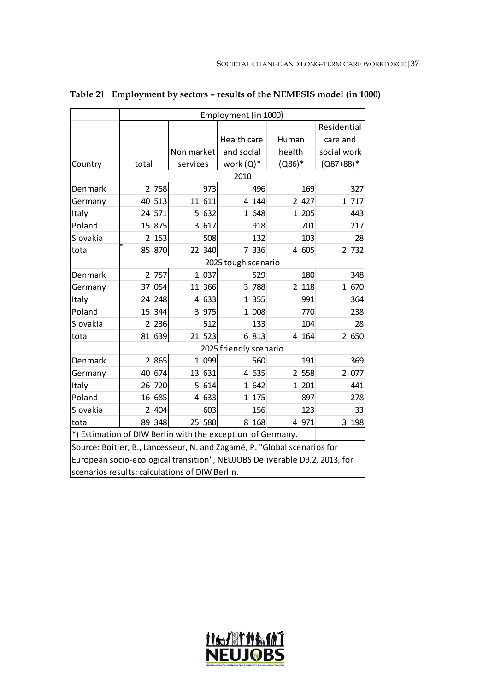|          |                       |                                                                            | Employment (in 1000)   |           |             |  |  |  |  |  |  |  |
|----------|-----------------------|----------------------------------------------------------------------------|------------------------|-----------|-------------|--|--|--|--|--|--|--|
|          |                       |                                                                            |                        |           | Residential |  |  |  |  |  |  |  |
|          |                       |                                                                            | Health care            | Human     | care and    |  |  |  |  |  |  |  |
|          |                       | Non market                                                                 | and social             | health    | social work |  |  |  |  |  |  |  |
| Country  | total                 | services                                                                   | work (Q)*              | $(0.86)*$ | $(Q87+88)*$ |  |  |  |  |  |  |  |
|          |                       |                                                                            | 2010                   |           |             |  |  |  |  |  |  |  |
| Denmark  | 2 758                 | 973                                                                        | 496                    | 169       | 327         |  |  |  |  |  |  |  |
| Germany  | 40 513                | 11 611                                                                     | 4 1 4 4                | 2 4 2 7   | 1 717       |  |  |  |  |  |  |  |
| Italy    | 24 571                | 5 632                                                                      | 1 648                  | 1 205     | 443         |  |  |  |  |  |  |  |
| Poland   | 15 875                | 3 617                                                                      | 918                    | 701       | 217         |  |  |  |  |  |  |  |
| Slovakia | 2 153                 | 508                                                                        | 132                    | 103       | 28          |  |  |  |  |  |  |  |
| total    | 85 870                | 22 340                                                                     | 7 336                  | 4 605     | 2 732       |  |  |  |  |  |  |  |
|          | 2025 tough scenario   |                                                                            |                        |           |             |  |  |  |  |  |  |  |
| Denmark  | 2 757                 | 1 0 37                                                                     | 529                    | 180       | 348         |  |  |  |  |  |  |  |
| Germany  | 37 054                | 11 366                                                                     | 3 788                  | 2 1 1 8   | 1 670       |  |  |  |  |  |  |  |
| Italy    | 24 248                | 4 633                                                                      | 1 355                  | 991       | 364         |  |  |  |  |  |  |  |
| Poland   | 15 344                | 3 975                                                                      | 1 008                  | 770       | 238         |  |  |  |  |  |  |  |
| Slovakia | 2 2 3 6               | 512                                                                        | 133                    | 104       | 28          |  |  |  |  |  |  |  |
| total    | 81 639                | 21 523                                                                     | 6 813                  | 4 1 64    | 2 650       |  |  |  |  |  |  |  |
|          |                       |                                                                            | 2025 friendly scenario |           |             |  |  |  |  |  |  |  |
| Denmark  | 2 865                 | 1 099                                                                      | 560                    | 191       | 369         |  |  |  |  |  |  |  |
| Germany  | 40 674                | 13 631                                                                     | 4 635                  | 2 5 5 8   | 2 077       |  |  |  |  |  |  |  |
| Italy    | 26 720                | 5 614                                                                      | 1 642                  | 1 201     | 441         |  |  |  |  |  |  |  |
| Poland   | 16 685                | 4 633                                                                      | 1 175                  | 897       | 278         |  |  |  |  |  |  |  |
| Slovakia | 404<br>$\overline{2}$ | 603                                                                        | 156                    | 123       | 33          |  |  |  |  |  |  |  |
| total    | 89 348                | 25 580                                                                     | 8 1 6 8                | 4 971     | 3 1 9 8     |  |  |  |  |  |  |  |
|          |                       | *) Estimation of DIW Berlin with the exception of Germany.                 |                        |           |             |  |  |  |  |  |  |  |
|          |                       | Source: Boitier, B., Lancesseur, N. and Zagamé, P. "Global scenarios for   |                        |           |             |  |  |  |  |  |  |  |
|          |                       | European socio-ecological transition", NEUJOBS Deliverable D9.2, 2013, for |                        |           |             |  |  |  |  |  |  |  |
|          |                       | scenarios results; calculations of DIW Berlin.                             |                        |           |             |  |  |  |  |  |  |  |

**Table 21 Employment by sectors – results of the NEMESIS model (in 1000)**

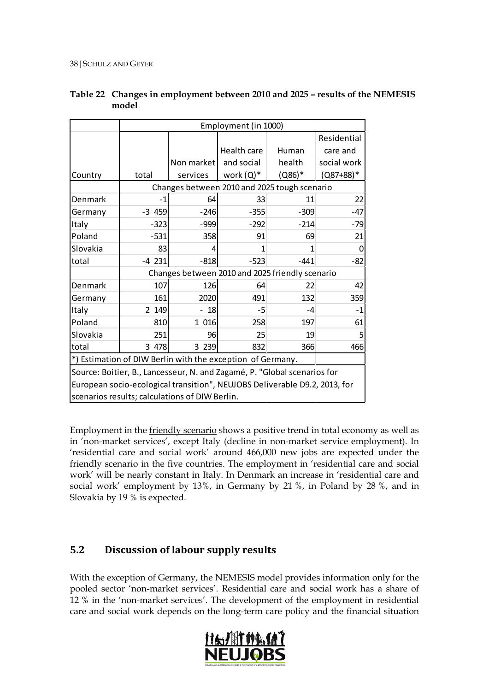|          |          |                                                | Employment (in 1000)                                                       |          |             |
|----------|----------|------------------------------------------------|----------------------------------------------------------------------------|----------|-------------|
|          |          |                                                |                                                                            |          | Residential |
|          |          |                                                | Health care                                                                | Human    | care and    |
|          |          | Non market                                     | and social                                                                 | health   | social work |
| Country  | total    | services                                       | work $(Q)^*$                                                               | $(Q86)*$ | $(Q87+88)*$ |
|          |          |                                                | Changes between 2010 and 2025 tough scenario                               |          |             |
| Denmark  | -1       | 64                                             | 33                                                                         | 11       | 22          |
| Germany  | $-3$ 459 | $-246$                                         | $-355$                                                                     | $-309$   | $-47$       |
| Italy    | $-323$   | $-999$                                         | $-292$                                                                     | $-214$   | $-79$       |
| Poland   | $-531$   | 358                                            | 91                                                                         | 69       | 21          |
| Slovakia | 83       | 4                                              | 1                                                                          | 1        |             |
| total    | $-4$ 231 | $-818$                                         | $-523$<br>$-441$                                                           |          | -82         |
|          |          |                                                | Changes between 2010 and 2025 friendly scenario                            |          |             |
| Denmark  | 107      | 126                                            | 64                                                                         | 22       | 42          |
| Germany  | 161      | 2020                                           | 491                                                                        | 132      | 359         |
| Italy    | 2 149    | 18                                             | -5                                                                         | -4       | $-1$        |
| Poland   | 810      | 1 016                                          | 258                                                                        | 197      | 61          |
| Slovakia | 251      | 96                                             | 25                                                                         | 19       |             |
| total    | 3 478    | 3 2 3 9                                        | 832                                                                        | 366      | 466         |
|          |          |                                                | *) Estimation of DIW Berlin with the exception of Germany.                 |          |             |
|          |          |                                                | Source: Boitier, B., Lancesseur, N. and Zagamé, P. "Global scenarios for   |          |             |
|          |          |                                                | European socio-ecological transition", NEUJOBS Deliverable D9.2, 2013, for |          |             |
|          |          | scenarios results; calculations of DIW Berlin. |                                                                            |          |             |

## **Table 22 Changes in employment between 2010 and 2025 – results of the NEMESIS model**

Employment in the **friendly scenario** shows a positive trend in total economy as well as in 'non-market services', except Italy (decline in non-market service employment). In 'residential care and social work' around 466,000 new jobs are expected under the friendly scenario in the five countries. The employment in 'residential care and social work' will be nearly constant in Italy. In Denmark an increase in 'residential care and social work' employment by 13%, in Germany by 21 %, in Poland by 28 %, and in Slovakia by 19 % is expected.

# **5.2 Discussion of labour supply results**

With the exception of Germany, the NEMESIS model provides information only for the pooled sector 'non-market services'. Residential care and social work has a share of 12 % in the 'non-market services'. The development of the employment in residential care and social work depends on the long-term care policy and the financial situation

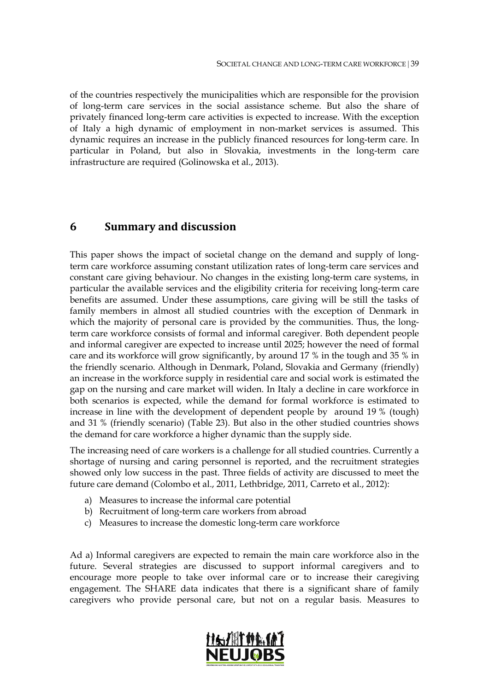of the countries respectively the municipalities which are responsible for the provision of long-term care services in the social assistance scheme. But also the share of privately financed long-term care activities is expected to increase. With the exception of Italy a high dynamic of employment in non-market services is assumed. This dynamic requires an increase in the publicly financed resources for long-term care. In particular in Poland, but also in Slovakia, investments in the long-term care infrastructure are required (Golinowska et al., 2013).

# **6 Summary and discussion**

This paper shows the impact of societal change on the demand and supply of longterm care workforce assuming constant utilization rates of long-term care services and constant care giving behaviour. No changes in the existing long-term care systems, in particular the available services and the eligibility criteria for receiving long-term care benefits are assumed. Under these assumptions, care giving will be still the tasks of family members in almost all studied countries with the exception of Denmark in which the majority of personal care is provided by the communities. Thus, the longterm care workforce consists of formal and informal caregiver. Both dependent people and informal caregiver are expected to increase until 2025; however the need of formal care and its workforce will grow significantly, by around 17 % in the tough and 35 % in the friendly scenario. Although in Denmark, Poland, Slovakia and Germany (friendly) an increase in the workforce supply in residential care and social work is estimated the gap on the nursing and care market will widen. In Italy a decline in care workforce in both scenarios is expected, while the demand for formal workforce is estimated to increase in line with the development of dependent people by around 19 % (tough) and 31 % (friendly scenario) (Table 23). But also in the other studied countries shows the demand for care workforce a higher dynamic than the supply side.

The increasing need of care workers is a challenge for all studied countries. Currently a shortage of nursing and caring personnel is reported, and the recruitment strategies showed only low success in the past. Three fields of activity are discussed to meet the future care demand (Colombo et al., 2011, Lethbridge, 2011, Carreto et al., 2012):

- a) Measures to increase the informal care potential
- b) Recruitment of long-term care workers from abroad
- c) Measures to increase the domestic long-term care workforce

Ad a) Informal caregivers are expected to remain the main care workforce also in the future. Several strategies are discussed to support informal caregivers and to encourage more people to take over informal care or to increase their caregiving engagement. The SHARE data indicates that there is a significant share of family caregivers who provide personal care, but not on a regular basis. Measures to

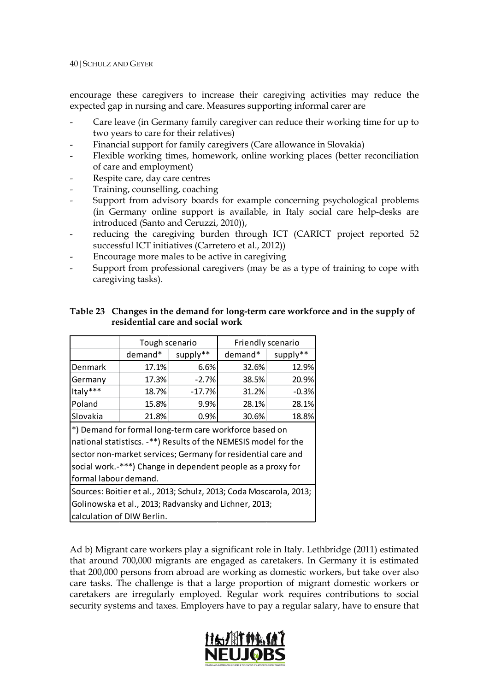encourage these caregivers to increase their caregiving activities may reduce the expected gap in nursing and care. Measures supporting informal carer are

- Care leave (in Germany family caregiver can reduce their working time for up to two years to care for their relatives)
- Financial support for family caregivers (Care allowance in Slovakia)
- Flexible working times, homework, online working places (better reconciliation of care and employment)
- Respite care, day care centres
- Training, counselling, coaching
- Support from advisory boards for example concerning psychological problems (in Germany online support is available, in Italy social care help-desks are introduced (Santo and Ceruzzi, 2010)),
- reducing the caregiving burden through ICT (CARICT project reported 52 successful ICT initiatives (Carretero et al., 2012))
- Encourage more males to be active in caregiving
- Support from professional caregivers (may be as a type of training to cope with caregiving tasks).

### **Table 23 Changes in the demand for long-term care workforce and in the supply of residential care and social work**

|                                                        | Tough scenario                                                     |          | Friendly scenario |          |  |  |  |  |  |
|--------------------------------------------------------|--------------------------------------------------------------------|----------|-------------------|----------|--|--|--|--|--|
|                                                        | demand*                                                            | supply** | demand*           | supply** |  |  |  |  |  |
| Denmark                                                | 17.1%                                                              | 6.6%     | 32.6%             | 12.9%    |  |  |  |  |  |
| Germany                                                | 17.3%                                                              | $-2.7%$  | 38.5%             | 20.9%    |  |  |  |  |  |
| Italy***                                               | 18.7%                                                              | $-17.7%$ | $-0.3%$           |          |  |  |  |  |  |
| Poland                                                 | 15.8%                                                              | 9.9%     | 28.1%             | 28.1%    |  |  |  |  |  |
| Slovakia                                               | 21.8%                                                              | 0.9%     | 30.6%             | 18.8%    |  |  |  |  |  |
| *) Demand for formal long-term care workforce based on |                                                                    |          |                   |          |  |  |  |  |  |
|                                                        | national statistiscs. -**) Results of the NEMESIS model for the    |          |                   |          |  |  |  |  |  |
|                                                        | sector non-market services; Germany for residential care and       |          |                   |          |  |  |  |  |  |
|                                                        | social work.-***) Change in dependent people as a proxy for        |          |                   |          |  |  |  |  |  |
| formal labour demand.                                  |                                                                    |          |                   |          |  |  |  |  |  |
|                                                        | Sources: Boitier et al., 2013; Schulz, 2013; Coda Moscarola, 2013; |          |                   |          |  |  |  |  |  |
|                                                        | Golinowska et al., 2013; Radvansky and Lichner, 2013;              |          |                   |          |  |  |  |  |  |
|                                                        | calculation of DIW Berlin.                                         |          |                   |          |  |  |  |  |  |

Ad b) Migrant care workers play a significant role in Italy. Lethbridge (2011) estimated that around 700,000 migrants are engaged as caretakers. In Germany it is estimated that 200,000 persons from abroad are working as domestic workers, but take over also care tasks. The challenge is that a large proportion of migrant domestic workers or caretakers are irregularly employed. Regular work requires contributions to social security systems and taxes. Employers have to pay a regular salary, have to ensure that

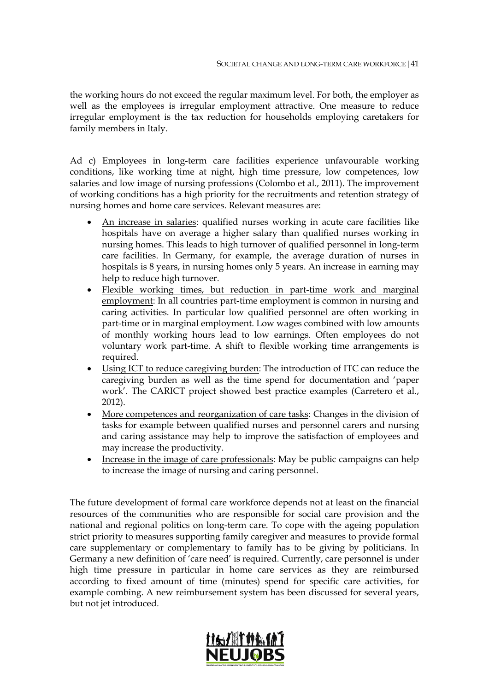the working hours do not exceed the regular maximum level. For both, the employer as well as the employees is irregular employment attractive. One measure to reduce irregular employment is the tax reduction for households employing caretakers for family members in Italy.

Ad c) Employees in long-term care facilities experience unfavourable working conditions, like working time at night, high time pressure, low competences, low salaries and low image of nursing professions (Colombo et al., 2011). The improvement of working conditions has a high priority for the recruitments and retention strategy of nursing homes and home care services. Relevant measures are:

- An increase in salaries: qualified nurses working in acute care facilities like hospitals have on average a higher salary than qualified nurses working in nursing homes. This leads to high turnover of qualified personnel in long-term care facilities. In Germany, for example, the average duration of nurses in hospitals is 8 years, in nursing homes only 5 years. An increase in earning may help to reduce high turnover.
- Flexible working times, but reduction in part-time work and marginal employment: In all countries part-time employment is common in nursing and caring activities. In particular low qualified personnel are often working in part-time or in marginal employment. Low wages combined with low amounts of monthly working hours lead to low earnings. Often employees do not voluntary work part-time. A shift to flexible working time arrangements is required.
- Using ICT to reduce caregiving burden: The introduction of ITC can reduce the caregiving burden as well as the time spend for documentation and 'paper work'. The CARICT project showed best practice examples (Carretero et al., 2012).
- More competences and reorganization of care tasks: Changes in the division of tasks for example between qualified nurses and personnel carers and nursing and caring assistance may help to improve the satisfaction of employees and may increase the productivity.
- Increase in the image of care professionals: May be public campaigns can help to increase the image of nursing and caring personnel.

The future development of formal care workforce depends not at least on the financial resources of the communities who are responsible for social care provision and the national and regional politics on long-term care. To cope with the ageing population strict priority to measures supporting family caregiver and measures to provide formal care supplementary or complementary to family has to be giving by politicians. In Germany a new definition of 'care need' is required. Currently, care personnel is under high time pressure in particular in home care services as they are reimbursed according to fixed amount of time (minutes) spend for specific care activities, for example combing. A new reimbursement system has been discussed for several years, but not jet introduced.

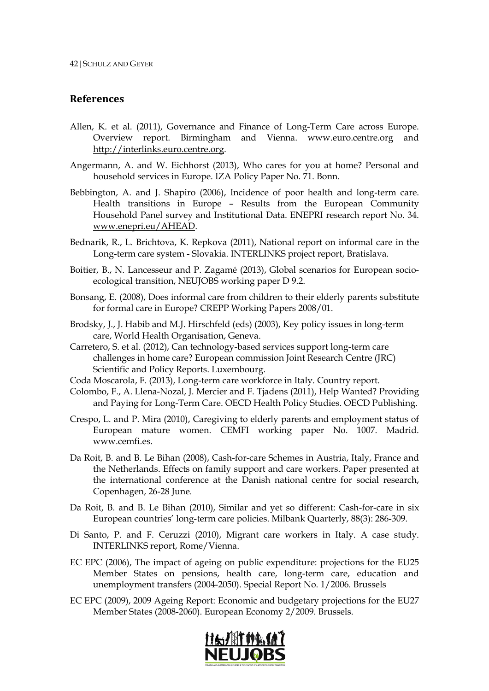### **References**

- Allen, K. et al. (2011), Governance and Finance of Long-Term Care across Europe. Overview report. Birmingham and Vienna. www.euro.centre.org and [http://interlinks.euro.centre.org.](http://interlinks.euro.centre.org/)
- Angermann, A. and W. Eichhorst (2013), Who cares for you at home? Personal and household services in Europe. IZA Policy Paper No. 71. Bonn.
- Bebbington, A. and J. Shapiro (2006), Incidence of poor health and long-term care. Health transitions in Europe – Results from the European Community Household Panel survey and Institutional Data. ENEPRI research report No. 34. [www.enepri.eu/AHEAD.](http://www.enepri.eu/AHEAD)
- Bednarik, R., L. Brichtova, K. Repkova (2011), National report on informal care in the Long-term care system - Slovakia. INTERLINKS project report, Bratislava.
- Boitier, B., N. Lancesseur and P. Zagamé (2013), Global scenarios for European socioecological transition, NEUJOBS working paper D 9.2.
- Bonsang, E. (2008), Does informal care from children to their elderly parents substitute for formal care in Europe? CREPP Working Papers 2008/01.
- Brodsky, J., J. Habib and M.J. Hirschfeld (eds) (2003), Key policy issues in long-term care, World Health Organisation, Geneva.
- Carretero, S. et al. (2012), Can technology-based services support long-term care challenges in home care? European commission Joint Research Centre (JRC) Scientific and Policy Reports. Luxembourg.
- Coda Moscarola, F. (2013), Long-term care workforce in Italy. Country report.
- Colombo, F., A. Llena-Nozal, J. Mercier and F. Tjadens (2011), Help Wanted? Providing and Paying for Long-Term Care. OECD Health Policy Studies. OECD Publishing.
- Crespo, L. and P. Mira (2010), Caregiving to elderly parents and employment status of European mature women. CEMFI working paper No. 1007. Madrid. www.cemfi.es.
- Da Roit, B. and B. Le Bihan (2008), Cash-for-care Schemes in Austria, Italy, France and the Netherlands. Effects on family support and care workers. Paper presented at the international conference at the Danish national centre for social research, Copenhagen, 26-28 June.
- Da Roit, B. and B. Le Bihan (2010), Similar and yet so different: Cash-for-care in six European countries' long-term care policies. Milbank Quarterly, 88(3): 286-309.
- Di Santo, P. and F. Ceruzzi (2010), Migrant care workers in Italy. A case study. INTERLINKS report, Rome/Vienna.
- EC EPC (2006), The impact of ageing on public expenditure: projections for the EU25 Member States on pensions, health care, long-term care, education and unemployment transfers (2004-2050). Special Report No. 1/2006. Brussels
- EC EPC (2009), 2009 Ageing Report: Economic and budgetary projections for the EU27 Member States (2008-2060). European Economy 2/2009. Brussels.

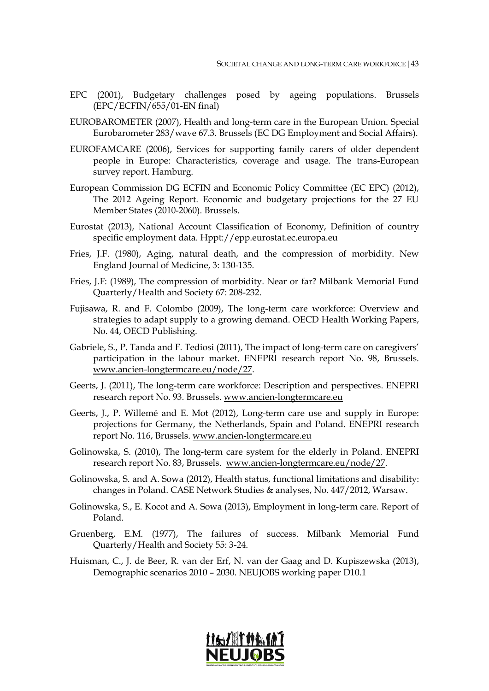- EPC (2001), Budgetary challenges posed by ageing populations. Brussels (EPC/ECFIN/655/01-EN final)
- EUROBAROMETER (2007), Health and long-term care in the European Union. Special Eurobarometer 283/wave 67.3. Brussels (EC DG Employment and Social Affairs).
- EUROFAMCARE (2006), Services for supporting family carers of older dependent people in Europe: Characteristics, coverage and usage. The trans-European survey report. Hamburg.
- European Commission DG ECFIN and Economic Policy Committee (EC EPC) (2012), The 2012 Ageing Report. Economic and budgetary projections for the 27 EU Member States (2010-2060). Brussels.
- Eurostat (2013), National Account Classification of Economy, Definition of country specific employment data. Hppt://epp.eurostat.ec.europa.eu
- Fries, J.F. (1980), Aging, natural death, and the compression of morbidity. New England Journal of Medicine, 3: 130-135.
- Fries, J.F: (1989), The compression of morbidity. Near or far? Milbank Memorial Fund Quarterly/Health and Society 67: 208-232.
- Fujisawa, R. and F. Colombo (2009), The long-term care workforce: Overview and strategies to adapt supply to a growing demand. OECD Health Working Papers, No. 44, OECD Publishing.
- Gabriele, S., P. Tanda and F. Tediosi (2011), The impact of long-term care on caregivers' participation in the labour market. ENEPRI research report No. 98, Brussels. [www.ancien-longtermcare.eu/node/27.](http://www.ancien-longtermcare.eu/node/27)
- Geerts, J. (2011), The long-term care workforce: Description and perspectives. ENEPRI research report No. 93. Brussels. [www.ancien-longtermcare.eu](http://www.ancien-longtermcare.eu/)
- Geerts, J., P. Willemé and E. Mot (2012), Long-term care use and supply in Europe: projections for Germany, the Netherlands, Spain and Poland. ENEPRI research report No. 116, Brussels. [www.ancien-longtermcare.eu](http://www.ancien-longtermcare.eu/)
- Golinowska, S. (2010), The long-term care system for the elderly in Poland. ENEPRI research report No. 83, Brussels. [www.ancien-longtermcare.eu/node/27.](http://www.ancien-longtermcare.eu/node/27)
- Golinowska, S. and A. Sowa (2012), Health status, functional limitations and disability: changes in Poland. CASE Network Studies & analyses, No. 447/2012, Warsaw.
- Golinowska, S., E. Kocot and A. Sowa (2013), Employment in long-term care. Report of Poland.
- Gruenberg, E.M. (1977), The failures of success. Milbank Memorial Fund Quarterly/Health and Society 55: 3-24.
- Huisman, C., J. de Beer, R. van der Erf, N. van der Gaag and D. Kupiszewska (2013), Demographic scenarios 2010 – 2030. NEUJOBS working paper D10.1

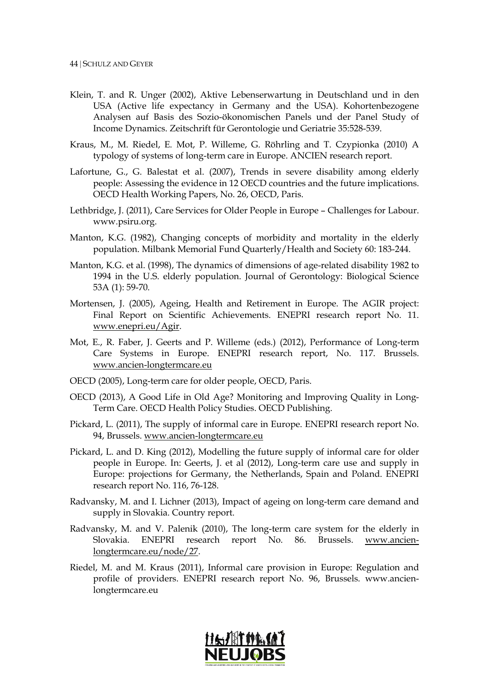- Klein, T. and R. Unger (2002), Aktive Lebenserwartung in Deutschland und in den USA (Active life expectancy in Germany and the USA). Kohortenbezogene Analysen auf Basis des Sozio-ökonomischen Panels und der Panel Study of Income Dynamics. Zeitschrift für Gerontologie und Geriatrie 35:528-539.
- Kraus, M., M. Riedel, E. Mot, P. Willeme, G. Röhrling and T. Czypionka (2010) A typology of systems of long-term care in Europe. ANCIEN research report.
- Lafortune, G., G. Balestat et al. (2007), Trends in severe disability among elderly people: Assessing the evidence in 12 OECD countries and the future implications. OECD Health Working Papers, No. 26, OECD, Paris.
- Lethbridge, J. (2011), Care Services for Older People in Europe Challenges for Labour. www.psiru.org.
- Manton, K.G. (1982), Changing concepts of morbidity and mortality in the elderly population. Milbank Memorial Fund Quarterly/Health and Society 60: 183-244.
- Manton, K.G. et al. (1998), The dynamics of dimensions of age-related disability 1982 to 1994 in the U.S. elderly population. Journal of Gerontology: Biological Science 53A (1): 59-70.
- Mortensen, J. (2005), Ageing, Health and Retirement in Europe. The AGIR project: Final Report on Scientific Achievements. ENEPRI research report No. 11. [www.enepri.eu/Agir.](http://www.enepri.eu/Agir)
- Mot, E., R. Faber, J. Geerts and P. Willeme (eds.) (2012), Performance of Long-term Care Systems in Europe. ENEPRI research report, No. 117. Brussels. [www.ancien-longtermcare.eu](http://www.ancien-longtermcare.eu/)
- OECD (2005), Long-term care for older people, OECD, Paris.
- OECD (2013), A Good Life in Old Age? Monitoring and Improving Quality in Long-Term Care. OECD Health Policy Studies. OECD Publishing.
- Pickard, L. (2011), The supply of informal care in Europe. ENEPRI research report No. 94, Brussels. [www.ancien-longtermcare.eu](http://www.ancien-longtermcare.eu/)
- Pickard, L. and D. King (2012), Modelling the future supply of informal care for older people in Europe. In: Geerts, J. et al (2012), Long-term care use and supply in Europe: projections for Germany, the Netherlands, Spain and Poland. ENEPRI research report No. 116, 76-128.
- Radvansky, M. and I. Lichner (2013), Impact of ageing on long-term care demand and supply in Slovakia. Country report.
- Radvansky, M. and V. Palenik (2010), The long-term care system for the elderly in Slovakia. ENEPRI research report No. 86. Brussels. [www.ancien](http://www.ancien-longtermcare.eu/node/27)[longtermcare.eu/node/27.](http://www.ancien-longtermcare.eu/node/27)
- Riedel, M. and M. Kraus (2011), Informal care provision in Europe: Regulation and profile of providers. ENEPRI research report No. 96, Brussels. www.ancienlongtermcare.eu

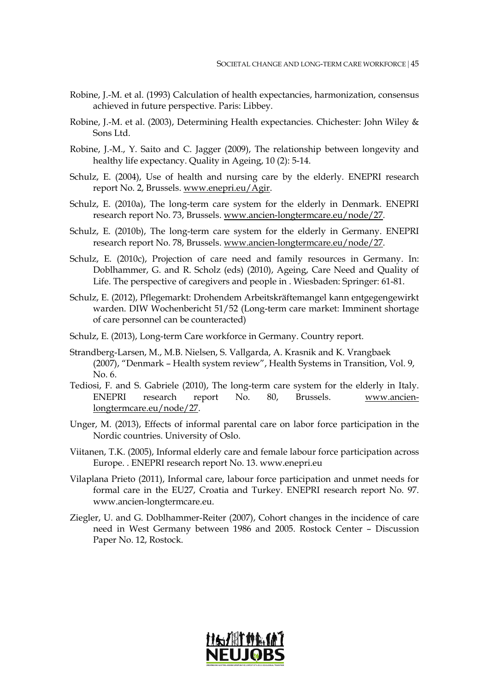- Robine, J.-M. et al. (1993) Calculation of health expectancies, harmonization, consensus achieved in future perspective. Paris: Libbey.
- Robine, J.-M. et al. (2003), Determining Health expectancies. Chichester: John Wiley & Sons Ltd.
- Robine, J.-M., Y. Saito and C. Jagger (2009), The relationship between longevity and healthy life expectancy. Quality in Ageing, 10 (2): 5-14.
- Schulz, E. (2004), Use of health and nursing care by the elderly. ENEPRI research report No. 2, Brussels. [www.enepri.eu/Agir.](http://www.enepri.eu/Agir)
- Schulz, E. (2010a), The long-term care system for the elderly in Denmark. ENEPRI research report No. 73, Brussels. [www.ancien-longtermcare.eu/node/27.](http://www.ancien-longtermcare.eu/node/27)
- Schulz, E. (2010b), The long-term care system for the elderly in Germany. ENEPRI research report No. 78, Brussels. [www.ancien-longtermcare.eu/node/27.](http://www.ancien-longtermcare.eu/node/27)
- Schulz, E. (2010c), Projection of care need and family resources in Germany. In: Doblhammer, G. and R. Scholz (eds) (2010), Ageing, Care Need and Quality of Life. The perspective of caregivers and people in . Wiesbaden: Springer: 61-81.
- Schulz, E. (2012), Pflegemarkt: Drohendem Arbeitskräftemangel kann entgegengewirkt warden. DIW Wochenbericht 51/52 (Long-term care market: Imminent shortage of care personnel can be counteracted)
- Schulz, E. (2013), Long-term Care workforce in Germany. Country report.
- Strandberg-Larsen, M., M.B. Nielsen, S. Vallgarda, A. Krasnik and K. Vrangbaek (2007), "Denmark – Health system review", Health Systems in Transition, Vol. 9, No. 6.
- Tediosi, F. and S. Gabriele (2010), The long-term care system for the elderly in Italy. ENEPRI research report No. 80, Brussels. [www.ancien](http://www.ancien-longtermcare.eu/node/27)[longtermcare.eu/node/27.](http://www.ancien-longtermcare.eu/node/27)
- Unger, M. (2013), Effects of informal parental care on labor force participation in the Nordic countries. University of Oslo.
- Viitanen, T.K. (2005), Informal elderly care and female labour force participation across Europe. . ENEPRI research report No. 13. www.enepri.eu
- Vilaplana Prieto (2011), Informal care, labour force participation and unmet needs for formal care in the EU27, Croatia and Turkey. ENEPRI research report No. 97. www.ancien-longtermcare.eu.
- Ziegler, U. and G. Doblhammer-Reiter (2007), Cohort changes in the incidence of care need in West Germany between 1986 and 2005. Rostock Center – Discussion Paper No. 12, Rostock.

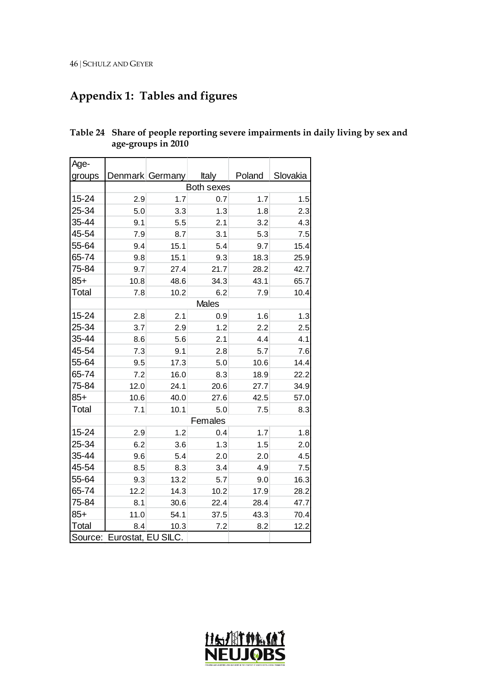# **Appendix 1: Tables and figures**

| Age-   |                            |                 |            |        |          |
|--------|----------------------------|-----------------|------------|--------|----------|
| groups |                            | Denmark Germany | Italy      | Poland | Slovakia |
|        |                            |                 | Both sexes |        |          |
| 15-24  | 2.9                        | 1.7             | 0.7        | 1.7    | 1.5      |
| 25-34  | 5.0                        | 3.3             | 1.3        | 1.8    | 2.3      |
| 35-44  | 9.1                        | 5.5             | 2.1        | 3.2    | 4.3      |
| 45-54  | 7.9                        | 8.7             | 3.1        | 5.3    | 7.5      |
| 55-64  | 9.4                        | 15.1            | 5.4        | 9.7    | 15.4     |
| 65-74  | 9.8                        | 15.1            | 9.3        | 18.3   | 25.9     |
| 75-84  | 9.7                        | 27.4            | 21.7       | 28.2   | 42.7     |
| $85+$  | 10.8                       | 48.6            | 34.3       | 43.1   | 65.7     |
| Total  | 7.8                        | 10.2            | 6.2        | 7.9    | 10.4     |
|        |                            |                 | Males      |        |          |
| 15-24  | 2.8                        | 2.1             | 0.9        | 1.6    | 1.3      |
| 25-34  | 3.7                        | 2.9             | 1.2        | 2.2    | 2.5      |
| 35-44  | 8.6                        | 5.6             | 2.1        | 4.4    | 4.1      |
| 45-54  | 7.3                        | 9.1             | 2.8        | 5.7    | 7.6      |
| 55-64  | 9.5                        | 17.3            | 5.0        | 10.6   | 14.4     |
| 65-74  | 7.2                        | 16.0            | 8.3        | 18.9   | 22.2     |
| 75-84  | 12.0                       | 24.1            | 20.6       | 27.7   | 34.9     |
| $85+$  | 10.6                       | 40.0            | 27.6       | 42.5   | 57.0     |
| Total  | 7.1                        | 10.1            | 5.0        | 7.5    | 8.3      |
|        |                            |                 | Females    |        |          |
| 15-24  | 2.9                        | 1.2             | 0.4        | 1.7    | 1.8      |
| 25-34  | 6.2                        | 3.6             | 1.3        | 1.5    | 2.0      |
| 35-44  | 9.6                        | 5.4             | 2.0        | 2.0    | 4.5      |
| 45-54  | 8.5                        | 8.3             | 3.4        | 4.9    | 7.5      |
| 55-64  | 9.3                        | 13.2            | 5.7        | 9.0    | 16.3     |
| 65-74  | 12.2                       | 14.3            | 10.2       | 17.9   | 28.2     |
| 75-84  | 8.1                        | 30.6            | 22.4       | 28.4   | 47.7     |
| $85+$  | 11.0                       | 54.1            | 37.5       | 43.3   | 70.4     |
| Total  | 8.4                        | 10.3            | 7.2        | 8.2    | 12.2     |
|        | Source: Eurostat, EU SILC. |                 |            |        |          |

**Table 24 Share of people reporting severe impairments in daily living by sex and age-groups in 2010**

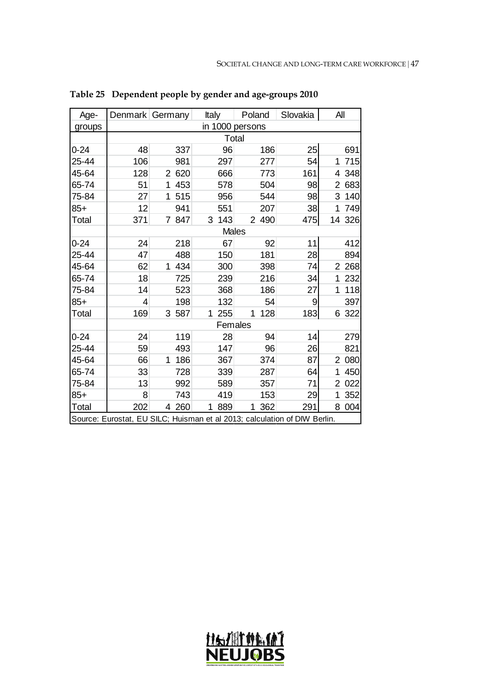| Age-     |                                                                           | Denmark Germany     | Italy           | Poland                | Slovakia | All                   |  |  |  |  |  |  |  |
|----------|---------------------------------------------------------------------------|---------------------|-----------------|-----------------------|----------|-----------------------|--|--|--|--|--|--|--|
| groups   |                                                                           |                     | in 1000 persons |                       |          |                       |  |  |  |  |  |  |  |
|          |                                                                           |                     | Total           |                       |          |                       |  |  |  |  |  |  |  |
| $0 - 24$ | 48                                                                        | 337                 | 96              | 186                   | 25       | 691                   |  |  |  |  |  |  |  |
| 25-44    | 106                                                                       | 981                 | 297             | 277                   | 54       | 715<br>1              |  |  |  |  |  |  |  |
| 45-64    | 128                                                                       | 2 6 2 0             | 666             | 773                   | 161      | 348<br>4              |  |  |  |  |  |  |  |
| 65-74    | 51                                                                        | $\mathbf{1}$<br>453 | 578             | 504                   | 98       | $\overline{2}$<br>683 |  |  |  |  |  |  |  |
| 75-84    | 27                                                                        | 515<br>1            | 956             | 544                   | 98       | 3<br>140              |  |  |  |  |  |  |  |
| $85+$    | 12                                                                        | 941                 | 551             | 207                   | 38       | 749<br>1              |  |  |  |  |  |  |  |
| Total    | 371                                                                       | 7 847               | 3<br>143        | $\overline{2}$<br>490 | 475      | 14 326                |  |  |  |  |  |  |  |
|          |                                                                           | <b>Males</b>        |                 |                       |          |                       |  |  |  |  |  |  |  |
| $0 - 24$ | 24                                                                        | 218                 | 67              | 92                    | 11       | 412                   |  |  |  |  |  |  |  |
| 25-44    | 47                                                                        | 488                 | 150             | 181                   | 28       | 894                   |  |  |  |  |  |  |  |
| 45-64    | 62                                                                        | 1 434               | 300             | 398                   | 74       | 268<br>$\overline{2}$ |  |  |  |  |  |  |  |
| 65-74    | 18                                                                        | 725                 | 239             | 216                   | 34       | 232<br>1              |  |  |  |  |  |  |  |
| 75-84    | 14                                                                        | 523                 | 368             | 186                   | 27       | 118<br>1              |  |  |  |  |  |  |  |
| $85+$    | 4                                                                         | 198                 | 132             | 54                    | 9        | 397                   |  |  |  |  |  |  |  |
| Total    | 169                                                                       | 3 587               | 255<br>1        | 1<br>128              | 183      | 322<br>6              |  |  |  |  |  |  |  |
|          |                                                                           |                     | Females         |                       |          |                       |  |  |  |  |  |  |  |
| $0 - 24$ | 24                                                                        | 119                 | 28              | 94                    | 14       | 279                   |  |  |  |  |  |  |  |
| 25-44    | 59                                                                        | 493                 | 147             | 96                    | 26       | 821                   |  |  |  |  |  |  |  |
| 45-64    | 66                                                                        | 186<br>1            | 367             | 374                   | 87       | 080<br>$\overline{2}$ |  |  |  |  |  |  |  |
| 65-74    | 33                                                                        | 728                 | 339             | 287                   | 64       | 450<br>1              |  |  |  |  |  |  |  |
| 75-84    | 13                                                                        | 992                 | 589             | 357                   | 71       | 2<br>022              |  |  |  |  |  |  |  |
| $85+$    | 8                                                                         | 743                 | 419             | 153                   | 29       | 352<br>1              |  |  |  |  |  |  |  |
| Total    | 202                                                                       | 4 260               | 889<br>1        | 362<br>$\mathbf{1}$   | 291      | 8<br>004              |  |  |  |  |  |  |  |
|          | Source: Eurostat, EU SILC; Huisman et al 2013; calculation of DIW Berlin. |                     |                 |                       |          |                       |  |  |  |  |  |  |  |

**Table 25 Dependent people by gender and age-groups 2010**

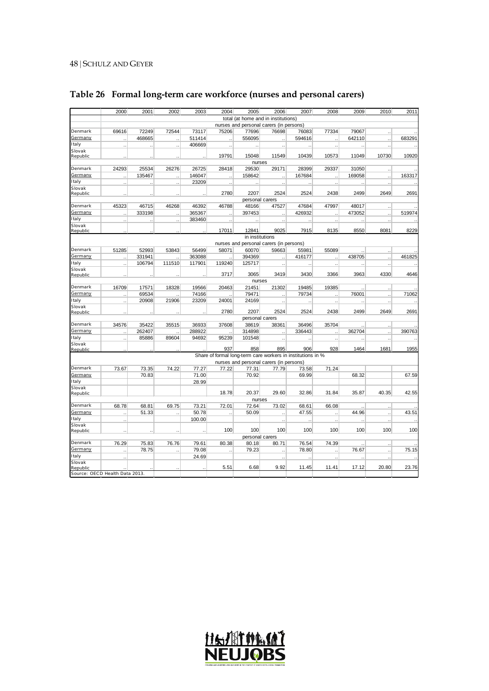|                                | 2000                 | 2001   | 2002                 | 2003   | 2004                 | 2005                     | 2006                                                        | 2007   | 2008                 | 2009   | 2010                 | 2011   |
|--------------------------------|----------------------|--------|----------------------|--------|----------------------|--------------------------|-------------------------------------------------------------|--------|----------------------|--------|----------------------|--------|
|                                |                      |        |                      |        |                      |                          | total (at home and in institutions)                         |        |                      |        |                      |        |
|                                |                      |        |                      |        |                      |                          | nurses and personal carers (in persons)                     |        |                      |        |                      |        |
| Denmark                        | 69616                | 72249  | 72544                | 73117  | 75206                | 77696                    | 76698                                                       | 76083  | 77334                | 79067  |                      |        |
| Germany                        |                      | 468665 | $\ddot{\phantom{0}}$ | 511414 | $\ddot{\phantom{a}}$ | 556095                   |                                                             | 594616 | $\ddot{\phantom{a}}$ | 642110 | $\ddot{\phantom{a}}$ | 683291 |
| Italy                          | $\ddot{\phantom{a}}$ |        | $\ddot{\phantom{a}}$ | 406669 | l,                   |                          |                                                             |        | $\ddot{\phantom{a}}$ |        |                      |        |
| Slovak                         |                      |        |                      |        |                      |                          |                                                             |        |                      |        |                      |        |
| Republic                       | $\ddotsc$            | Ġ,     | Ϋ.                   | ÷.     | 19791                | 15048                    | 11549                                                       | 10439  | 10573                | 11049  | 10730                | 10920  |
|                                |                      |        |                      |        |                      | nurses                   |                                                             |        |                      |        |                      |        |
| Denmark                        | 24293                | 25534  | 26276                | 26725  | 28418                | 29530                    | 29171                                                       | 28399  | 29337                | 31050  | $\ddotsc$            |        |
| Germany                        | $\ddotsc$            | 135467 | Ġ,                   | 146047 | Ţ,                   | 158642                   |                                                             | 167684 | $\ddotsc$            | 169058 | $\ddot{\phantom{0}}$ | 163317 |
| Italy                          |                      |        | Ġ,                   | 23209  | $\ddot{\phantom{a}}$ |                          | $\ddotsc$                                                   |        | $\ddot{\phantom{a}}$ |        | ä,                   |        |
| Slovak                         |                      |        |                      |        | 2780                 | 2207                     | 2524                                                        | 2524   | 2438                 | 2499   | 2649                 | 2691   |
| Republic                       | $\ddotsc$            | ä,     | Ϋ.                   |        |                      |                          |                                                             |        |                      |        |                      |        |
| Denmark                        | 45323                | 46715  | 46268                | 46392  | 46788                | personal carers<br>48166 | 47527                                                       | 47684  | 47997                | 48017  |                      |        |
| Germany                        |                      |        |                      |        |                      |                          |                                                             |        |                      |        | J.                   |        |
| Italy                          | $\ddot{\phantom{a}}$ | 333198 |                      | 365367 |                      | 397453                   |                                                             | 426932 | ä,                   | 473052 | $\ddotsc$            | 519974 |
| Slovak                         | J,                   |        | $\ddotsc$            | 383460 | $\ddotsc$            |                          | $\ddotsc$                                                   | J.     | $\ddot{\phantom{a}}$ |        | ä,                   |        |
| Republic                       |                      |        |                      |        | 17011                | 12841                    | 9025                                                        | 7915   | 8135                 | 8550   | 8081                 | 8229   |
|                                |                      |        |                      |        |                      | in institutions          |                                                             |        |                      |        |                      |        |
|                                |                      |        |                      |        |                      |                          | nurses and personal carers (in persons)                     |        |                      |        |                      |        |
| Denmark                        | 51285                | 52993  | 53843                | 56499  | 58071                | 60070                    | 59663                                                       | 55981  | 55089                |        | $\ddotsc$            |        |
| Germany                        |                      | 331941 |                      | 363088 |                      | 394369                   |                                                             | 416177 |                      | 438705 |                      | 461825 |
| Italy                          | $\ddot{\phantom{a}}$ | 106794 | 111510               | 117901 | 119240               | 125717                   | $\ddot{\phantom{a}}$                                        | ä,     | $\ddot{\phantom{a}}$ |        | ä,                   |        |
| Slovak                         |                      |        |                      |        |                      |                          |                                                             |        |                      |        |                      |        |
| Republic                       |                      |        |                      |        | 3717                 | 3065                     | 3419                                                        | 3430   | 3366                 | 3963   | 4330                 | 4646   |
|                                |                      |        |                      |        |                      | nurses                   |                                                             |        |                      |        |                      |        |
| Denmark                        | 16709                | 17571  | 18328                | 19566  | 20463                | 21451                    | 21302                                                       | 19485  | 19385                |        | $\ddotsc$            |        |
| Germany                        | ä,                   | 69534  |                      | 74166  |                      | 79471                    |                                                             | 79734  | J.                   | 76001  | ä,                   | 71062  |
| Italy                          | $\ddot{\phantom{a}}$ | 20908  | 21906                | 23209  | 24001                | 24169                    | $\ddot{\phantom{a}}$                                        | Ŀ.     | $\ddot{\phantom{a}}$ |        | ÷.                   |        |
| Slovak                         |                      |        |                      |        |                      |                          |                                                             |        |                      |        |                      |        |
| Republic                       |                      |        |                      |        | 2780                 | 2207                     | 2524                                                        | 2524   | 2438                 | 2499   | 2649                 | 2691   |
|                                |                      |        |                      |        |                      | personal carers          |                                                             |        |                      |        |                      |        |
| Denmark                        | 34576                | 35422  | 35515                | 36933  | 37608                | 38619                    | 38361                                                       | 36496  | 35704                |        | ä,                   |        |
| Germany                        |                      | 262407 |                      | 288922 |                      | 314898                   |                                                             | 336443 | J.                   | 362704 | $\ddot{\phantom{a}}$ | 390763 |
| Italy                          | $\ddot{\phantom{a}}$ | 85886  | 89604                | 94692  | 95239                | 101548                   | $\ddot{\phantom{a}}$                                        |        | $\ddotsc$            |        | ä,                   |        |
| Slovak                         |                      |        |                      |        |                      |                          |                                                             |        |                      |        |                      |        |
| Republic                       |                      |        |                      |        | 937                  | 858                      | 895                                                         | 906    | 928                  | 1464   | 1681                 | 1955   |
|                                |                      |        |                      |        |                      |                          | Share of formal long-term care workers in institutions in % |        |                      |        |                      |        |
|                                |                      |        |                      |        |                      |                          | nurses and personal carers (in persons)                     |        |                      |        |                      |        |
| Denmark                        | 73.67                | 73.35  | 74.22                | 77.27  | 77.22                | 77.31                    | 77.79                                                       | 73.58  | 71.24                |        |                      |        |
| Germany                        |                      | 70.83  |                      | 71.00  |                      | 70.92                    |                                                             | 69.99  |                      | 68.32  |                      | 67.59  |
| Italy                          |                      |        |                      | 28.99  |                      |                          |                                                             |        |                      |        |                      |        |
| Slovak                         |                      |        |                      |        | 18.78                | 20.37                    | 29.60                                                       | 32.86  | 31.84                | 35.87  | 40.35                | 42.55  |
| Republic                       |                      |        |                      |        |                      | nurses                   |                                                             |        |                      |        |                      |        |
| Denmark                        | 68.78                | 68.81  | 69.75                | 73.21  | 72.01                | 72.64                    | 73.02                                                       | 68.61  | 66.08                |        |                      |        |
| Germany                        |                      | 51.33  |                      | 50.78  |                      | 50.09                    |                                                             | 47.55  |                      | 44.96  | $\ddot{\phantom{0}}$ | 43.51  |
| Italy                          | $\ddotsc$            |        | $\ddot{\phantom{a}}$ |        |                      |                          | $\ddotsc$                                                   |        | $\ddotsc$            |        | $\ddotsc$            |        |
| Slovak                         | $\ddotsc$            |        |                      | 100.00 |                      |                          | $\ddotsc$                                                   |        | $\ddot{\phantom{a}}$ |        | à,                   |        |
| Republic                       |                      |        |                      |        | 100                  | 100                      | 100                                                         | 100    | 100                  | 100    | 100                  | 100    |
|                                |                      |        |                      |        |                      | personal carers          |                                                             |        |                      |        |                      |        |
| Denmark                        | 76.29                | 75.83  | 76.76                | 79.61  | 80.38                | 80.18                    | 80.71                                                       | 76.54  | 74.39                |        | ä,                   |        |
| Germany                        | $\ddot{\phantom{a}}$ | 78.75  | ÷.                   | 79.08  |                      | 79.23                    |                                                             | 78.80  | $\ddot{\phantom{a}}$ | 76.67  | ÷.                   | 75.15  |
| Italy                          |                      |        |                      | 24.69  |                      |                          |                                                             |        | $\ddot{\phantom{a}}$ |        |                      |        |
| Slovak                         |                      |        |                      |        |                      |                          |                                                             |        |                      |        |                      |        |
| Republic                       |                      |        |                      |        | 5.51                 | 6.68                     | 9.92                                                        | 11.45  | 11.41                | 17.12  | 20.80                | 23.76  |
| Source: OECD Health Data 2013. |                      |        |                      |        |                      |                          |                                                             |        |                      |        |                      |        |

# **Table 26 Formal long-term care workforce (nurses and personal carers)**

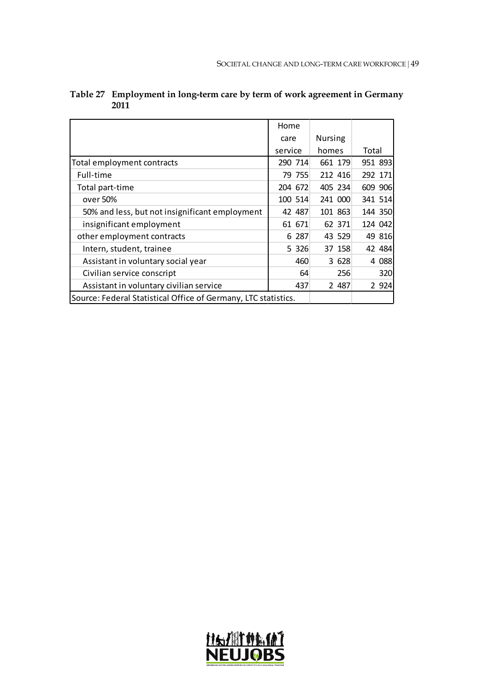|                                                                | Home    |                |         |
|----------------------------------------------------------------|---------|----------------|---------|
|                                                                | care    | <b>Nursing</b> |         |
|                                                                | service | homes          | Total   |
| Total employment contracts                                     | 290 714 | 661 179        | 951 893 |
| Full-time                                                      | 79 755  | 212 416        | 292 171 |
| Total part-time                                                | 204 672 | 405 234        | 609 906 |
| over 50%                                                       | 100 514 | 241 000        | 341 514 |
| 50% and less, but not insignificant employment                 | 42 487  | 101 863        | 144 350 |
| insignificant employment                                       | 61 671  | 62 371         | 124 042 |
| other employment contracts                                     | 6 287   | 43 529         | 49 816  |
| Intern, student, trainee                                       | 5 3 2 6 | 37 158         | 42 484  |
| Assistant in voluntary social year                             | 460     | 3 628          | 4 0 8 8 |
| Civilian service conscript                                     | 64      | 256            | 320     |
| Assistant in voluntary civilian service                        | 437     | 2 487          | 2 9 2 4 |
| Source: Federal Statistical Office of Germany, LTC statistics. |         |                |         |

| Table 27 Employment in long-term care by term of work agreement in Germany |
|----------------------------------------------------------------------------|
| 2011                                                                       |

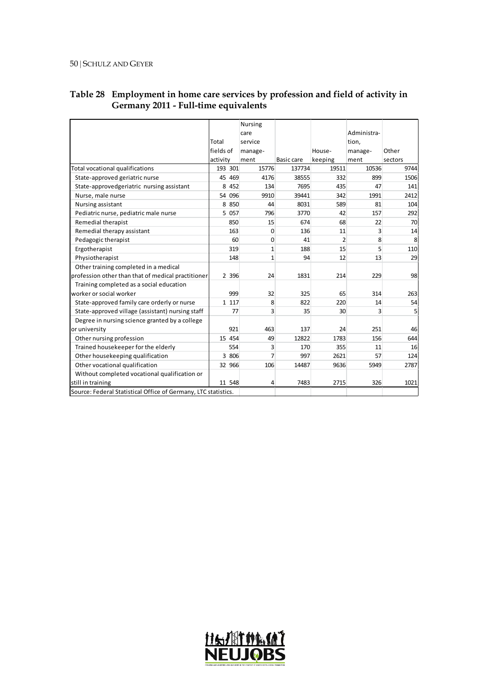|                                                                |           | <b>Nursing</b> |            |                |             |         |  |
|----------------------------------------------------------------|-----------|----------------|------------|----------------|-------------|---------|--|
|                                                                |           | care           |            |                | Administra- |         |  |
|                                                                | Total     | service        |            |                | tion,       |         |  |
|                                                                | fields of | manage-        |            | House-         | manage-     | Other   |  |
|                                                                | activity  | ment           | Basic care | keeping        | ment        | sectors |  |
| Total vocational qualifications                                | 193 301   | 15776          | 137734     | 19511          | 10536       | 9744    |  |
| State-approved geriatric nurse                                 | 45 469    | 4176           | 38555      | 332            | 899         | 1506    |  |
| State-approvedgeriatric nursing assistant                      | 8 4 5 2   | 134            | 7695       | 435            | 47          | 141     |  |
| Nurse, male nurse                                              | 096<br>54 | 9910           | 39441      | 342            | 1991        | 2412    |  |
| Nursing assistant                                              | 8 8 5 0   | 44             | 8031       | 589            | 81          | 104     |  |
| Pediatric nurse, pediatric male nurse                          | 5 0 57    | 796            | 3770       | 42             | 157         | 292     |  |
| Remedial therapist                                             | 850       | 15             | 674        | 68             | 22          | 70      |  |
| Remedial therapy assistant                                     | 163       | 0              | 136        | 11             | 3           | 14      |  |
| Pedagogic therapist                                            | 60        | 0              | 41         | $\overline{2}$ | 8           | 8       |  |
| Ergotherapist                                                  | 319       | $\mathbf{1}$   | 188        | 15             | 5           | 110     |  |
| Physiotherapist                                                | 148       | $\mathbf{1}$   | 94         | 12             | 13          | 29      |  |
| Other training completed in a medical                          |           |                |            |                |             |         |  |
| profession other than that of medical practitioner             | 2 3 9 6   | 24             | 1831       | 214            | 229         | 98      |  |
| Training completed as a social education                       |           |                |            |                |             |         |  |
| worker or social worker                                        | 999       | 32             | 325        | 65             | 314         | 263     |  |
| State-approved family care orderly or nurse                    | 1 1 1 7   | 8              | 822        | 220            | 14          | 54      |  |
| State-approved village (assistant) nursing staff               | 77        | 3              | 35         | 30             | 3           | 5       |  |
| Degree in nursing science granted by a college                 |           |                |            |                |             |         |  |
| or university                                                  | 921       | 463            | 137        | 24             | 251         | 46      |  |
| Other nursing profession                                       | 15 454    | 49             | 12822      | 1783           | 156         | 644     |  |
| Trained housekeeper for the elderly                            | 554       | 3              | 170        | 355            | 11          | 16      |  |
| Other housekeeping qualification                               | 3 806     | $\overline{7}$ | 997        | 2621           | 57          | 124     |  |
| Other vocational qualification                                 | 32 966    | 106            | 14487      | 9636           | 5949        | 2787    |  |
| Without completed vocational qualification or                  |           |                |            |                |             |         |  |
| still in training                                              | 11 548    | 4              | 7483       | 2715           | 326         | 1021    |  |
| Source: Federal Statistical Office of Germany, LTC statistics. |           |                |            |                |             |         |  |

## **Table 28 Employment in home care services by profession and field of activity in Germany 2011 - Full-time equivalents**

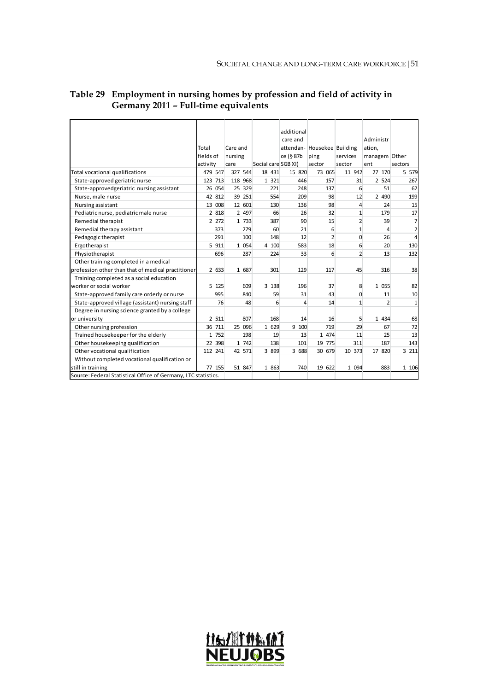|                                                                |           |         |                     |  |         | additional          |                             |                  |                |                |  |
|----------------------------------------------------------------|-----------|---------|---------------------|--|---------|---------------------|-----------------------------|------------------|----------------|----------------|--|
|                                                                |           |         |                     |  |         | care and            |                             |                  | Administr      |                |  |
|                                                                | Total     |         | Care and<br>nursing |  |         |                     | attendan- Housekee Building |                  | ation,         |                |  |
|                                                                | fields of |         |                     |  |         | ce (§ 87b           | ping                        | services         | managem Other  |                |  |
|                                                                | activity  | care    |                     |  |         | Social care SGB XI) | sector                      | sector           | ent            | sectors        |  |
| Total vocational qualifications                                | 479 547   | 327 544 |                     |  | 18 431  | 15 820              | 73 065                      | 11 942           | 27 170         | 5 5 7 9        |  |
| State-approved geriatric nurse                                 | 123 713   | 118 968 |                     |  | 1 321   | 446                 | 157                         | 31               | 2 5 2 4        | 267            |  |
| State-approvedgeriatric nursing assistant                      | 26 054    |         | 25 329              |  | 221     | 248                 | 137                         | 6                | 51             | 62             |  |
| Nurse, male nurse                                              | 42 812    |         | 39 251              |  | 554     | 209                 | 98                          | 12               | 2 4 9 0        | 199            |  |
| Nursing assistant                                              | 13 008    |         | 12 601              |  | 130     | 136                 | 98                          | $\overline{4}$   | 24             | 15             |  |
| Pediatric nurse, pediatric male nurse                          | 2 818     |         | 2 497               |  | 66      | 26                  | 32                          | $1\overline{ }$  | 179            | 17             |  |
| Remedial therapist                                             | 2 272     |         | 1 733               |  | 387     | 90                  | 15                          | $\overline{2}$   | 39             | $\overline{7}$ |  |
| Remedial therapy assistant                                     | 373       |         | 279                 |  | 60      | 21                  | 6                           | $1\vert$         | $\overline{a}$ | $\mathbf{2}$   |  |
| Pedagogic therapist                                            | 291       |         | 100                 |  | 148     | 12                  | $\overline{2}$              | $\Omega$         | 26             | $\overline{4}$ |  |
| Ergotherapist                                                  | 5 911     |         | 1 0 5 4             |  | 4 100   | 583                 | 18                          | 6                | 20             | 130            |  |
| Physiotherapist                                                | 696       |         | 287                 |  | 224     | 33                  | 6                           | $2 \overline{ }$ | 13             | 132            |  |
| Other training completed in a medical                          |           |         |                     |  |         |                     |                             |                  |                |                |  |
| profession other than that of medical practitioner             | 2 633     |         | 1 687               |  | 301     | 129                 | 117                         | 45               | 316            | 38             |  |
| Training completed as a social education                       |           |         |                     |  |         |                     |                             |                  |                |                |  |
| worker or social worker                                        | 5 125     |         | 609                 |  | 3 1 3 8 | 196                 | 37                          | 8                | 1 0 5 5        | 82             |  |
| State-approved family care orderly or nurse                    | 995       |         | 840                 |  | 59      | 31                  | 43                          | $\Omega$         | 11             | 10             |  |
| State-approved village (assistant) nursing staff               | 76        |         | 48                  |  | 6       | 4                   | 14                          | 1                | $\overline{2}$ | $1\vert$       |  |
| Degree in nursing science granted by a college                 |           |         |                     |  |         |                     |                             |                  |                |                |  |
| or university                                                  | 2 511     |         | 807                 |  | 168     | 14                  | 16                          | 5                | 1 4 3 4        | 68             |  |
| Other nursing profession                                       | 36 711    |         | 25 096              |  | 1 629   | 9 100               | 719                         | 29               | 67             | 72             |  |
| Trained housekeeper for the elderly                            | 1 752     |         | 198                 |  | 19      | 13                  | 1 474                       | 11               | 25             | 13             |  |
| Other housekeeping qualification                               | 22 398    |         | 1 742               |  | 138     | 101                 | 19 775                      | 311              | 187            | 143            |  |
| Other vocational qualification                                 | 112 241   |         | 42 571              |  | 3 899   | 3 688               | 30 679                      | 10 373           | 17 820         | 3 211          |  |
| Without completed vocational qualification or                  |           |         |                     |  |         |                     |                             |                  |                |                |  |
| still in training                                              | 77 155    |         | 51 847              |  | 1 863   | 740                 | 19 622                      | 1 0 9 4          | 883            | 1 106          |  |
| Source: Federal Statistical Office of Germany, LTC statistics. |           |         |                     |  |         |                     |                             |                  |                |                |  |

### **Table 29 Employment in nursing homes by profession and field of activity in Germany 2011 – Full-time equivalents**

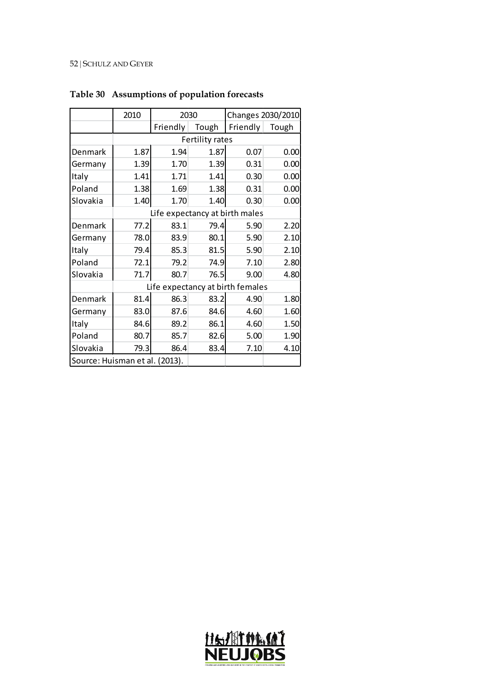|                                | 2010 | 2030                             |                 |          | Changes 2030/2010 |  |  |  |  |  |  |  |
|--------------------------------|------|----------------------------------|-----------------|----------|-------------------|--|--|--|--|--|--|--|
|                                |      | Friendly                         | Tough           | Friendly | Tough             |  |  |  |  |  |  |  |
|                                |      |                                  | Fertility rates |          |                   |  |  |  |  |  |  |  |
| Denmark                        | 1.87 | 1.94                             | 1.87            | 0.07     | 0.00              |  |  |  |  |  |  |  |
| Germany                        | 1.39 | 1.70                             | 1.39            | 0.31     | 0.00              |  |  |  |  |  |  |  |
| Italy                          | 1.41 | 1.71                             | 1.41            | 0.30     | 0.00              |  |  |  |  |  |  |  |
| Poland                         | 1.38 | 1.69                             | 1.38            | 0.31     | 0.00              |  |  |  |  |  |  |  |
| Slovakia                       | 1.40 | 1.70                             | 1.40            | 0.30     | 0.00              |  |  |  |  |  |  |  |
|                                |      | Life expectancy at birth males   |                 |          |                   |  |  |  |  |  |  |  |
| Denmark                        | 77.2 | 83.1                             | 79.4            | 5.90     | 2.20              |  |  |  |  |  |  |  |
| Germany                        | 78.0 | 83.9                             | 80.1            | 5.90     | 2.10              |  |  |  |  |  |  |  |
| Italy                          | 79.4 | 85.3                             | 81.5            | 5.90     | 2.10              |  |  |  |  |  |  |  |
| Poland                         | 72.1 | 79.2                             | 74.9            | 7.10     | 2.80              |  |  |  |  |  |  |  |
| Slovakia                       | 71.7 | 80.7                             | 76.5            | 9.00     | 4.80              |  |  |  |  |  |  |  |
|                                |      | Life expectancy at birth females |                 |          |                   |  |  |  |  |  |  |  |
| Denmark                        | 81.4 | 86.3                             | 83.2            | 4.90     | 1.80              |  |  |  |  |  |  |  |
| Germany                        | 83.0 | 87.6                             | 84.6            | 4.60     | 1.60              |  |  |  |  |  |  |  |
| Italy                          | 84.6 | 89.2                             | 86.1            | 4.60     | 1.50              |  |  |  |  |  |  |  |
| Poland                         | 80.7 | 85.7                             | 82.6            | 5.00     | 1.90              |  |  |  |  |  |  |  |
| Slovakia                       | 79.3 | 86.4                             | 83.4            | 7.10     | 4.10              |  |  |  |  |  |  |  |
| Source: Huisman et al. (2013). |      |                                  |                 |          |                   |  |  |  |  |  |  |  |

# **Table 30 Assumptions of population forecasts**

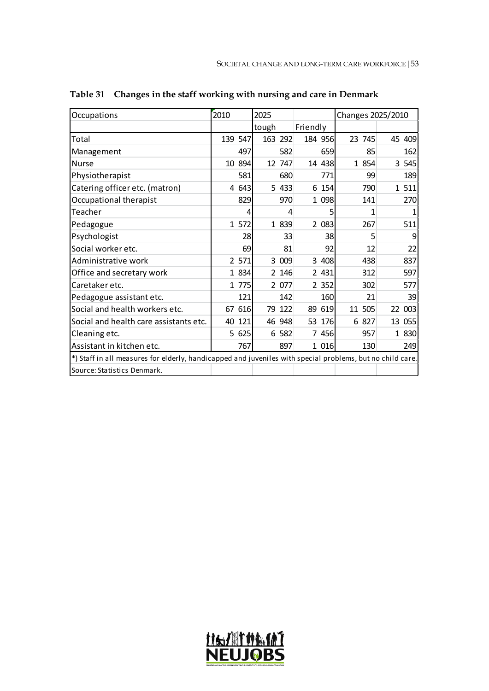| Occupations                                                                                               | 2010    |     | 2025  |         |          |     | Changes 2025/2010 |       |         |
|-----------------------------------------------------------------------------------------------------------|---------|-----|-------|---------|----------|-----|-------------------|-------|---------|
|                                                                                                           |         |     | tough |         | Friendly |     |                   |       |         |
| Total                                                                                                     | 139 547 |     |       | 163 292 | 184 956  |     | 23 745            |       | 45 409  |
| Management                                                                                                |         | 497 |       | 582     |          | 659 |                   | 85    | 162     |
| <b>Nurse</b>                                                                                              | 10 894  |     |       | 12 747  | 14 438   |     |                   | 1 854 | 3 5 4 5 |
| Physiotherapist                                                                                           |         | 581 |       | 680     |          | 771 |                   | 99    | 189     |
| Catering officer etc. (matron)                                                                            | 4 643   |     |       | 5 4 3 3 | 6 154    |     |                   | 790   | 1 511   |
| Occupational therapist                                                                                    |         | 829 |       | 970     | 1 0 98   |     |                   | 141   | 270     |
| Teacher                                                                                                   |         | 4   |       | 4       |          | 5   |                   | 1     |         |
| Pedagogue                                                                                                 | 1 572   |     |       | 1 839   | 2 083    |     |                   | 267   | 511     |
| Psychologist                                                                                              |         | 28  |       | 33      |          | 38  |                   | 5     | 9       |
| Social worker etc.                                                                                        |         | 69  |       | 81      |          | 92  |                   | 12    | 22      |
| Administrative work                                                                                       | 2 571   |     |       | 3 0 0 9 | 3 408    |     |                   | 438   | 837     |
| Office and secretary work                                                                                 | 1 834   |     |       | 2 146   | 2 431    |     |                   | 312   | 597     |
| Caretaker etc.                                                                                            | 1 775   |     |       | 2 077   | 2 3 5 2  |     |                   | 302   | 577     |
| Pedagogue assistant etc.                                                                                  |         | 121 |       | 142     |          | 160 |                   | 21    | 39      |
| Social and health workers etc.                                                                            | 67 616  |     |       | 79 122  | 89 619   |     | 11 505            |       | 22 003  |
| Social and health care assistants etc.                                                                    | 40 121  |     |       | 46 948  | 53 176   |     |                   | 6 827 | 13 055  |
| Cleaning etc.                                                                                             | 5 625   |     |       | 6 582   | 7 456    |     |                   | 957   | 1 830   |
| Assistant in kitchen etc.                                                                                 |         | 767 |       | 897     | 1 016    |     |                   | 130   | 249     |
| *) Staff in all measures for elderly, handicapped and juveniles with special problems, but no child care. |         |     |       |         |          |     |                   |       |         |
| Source: Statistics Denmark.                                                                               |         |     |       |         |          |     |                   |       |         |

**Table 31 Changes in the staff working with nursing and care in Denmark**

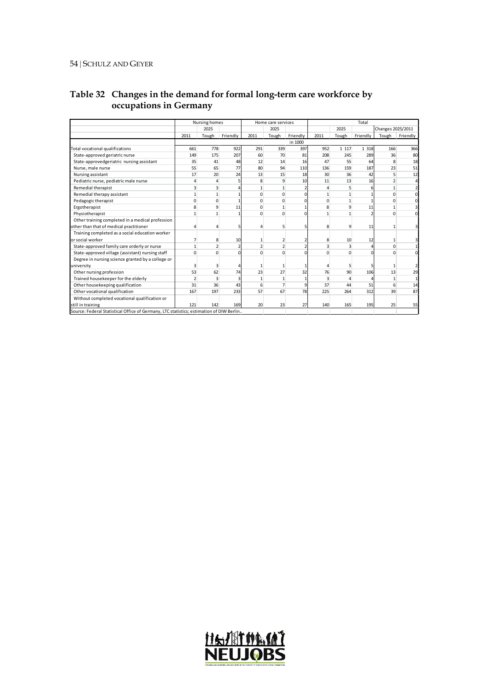|                                                                                         | Nursing homes  |                |          |                | Home care services |                |              |              | Total    |                   |                         |
|-----------------------------------------------------------------------------------------|----------------|----------------|----------|----------------|--------------------|----------------|--------------|--------------|----------|-------------------|-------------------------|
|                                                                                         |                | 2025           |          |                | 2025               |                |              | 2025         |          | Changes 2025/2011 |                         |
|                                                                                         | 2011           | Tough          | Friendly | 2011           | Tough              | Friendly       | 2011         | Tough        | Friendly | Tough             | Friendly                |
|                                                                                         |                |                |          |                |                    | in 1000        |              |              |          |                   |                         |
| Total vocational qualifications                                                         | 661            | 778            | 922      | 291            | 339                | 397            | 952          | 1 1 1 7      | 1 3 1 8  | 166               | 366                     |
| State-approved geriatric nurse                                                          | 149            | 175            | 207      | 60             | 70                 | 81             | 208          | 245          | 289      | 36                | 80                      |
| State-approvedgeriatric nursing assistant                                               | 35             | 41             | 48       | 12             | 14                 | 16             | 47           | 55           | 64       | 8                 | 18                      |
| Nurse, male nurse                                                                       | 55             | 65             | 77       | 80             | 94                 | 110            | 136          | 159          | 187      | 23                | 51                      |
| Nursing assistant                                                                       | 17             | 20             | 24       | 13             | 15                 | 18             | 30           | 36           | 42       | 5                 | 12                      |
| Pediatric nurse, pediatric male nurse                                                   | 4              | Δ              |          | 8              | 9                  | 10             | 11           | 13           | 16       | $\overline{2}$    | $\overline{4}$          |
| <b>Remedial therapist</b>                                                               | 3              | 3              |          | 1              | 1                  |                |              | 5            |          | 1                 | 2 <sup>1</sup>          |
| Remedial therapy assistant                                                              | $\mathbf{1}$   | 1              |          | $\Omega$       | $\Omega$           | $\Omega$       | $\mathbf{1}$ | 1            |          | $\Omega$          | $\Omega$                |
| Pedagogic therapist                                                                     | $\Omega$       | $\Omega$       |          | $\Omega$       | $\Omega$           | $\Omega$       | $\Omega$     | $\mathbf{1}$ |          | 0                 | $\Omega$                |
| Ergotherapist                                                                           | 8              | 9              | 11       | $\Omega$       | 1                  | $\mathbf{1}$   | 8            | 9            | 11       | 1                 | 3                       |
| Physiotherapist                                                                         | $\mathbf{1}$   | 1              |          | $\Omega$       | $\Omega$           | $\Omega$       |              | 1            |          | $\Omega$          | $\Omega$                |
| Other training completed in a medical profession                                        |                |                |          |                |                    |                |              |              |          |                   |                         |
| other than that of medical practitioner                                                 | 4              | Λ              | 5        | Λ              | 5                  | 5              | 8            | 9            | 11       | $\mathbf{1}$      | $\overline{\mathbf{3}}$ |
| Training completed as a social education worker                                         |                |                |          |                |                    |                |              |              |          |                   |                         |
| or social worker                                                                        | $\overline{7}$ | 8              | 10       | 1              | $\overline{2}$     | 2              | 8            | 10           | 12       | $\mathbf{1}$      | $\overline{\mathbf{3}}$ |
| State-approved family care orderly or nurse                                             | $\mathbf{1}$   | $\overline{2}$ | 2        | $\overline{2}$ | $\overline{2}$     | $\overline{2}$ | 3            | 3            |          | $\Omega$          | 1                       |
| State-approved village (assistant) nursing staff                                        | $\Omega$       | $\Omega$       | $\Omega$ | $\Omega$       | $\Omega$           | $\Omega$       | $\Omega$     | $\Omega$     | ŋ        | $\Omega$          | <sub>0</sub>            |
| Degree in nursing science granted by a college or                                       |                |                |          |                |                    |                |              |              |          |                   |                         |
| university                                                                              | 3              | ٦              |          | 1              | 1                  | 1              | Λ            | 5            |          | 1                 | $\overline{2}$          |
| Other nursing profession                                                                | 53             | 62             | 74       | 23             | 27                 | 32             | 76           | 90           | 106      | 13                | 29                      |
| Trained housekeeper for the elderly                                                     | $\overline{2}$ |                |          | $\mathbf{1}$   | 1                  | 1              | 3            | 4            |          | 1                 | 11                      |
| Other housekeeping qualification                                                        | 31             | 36             | 43       | 6              | $\overline{7}$     | $\overline{9}$ | 37           | 44           | 51       | 6                 | 14                      |
| Other vocational qualification                                                          | 167            | 197            | 233      | 57             | 67                 | 78             | 225          | 264          | 312      | 39                | 87                      |
| Without completed vocational qualification or                                           |                |                |          |                |                    |                |              |              |          |                   |                         |
| still in training                                                                       | 121            | 142            | 169      | 20             | 23                 | 27             | 140          | 165          | 195      | 25                | 55                      |
| Source: Federal Statistical Office of Germany, LTC statistics; estimation of DIW Berlin |                |                |          |                |                    |                |              |              |          |                   |                         |

### **Table 32 Changes in the demand for formal long-term care workforce by occupations in Germany**

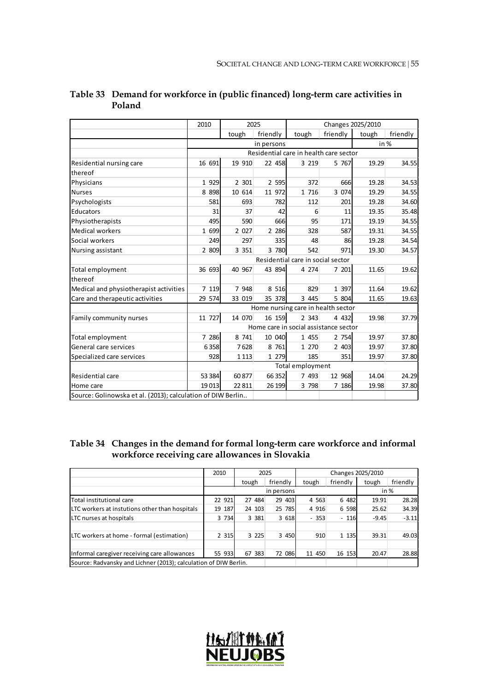|                                                             | 2010    | 2025    | Changes 2025/2010 |                                        |          |        |          |
|-------------------------------------------------------------|---------|---------|-------------------|----------------------------------------|----------|--------|----------|
|                                                             |         | tough   | friendly          | tough                                  | friendly | tough  | friendly |
|                                                             |         |         | in persons        |                                        |          | in $%$ |          |
|                                                             |         |         |                   | Residential care in health care sector |          |        |          |
| Residential nursing care                                    | 16 691  | 19 910  | 22 458            | 3 2 1 9                                | 5 767    | 19.29  | 34.55    |
| thereof                                                     |         |         |                   |                                        |          |        |          |
| Physicians                                                  | 1 9 2 9 | 2 301   | 2 5 9 5           | 372                                    | 666      | 19.28  | 34.53    |
| <b>Nurses</b>                                               | 8 8 9 8 | 10 614  | 11 972            | 1 716                                  | 3 0 7 4  | 19.29  | 34.55    |
| Psychologists                                               | 581     | 693     | 782               | 112                                    | 201      | 19.28  | 34.60    |
| Educators                                                   | 31      | 37      | 42                | 6                                      | 11       | 19.35  | 35.48    |
| Physiotherapists                                            | 495     | 590     | 666               | 95                                     | 171      | 19.19  | 34.55    |
| <b>Medical workers</b>                                      | 1 699   | 2 0 2 7 | 2 2 8 6           | 328                                    | 587      | 19.31  | 34.55    |
| Social workers                                              | 249     | 297     | 335               | 48                                     | 86       | 19.28  | 34.54    |
| Nursing assistant                                           | 2 809   | 3 3 5 1 | 3 780             | 542                                    | 971      | 19.30  | 34.57    |
|                                                             |         |         |                   | Residential care in social sector      |          |        |          |
| Total employment                                            | 36 693  | 40 967  | 43 894            | 4 274                                  | 7 201    | 11.65  | 19.62    |
| thereof                                                     |         |         |                   |                                        |          |        |          |
| Medical and physiotherapist activities                      | 7 1 19  | 7 9 4 8 | 8 5 1 6           | 829                                    | 1 3 9 7  | 11.64  | 19.62    |
| Care and therapeutic activities                             | 29 574  | 33 019  | 35 378            | 3 4 4 5                                | 5 804    | 11.65  | 19.63    |
|                                                             |         |         |                   | Home nursing care in health sector     |          |        |          |
| Family community nurses                                     | 11 727  | 14 070  | 16 159            | 2 3 4 3                                | 4 4 3 2  | 19.98  | 37.79    |
|                                                             |         |         |                   | Home care in social assistance sector  |          |        |          |
| Total employment                                            | 7 286   | 8 741   | 10 040            | 1 455                                  | 2 754    | 19.97  | 37.80    |
| General care services                                       | 6358    | 7628    | 8 761             | 1 270                                  | 2 403    | 19.97  | 37.80    |
| Specialized care services                                   | 928     | 1 1 1 3 | 1 279             | 185                                    | 351      | 19.97  | 37.80    |
|                                                             |         |         |                   | Total employment                       |          |        |          |
| Residential care                                            | 53 384  | 60877   | 66 352            | 7 493                                  | 12 968   | 14.04  | 24.29    |
| Home care                                                   | 19013   | 22811   | 26 199            | 3 798                                  | 7 18 6   | 19.98  | 37.80    |
| Source: Golinowska et al. (2013); calculation of DIW Berlin |         |         |                   |                                        |          |        |          |

### **Table 33 Demand for workforce in (public financed) long-term care activities in Poland**

## **Table 34 Changes in the demand for formal long-term care workforce and informal workforce receiving care allowances in Slovakia**

|                                                                  | 2010    |           | 2025       |           |          | Changes 2025/2010 |          |
|------------------------------------------------------------------|---------|-----------|------------|-----------|----------|-------------------|----------|
|                                                                  |         | tough     | friendly   | tough     | friendly | tough             | friendly |
|                                                                  |         |           | in persons |           |          |                   | in $%$   |
| <b>T</b> otal institutional care                                 | 22 921  | 27 484    | 29 403     | 4 5 63    | 6 482    | 19.91             | 28.28    |
| LTC workers at instutions other than hospitals                   | 19 187  | 24 103    | 25 785     | 4 9 1 6   | 6 5 9 8  | 25.62             | 34.39    |
| LTC nurses at hospitals                                          | 3 7 3 4 | 3 3 8 1   | 3 6 18     | $-353$    | $-116$   | $-9.45$           | $-3.11$  |
|                                                                  |         |           |            |           |          |                   |          |
| LTC workers at home - formal (estimation)                        | 2 3 1 5 | 3 2 2 5   | 3 4 5 0    | 910       | 1 1 3 5  | 39.31             | 49.03    |
|                                                                  |         |           |            |           |          |                   |          |
| Informal caregiver receiving care allowances                     | 55 933  | 67<br>383 | 72 086     | 450<br>11 | 16 153   | 20.47             | 28.88    |
| Source: Radvansky and Lichner (2013); calculation of DIW Berlin. |         |           |            |           |          |                   |          |

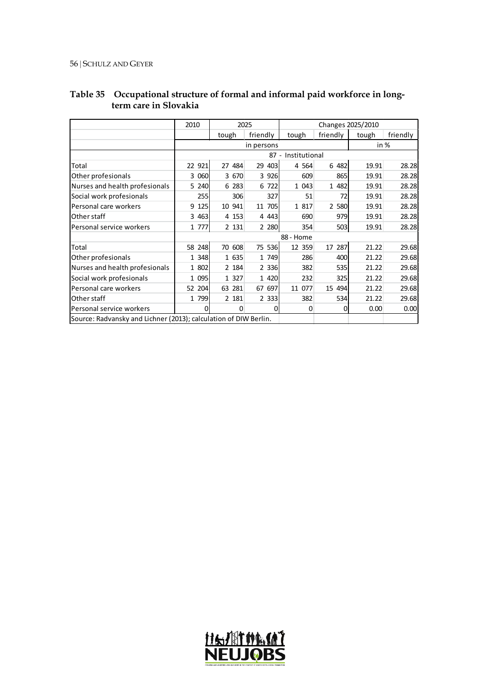|                                                                  | 2010    |           | 2025       | Changes 2025/2010  |          |       |          |  |  |
|------------------------------------------------------------------|---------|-----------|------------|--------------------|----------|-------|----------|--|--|
|                                                                  |         | tough     | friendly   | tough              | friendly | tough | friendly |  |  |
|                                                                  |         |           | in persons |                    |          | in %  |          |  |  |
|                                                                  |         |           |            | 87 - Institutional |          |       |          |  |  |
| Total                                                            | 22 921  | 27 484    | 29<br>403  | 4 5 64             | 6 482    | 19.91 | 28.28    |  |  |
| Other profesionals                                               | 3 0 6 0 | 3 670     | 3 9 2 6    | 609                | 865      | 19.91 | 28.28    |  |  |
| Nurses and health profesionals                                   | 5 240   | 6 283     | 722<br>6   | 1 0 4 3            | 1 482    | 19.91 | 28.28    |  |  |
| Social work profesionals                                         | 255     | 306       | 327        | 51                 | 72       | 19.91 | 28.28    |  |  |
| Personal care workers                                            | 9 1 2 5 | 10 941    | 705<br>11  | 1 817              | 2 5 8 0  | 19.91 | 28.28    |  |  |
| Other staff                                                      | 3 4 6 3 | 4 1 5 3   | 4 4 43     | 690                | 979      | 19.91 | 28.28    |  |  |
| Personal service workers                                         | 1 777   | 2 131     | 2 2 8 0    | 354                | 503      | 19.91 | 28.28    |  |  |
|                                                                  |         |           |            | 88 - Home          |          |       |          |  |  |
| Total                                                            | 58 248  | 70 608    | 75 536     | 12 359             | 17 287   | 21.22 | 29.68    |  |  |
| Other profesionals                                               | 1 348   | 1 635     | 1 749      | 286                | 400      | 21.22 | 29.68    |  |  |
| Nurses and health profesionals                                   | 1 802   | 2 184     | 2 3 3 6    | 382                | 535      | 21.22 | 29.68    |  |  |
| Social work profesionals                                         | 1 095   | 1 327     | 1 4 2 0    | 232                | 325      | 21.22 | 29.68    |  |  |
| Personal care workers                                            | 52 204  | 63<br>281 | 697<br>67  | 077<br>11          | 15 494   | 21.22 | 29.68    |  |  |
| Other staff                                                      | 1 799   | 2 181     | 2 3 3 3 1  | 382                | 534      | 21.22 | 29.68    |  |  |
| Personal service workers                                         | 0       | 0         | 0          | 0                  | 0        | 0.00  | 0.00     |  |  |
| Source: Radvansky and Lichner (2013); calculation of DIW Berlin. |         |           |            |                    |          |       |          |  |  |

### **Table 35 Occupational structure of formal and informal paid workforce in longterm care in Slovakia**

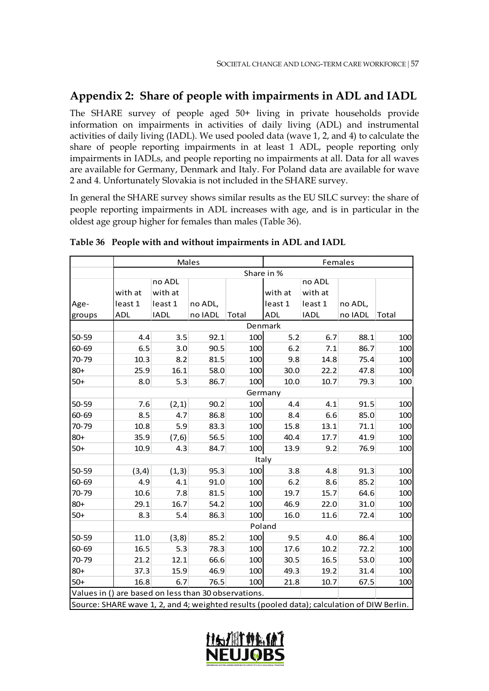# **Appendix 2: Share of people with impairments in ADL and IADL**

The SHARE survey of people aged 50+ living in private households provide information on impairments in activities of daily living (ADL) and instrumental activities of daily living (IADL). We used pooled data (wave 1, 2, and 4) to calculate the share of people reporting impairments in at least 1 ADL, people reporting only impairments in IADLs, and people reporting no impairments at all. Data for all waves are available for Germany, Denmark and Italy. For Poland data are available for wave 2 and 4. Unfortunately Slovakia is not included in the SHARE survey.

In general the SHARE survey shows similar results as the EU SILC survey: the share of people reporting impairments in ADL increases with age, and is in particular in the oldest age group higher for females than males (Table 36).

|                                                                                            |                                                      |              | Males   |       |            |             | Females |       |  |  |  |
|--------------------------------------------------------------------------------------------|------------------------------------------------------|--------------|---------|-------|------------|-------------|---------|-------|--|--|--|
|                                                                                            |                                                      |              |         |       | Share in % |             |         | Total |  |  |  |
|                                                                                            |                                                      | no ADL       |         |       |            | no ADL      |         |       |  |  |  |
|                                                                                            | with at                                              | with at      |         |       | with at    | with at     |         |       |  |  |  |
| Age-                                                                                       | least 1                                              | least 1      | no ADL, |       | least 1    | least 1     | no ADL, |       |  |  |  |
| groups                                                                                     | <b>ADL</b>                                           | <b>IADL</b>  | no IADL | Total | <b>ADL</b> | <b>IADL</b> | no IADL |       |  |  |  |
|                                                                                            |                                                      |              |         |       | Denmark    |             |         |       |  |  |  |
| 50-59                                                                                      | 4.4                                                  | 3.5          | 92.1    | 100   | 5.2        | 6.7         | 88.1    | 100   |  |  |  |
| 60-69                                                                                      | 6.5                                                  | 3.0          | 90.5    | 100   | 6.2        | 7.1         | 86.7    | 100   |  |  |  |
| 70-79                                                                                      | 10.3                                                 | 8.2          | 81.5    | 100   | 9.8        | 14.8        | 75.4    | 100   |  |  |  |
| $80+$                                                                                      | 25.9                                                 | 16.1         | 58.0    | 100   | 30.0       | 22.2        | 47.8    | 100   |  |  |  |
| $50+$                                                                                      | 8.0                                                  | 10.7<br>79.3 | 100     |       |            |             |         |       |  |  |  |
|                                                                                            | Germany                                              |              |         |       |            |             |         |       |  |  |  |
| 50-59                                                                                      | 7.6                                                  | (2, 1)       | 90.2    | 100   | 4.4        | 4.1         | 91.5    | 100   |  |  |  |
| 60-69                                                                                      | 8.5                                                  | 4.7          | 86.8    | 100   | 8.4        | 6.6         | 85.0    | 100   |  |  |  |
| 70-79                                                                                      | 10.8                                                 | 5.9          | 83.3    | 100   | 15.8       | 13.1        | 71.1    | 100   |  |  |  |
| $80+$                                                                                      | 35.9                                                 | (7, 6)       | 56.5    | 100   | 40.4       | 17.7        | 41.9    | 100   |  |  |  |
| $50+$                                                                                      | 10.9                                                 | 4.3          | 84.7    | 100   | 13.9       | 9.2         | 76.9    | 100   |  |  |  |
|                                                                                            |                                                      |              |         |       | Italy      |             |         |       |  |  |  |
| 50-59                                                                                      | (3,4)                                                | (1,3)        | 95.3    | 100   | 3.8        | 4.8         | 91.3    | 100   |  |  |  |
| 60-69                                                                                      | 4.9                                                  | 4.1          | 91.0    | 100   | 6.2        | 8.6         | 85.2    | 100   |  |  |  |
| 70-79                                                                                      | 10.6                                                 | 7.8          | 81.5    | 100   | 19.7       | 15.7        | 64.6    | 100   |  |  |  |
| $80+$                                                                                      | 29.1                                                 | 16.7         | 54.2    | 100   | 46.9       | 22.0        | 31.0    | 100   |  |  |  |
| $50+$                                                                                      | 8.3                                                  | 5.4          | 86.3    | 100   | 16.0       | 11.6        | 72.4    | 100   |  |  |  |
|                                                                                            |                                                      |              |         |       | Poland     |             |         |       |  |  |  |
| 50-59                                                                                      | 11.0                                                 | (3, 8)       | 85.2    | 100   | 9.5        | 4.0         | 86.4    | 100   |  |  |  |
| 60-69                                                                                      | 16.5                                                 | 5.3          | 78.3    | 100   | 17.6       | 10.2        | 72.2    | 100   |  |  |  |
| 70-79                                                                                      | 21.2                                                 | 12.1         | 66.6    | 100   | 30.5       | 16.5        | 53.0    | 100   |  |  |  |
| $80+$                                                                                      | 37.3                                                 | 15.9         | 46.9    | 100   | 49.3       | 19.2        | 31.4    | 100   |  |  |  |
| $50+$                                                                                      | 16.8                                                 | 6.7          | 76.5    | 100   | 21.8       | 10.7        | 67.5    | 100   |  |  |  |
|                                                                                            | Values in () are based on less than 30 observations. |              |         |       |            |             |         |       |  |  |  |
| Source: SHARE wave 1, 2, and 4; weighted results (pooled data); calculation of DIW Berlin. |                                                      |              |         |       |            |             |         |       |  |  |  |

#### **Table 36 People with and without impairments in ADL and IADL**

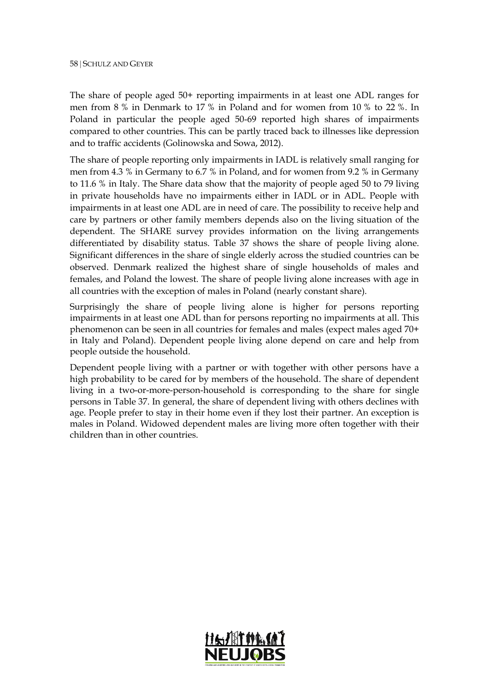The share of people aged 50+ reporting impairments in at least one ADL ranges for men from 8 % in Denmark to 17 % in Poland and for women from 10 % to 22 %. In Poland in particular the people aged 50-69 reported high shares of impairments compared to other countries. This can be partly traced back to illnesses like depression and to traffic accidents (Golinowska and Sowa, 2012).

The share of people reporting only impairments in IADL is relatively small ranging for men from 4.3 % in Germany to 6.7 % in Poland, and for women from 9.2 % in Germany to 11.6 % in Italy. The Share data show that the majority of people aged 50 to 79 living in private households have no impairments either in IADL or in ADL. People with impairments in at least one ADL are in need of care. The possibility to receive help and care by partners or other family members depends also on the living situation of the dependent. The SHARE survey provides information on the living arrangements differentiated by disability status. Table 37 shows the share of people living alone. Significant differences in the share of single elderly across the studied countries can be observed. Denmark realized the highest share of single households of males and females, and Poland the lowest. The share of people living alone increases with age in all countries with the exception of males in Poland (nearly constant share).

Surprisingly the share of people living alone is higher for persons reporting impairments in at least one ADL than for persons reporting no impairments at all. This phenomenon can be seen in all countries for females and males (expect males aged 70+ in Italy and Poland). Dependent people living alone depend on care and help from people outside the household.

Dependent people living with a partner or with together with other persons have a high probability to be cared for by members of the household. The share of dependent living in a two-or-more-person-household is corresponding to the share for single persons in Table 37. In general, the share of dependent living with others declines with age. People prefer to stay in their home even if they lost their partner. An exception is males in Poland. Widowed dependent males are living more often together with their children than in other countries.

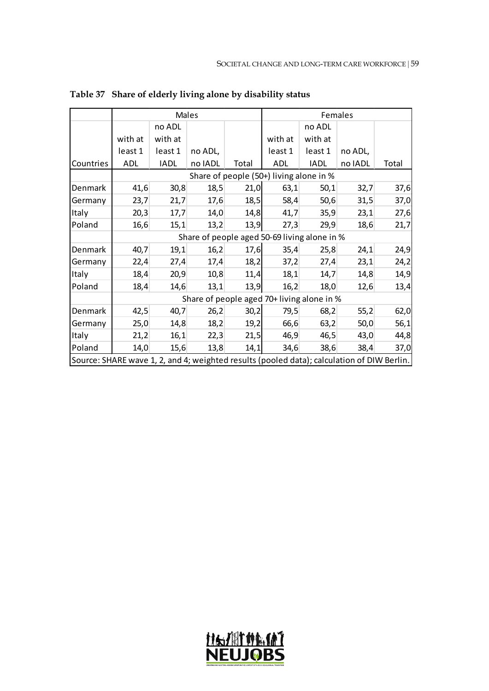|                                                                                            |                                              |             | Males   |       |                                            |             | Females |       |  |  |  |  |
|--------------------------------------------------------------------------------------------|----------------------------------------------|-------------|---------|-------|--------------------------------------------|-------------|---------|-------|--|--|--|--|
|                                                                                            |                                              | no ADL      |         |       |                                            | no ADL      |         |       |  |  |  |  |
|                                                                                            | with at                                      | with at     |         |       | with at                                    | with at     |         |       |  |  |  |  |
|                                                                                            | least 1                                      | least 1     | no ADL, |       | least 1                                    | least 1     | no ADL, |       |  |  |  |  |
| Countries                                                                                  | ADL                                          | <b>IADL</b> | no IADL | Total | ADL                                        | <b>IADL</b> | no IADL | Total |  |  |  |  |
|                                                                                            |                                              |             |         |       | Share of people (50+) living alone in %    |             |         |       |  |  |  |  |
| Denmark                                                                                    | 41,6                                         | 30,8        | 18,5    | 21,0  | 63,1                                       | 50,1        | 32,7    | 37,6  |  |  |  |  |
| Germany                                                                                    | 23,7                                         | 21,7        | 17,6    | 18,5  | 58,4                                       | 50,6        | 31,5    | 37,0  |  |  |  |  |
| Italy                                                                                      | 20,3                                         | 17,7        | 14,0    | 14,8  | 41,7                                       | 35,9        | 23,1    | 27,6  |  |  |  |  |
| Poland                                                                                     | 16,6                                         | 15,1        | 13,2    | 13,9  | 27,3                                       | 29,9        | 18,6    | 21,7  |  |  |  |  |
|                                                                                            | Share of people aged 50-69 living alone in % |             |         |       |                                            |             |         |       |  |  |  |  |
| Denmark                                                                                    | 40,7                                         | 19,1        | 16,2    | 17,6  | 35,4                                       | 25,8        | 24,1    | 24,9  |  |  |  |  |
| Germany                                                                                    | 22,4                                         | 27,4        | 17,4    | 18,2  | 37,2                                       | 27,4        | 23,1    | 24,2  |  |  |  |  |
| Italy                                                                                      | 18,4                                         | 20,9        | 10,8    | 11,4  | 18,1                                       | 14,7        | 14,8    | 14,9  |  |  |  |  |
| Poland                                                                                     | 18,4                                         | 14,6        | 13,1    | 13,9  | 16,2                                       | 18,0        | 12,6    | 13,4  |  |  |  |  |
|                                                                                            |                                              |             |         |       | Share of people aged 70+ living alone in % |             |         |       |  |  |  |  |
| Denmark                                                                                    | 42,5                                         | 40,7        | 26,2    | 30,2  | 79,5                                       | 68,2        | 55,2    | 62,0  |  |  |  |  |
| Germany                                                                                    | 25,0                                         | 14,8        | 18,2    | 19,2  | 66,6                                       | 63,2        | 50,0    | 56,1  |  |  |  |  |
| Italy                                                                                      | 21,2                                         | 16,1        | 22,3    | 21,5  | 46,9                                       | 46,5        | 43,0    | 44,8  |  |  |  |  |
| Poland                                                                                     | 14,0                                         | 15,6        | 13,8    | 14,1  | 34,6                                       | 38,6        | 38,4    | 37,0  |  |  |  |  |
| Source: SHARE wave 1, 2, and 4; weighted results (pooled data); calculation of DIW Berlin. |                                              |             |         |       |                                            |             |         |       |  |  |  |  |

**Table 37 Share of elderly living alone by disability status**

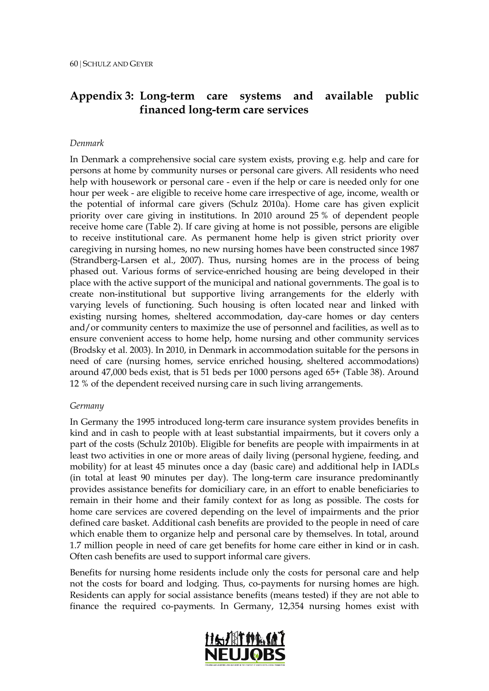# **Appendix 3: Long-term care systems and available public financed long-term care services**

#### *Denmark*

In Denmark a comprehensive social care system exists, proving e.g. help and care for persons at home by community nurses or personal care givers. All residents who need help with housework or personal care - even if the help or care is needed only for one hour per week - are eligible to receive home care irrespective of age, income, wealth or the potential of informal care givers (Schulz 2010a). Home care has given explicit priority over care giving in institutions. In 2010 around 25 % of dependent people receive home care (Table 2). If care giving at home is not possible, persons are eligible to receive institutional care. As permanent home help is given strict priority over caregiving in nursing homes, no new nursing homes have been constructed since 1987 (Strandberg-Larsen et al., 2007). Thus, nursing homes are in the process of being phased out. Various forms of service-enriched housing are being developed in their place with the active support of the municipal and national governments. The goal is to create non-institutional but supportive living arrangements for the elderly with varying levels of functioning. Such housing is often located near and linked with existing nursing homes, sheltered accommodation, day-care homes or day centers and/or community centers to maximize the use of personnel and facilities, as well as to ensure convenient access to home help, home nursing and other community services (Brodsky et al. 2003). In 2010, in Denmark in accommodation suitable for the persons in need of care (nursing homes, service enriched housing, sheltered accommodations) around 47,000 beds exist, that is 51 beds per 1000 persons aged 65+ (Table 38). Around 12 % of the dependent received nursing care in such living arrangements.

#### *Germany*

In Germany the 1995 introduced long-term care insurance system provides benefits in kind and in cash to people with at least substantial impairments, but it covers only a part of the costs (Schulz 2010b). Eligible for benefits are people with impairments in at least two activities in one or more areas of daily living (personal hygiene, feeding, and mobility) for at least 45 minutes once a day (basic care) and additional help in IADLs (in total at least 90 minutes per day). The long-term care insurance predominantly provides assistance benefits for domiciliary care, in an effort to enable beneficiaries to remain in their home and their family context for as long as possible. The costs for home care services are covered depending on the level of impairments and the prior defined care basket. Additional cash benefits are provided to the people in need of care which enable them to organize help and personal care by themselves. In total, around 1.7 million people in need of care get benefits for home care either in kind or in cash. Often cash benefits are used to support informal care givers.

Benefits for nursing home residents include only the costs for personal care and help not the costs for board and lodging. Thus, co-payments for nursing homes are high. Residents can apply for social assistance benefits (means tested) if they are not able to finance the required co-payments. In Germany, 12,354 nursing homes exist with

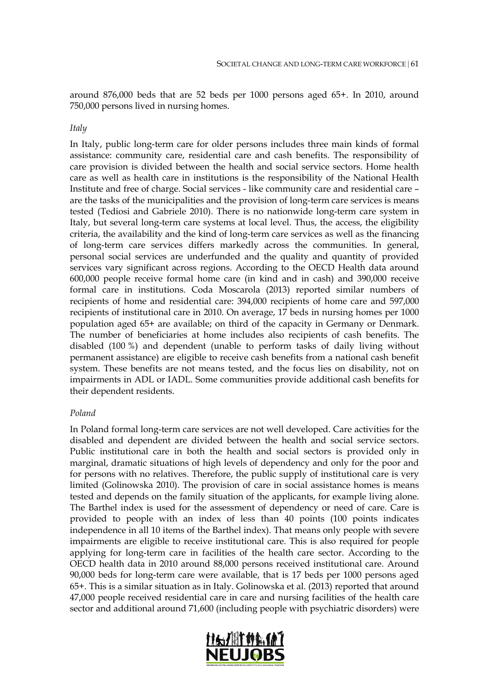around 876,000 beds that are 52 beds per 1000 persons aged 65+. In 2010, around 750,000 persons lived in nursing homes.

#### *Italy*

In Italy, public long-term care for older persons includes three main kinds of formal assistance: community care, residential care and cash benefits. The responsibility of care provision is divided between the health and social service sectors. Home health care as well as health care in institutions is the responsibility of the National Health Institute and free of charge. Social services - like community care and residential care – are the tasks of the municipalities and the provision of long-term care services is means tested (Tediosi and Gabriele 2010). There is no nationwide long-term care system in Italy, but several long-term care systems at local level. Thus, the access, the eligibility criteria, the availability and the kind of long-term care services as well as the financing of long-term care services differs markedly across the communities. In general, personal social services are underfunded and the quality and quantity of provided services vary significant across regions. According to the OECD Health data around 600,000 people receive formal home care (in kind and in cash) and 390,000 receive formal care in institutions. Coda Moscarola (2013) reported similar numbers of recipients of home and residential care: 394,000 recipients of home care and 597,000 recipients of institutional care in 2010. On average, 17 beds in nursing homes per 1000 population aged 65+ are available; on third of the capacity in Germany or Denmark. The number of beneficiaries at home includes also recipients of cash benefits. The disabled (100 %) and dependent (unable to perform tasks of daily living without permanent assistance) are eligible to receive cash benefits from a national cash benefit system. These benefits are not means tested, and the focus lies on disability, not on impairments in ADL or IADL. Some communities provide additional cash benefits for their dependent residents.

#### *Poland*

In Poland formal long-term care services are not well developed. Care activities for the disabled and dependent are divided between the health and social service sectors. Public institutional care in both the health and social sectors is provided only in marginal, dramatic situations of high levels of dependency and only for the poor and for persons with no relatives. Therefore, the public supply of institutional care is very limited (Golinowska 2010). The provision of care in social assistance homes is means tested and depends on the family situation of the applicants, for example living alone. The Barthel index is used for the assessment of dependency or need of care. Care is provided to people with an index of less than 40 points (100 points indicates independence in all 10 items of the Barthel index). That means only people with severe impairments are eligible to receive institutional care. This is also required for people applying for long-term care in facilities of the health care sector. According to the OECD health data in 2010 around 88,000 persons received institutional care. Around 90,000 beds for long-term care were available, that is 17 beds per 1000 persons aged 65+. This is a similar situation as in Italy. Golinowska et al. (2013) reported that around 47,000 people received residential care in care and nursing facilities of the health care sector and additional around 71,600 (including people with psychiatric disorders) were

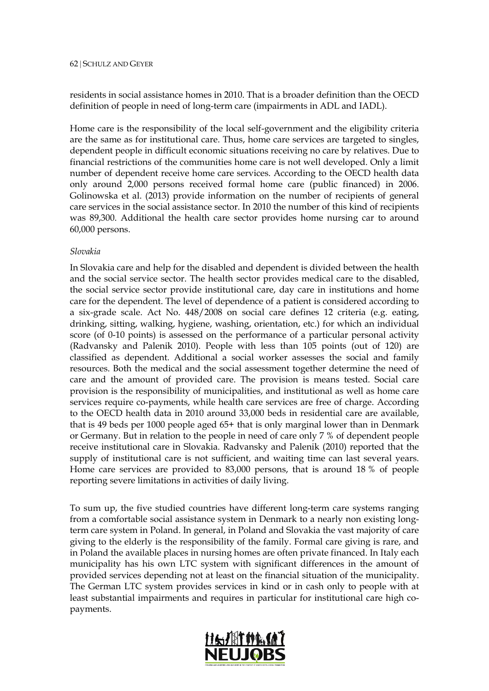residents in social assistance homes in 2010. That is a broader definition than the OECD definition of people in need of long-term care (impairments in ADL and IADL).

Home care is the responsibility of the local self-government and the eligibility criteria are the same as for institutional care. Thus, home care services are targeted to singles, dependent people in difficult economic situations receiving no care by relatives. Due to financial restrictions of the communities home care is not well developed. Only a limit number of dependent receive home care services. According to the OECD health data only around 2,000 persons received formal home care (public financed) in 2006. Golinowska et al. (2013) provide information on the number of recipients of general care services in the social assistance sector. In 2010 the number of this kind of recipients was 89,300. Additional the health care sector provides home nursing car to around 60,000 persons.

#### *Slovakia*

In Slovakia care and help for the disabled and dependent is divided between the health and the social service sector. The health sector provides medical care to the disabled, the social service sector provide institutional care, day care in institutions and home care for the dependent. The level of dependence of a patient is considered according to a six-grade scale. Act No. 448/2008 on social care defines 12 criteria (e.g. eating, drinking, sitting, walking, hygiene, washing, orientation, etc.) for which an individual score (of 0-10 points) is assessed on the performance of a particular personal activity (Radvansky and Palenik 2010). People with less than 105 points (out of 120) are classified as dependent. Additional a social worker assesses the social and family resources. Both the medical and the social assessment together determine the need of care and the amount of provided care. The provision is means tested. Social care provision is the responsibility of municipalities, and institutional as well as home care services require co-payments, while health care services are free of charge. According to the OECD health data in 2010 around 33,000 beds in residential care are available, that is 49 beds per 1000 people aged 65+ that is only marginal lower than in Denmark or Germany. But in relation to the people in need of care only 7 % of dependent people receive institutional care in Slovakia. Radvansky and Palenik (2010) reported that the supply of institutional care is not sufficient, and waiting time can last several years. Home care services are provided to 83,000 persons, that is around 18 % of people reporting severe limitations in activities of daily living.

To sum up, the five studied countries have different long-term care systems ranging from a comfortable social assistance system in Denmark to a nearly non existing longterm care system in Poland. In general, in Poland and Slovakia the vast majority of care giving to the elderly is the responsibility of the family. Formal care giving is rare, and in Poland the available places in nursing homes are often private financed. In Italy each municipality has his own LTC system with significant differences in the amount of provided services depending not at least on the financial situation of the municipality. The German LTC system provides services in kind or in cash only to people with at least substantial impairments and requires in particular for institutional care high copayments.

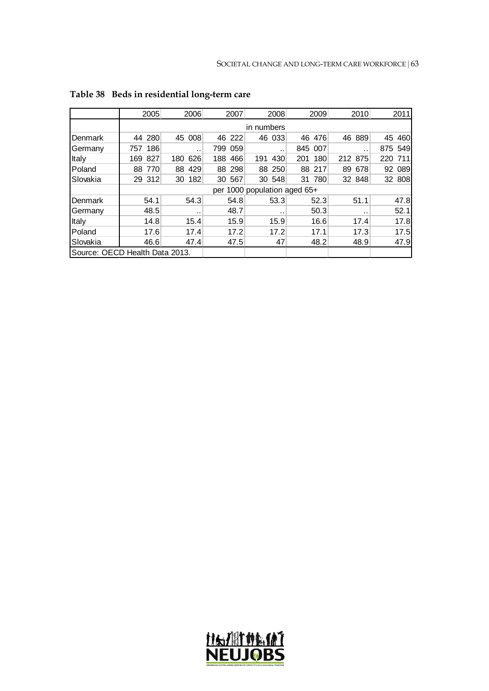|                                | 2005       | 2006      | 2007    | 2008                         | 2009       | 2010      | 2011      |  |  |  |
|--------------------------------|------------|-----------|---------|------------------------------|------------|-----------|-----------|--|--|--|
|                                |            |           |         | in numbers                   |            |           |           |  |  |  |
| Denmark                        | 280<br>44  | 45 008    | 46 222  | 46 033                       | 46<br>476  | 889<br>46 | 460<br>45 |  |  |  |
| Germany                        | 186<br>757 | . .       | 799 059 | . .                          | 845 007    | . .       | 875 549   |  |  |  |
| Italy                          | 827<br>169 | 180 626   | 188 466 | 430<br>191                   | 180<br>201 | 212 875   | 220 711   |  |  |  |
| Poland                         | 88 770     | 88 429    | 88 298  | 88 250                       | 88 217     | 89 678    | 92 089    |  |  |  |
| Slovakia                       | 29 312     | 30 182    | 30 567  | 30 548                       | 31 780     | 32 848    | 32 808    |  |  |  |
|                                |            |           |         | per 1000 population aged 65+ |            |           |           |  |  |  |
| Denmark                        | 54.1       | 54.3      | 54.8    | 53.3                         | 52.3       | 51.1      | 47.8      |  |  |  |
| Germany                        | 48.5       | $\cdot$ . | 48.7    |                              | 50.3       | . .       | 52.1      |  |  |  |
| Italy                          | 14.8       | 15.4      | 15.9    | 15.9                         | 16.6       | 17.4      | 17.8      |  |  |  |
| Poland                         | 17.6       | 17.4      | 17.2    | 17.2                         | 17.1       | 17.3      | 17.5      |  |  |  |
| Slovakia                       | 46.6       | 47.4      | 47.5    | 47                           | 48.2       | 48.9      | 47.9      |  |  |  |
| Source: OECD Health Data 2013. |            |           |         |                              |            |           |           |  |  |  |

# **Table 38 Beds in residential long-term care**

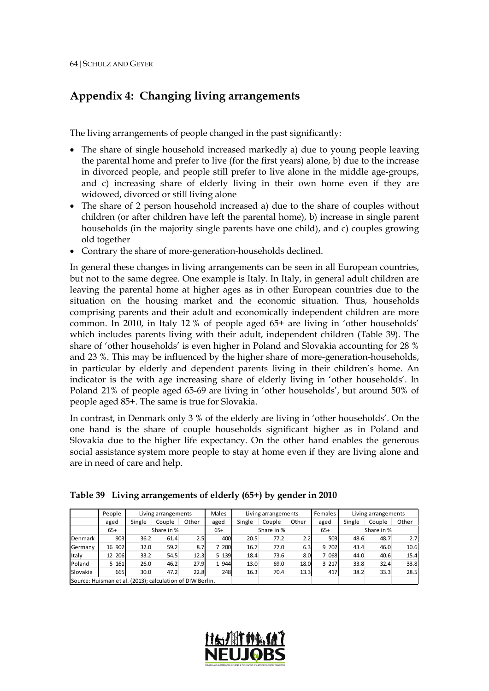# **Appendix 4: Changing living arrangements**

The living arrangements of people changed in the past significantly:

- The share of single household increased markedly a) due to young people leaving the parental home and prefer to live (for the first years) alone, b) due to the increase in divorced people, and people still prefer to live alone in the middle age-groups, and c) increasing share of elderly living in their own home even if they are widowed, divorced or still living alone
- The share of 2 person household increased a) due to the share of couples without children (or after children have left the parental home), b) increase in single parent households (in the majority single parents have one child), and c) couples growing old together
- Contrary the share of more-generation-households declined.

In general these changes in living arrangements can be seen in all European countries, but not to the same degree. One example is Italy. In Italy, in general adult children are leaving the parental home at higher ages as in other European countries due to the situation on the housing market and the economic situation. Thus, households comprising parents and their adult and economically independent children are more common. In 2010, in Italy 12 % of people aged 65+ are living in 'other households' which includes parents living with their adult, independent children (Table 39). The share of 'other households' is even higher in Poland and Slovakia accounting for 28 % and 23 %. This may be influenced by the higher share of more-generation-households, in particular by elderly and dependent parents living in their children's home. An indicator is the with age increasing share of elderly living in 'other households'. In Poland 21% of people aged 65-69 are living in 'other households', but around 50% of people aged 85+. The same is true for Slovakia.

In contrast, in Denmark only 3 % of the elderly are living in 'other households'. On the one hand is the share of couple households significant higher as in Poland and Slovakia due to the higher life expectancy. On the other hand enables the generous social assistance system more people to stay at home even if they are living alone and are in need of care and help.

|                                                           | People |        | Living arrangements |       |       |            | Living arrangements |       | Females    |        | Living arrangements |                  |
|-----------------------------------------------------------|--------|--------|---------------------|-------|-------|------------|---------------------|-------|------------|--------|---------------------|------------------|
|                                                           | aged   | Single | Couple              | Other | aged  | Single     | Couple              | Other | aged       | Single | Couple              | Other            |
|                                                           | $65+$  |        | Share in %          |       |       | Share in % |                     | $65+$ | Share in % |        |                     |                  |
| Denmark                                                   | 903    | 36.2   | 61.4                | 2.5   | 400   | 20.5       | 77.2                | 2.2   | 503        | 48.6   | 48.7                | 2.7 <sub>l</sub> |
| Germany                                                   | 16 902 | 32.0   | 59.2                | 8.7   | 200   | 16.7       | 77.0                | 6.3   | 9 702      | 43.4   | 46.0                | 10.6             |
| ltaly                                                     | 12 206 | 33.2   | 54.5                | 12.3  | 5 139 | 18.4       | 73.6                | 8.0   | 068        | 44.0   | 40.6                | 15.4             |
| Poland                                                    | 5 161  | 26.0   | 46.2                | 27.9  | 1 944 | 13.0       | 69.0                | 18.0  | 3 2 1 7    | 33.8   | 32.4                | 33.8             |
| Slovakia                                                  | 665    | 30.0   | 47.2                | 22.8  | 248   | 16.3       | 70.4                | 13.3  | 417        | 38.2   | 33.3                | 28.5             |
| Source: Huisman et al. (2013); calculation of DIW Berlin. |        |        |                     |       |       |            |                     |       |            |        |                     |                  |

**Table 39 Living arrangements of elderly (65+) by gender in 2010**

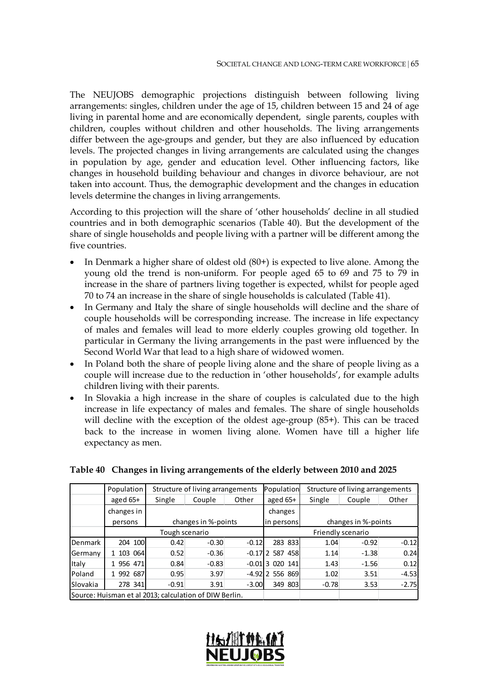The NEUJOBS demographic projections distinguish between following living arrangements: singles, children under the age of 15, children between 15 and 24 of age living in parental home and are economically dependent, single parents, couples with children, couples without children and other households. The living arrangements differ between the age-groups and gender, but they are also influenced by education levels. The projected changes in living arrangements are calculated using the changes in population by age, gender and education level. Other influencing factors, like changes in household building behaviour and changes in divorce behaviour, are not taken into account. Thus, the demographic development and the changes in education levels determine the changes in living arrangements.

According to this projection will the share of 'other households' decline in all studied countries and in both demographic scenarios (Table 40). But the development of the share of single households and people living with a partner will be different among the five countries.

- In Denmark a higher share of oldest old (80+) is expected to live alone. Among the young old the trend is non-uniform. For people aged 65 to 69 and 75 to 79 in increase in the share of partners living together is expected, whilst for people aged 70 to 74 an increase in the share of single households is calculated (Table 41).
- In Germany and Italy the share of single households will decline and the share of couple households will be corresponding increase. The increase in life expectancy of males and females will lead to more elderly couples growing old together. In particular in Germany the living arrangements in the past were influenced by the Second World War that lead to a high share of widowed women.
- In Poland both the share of people living alone and the share of people living as a couple will increase due to the reduction in 'other households', for example adults children living with their parents.
- In Slovakia a high increase in the share of couples is calculated due to the high increase in life expectancy of males and females. The share of single households will decline with the exception of the oldest age-group (85+). This can be traced back to the increase in women living alone. Women have till a higher life expectancy as men.

|                  | Population                                             |                | Structure of living arrangements |         | Population          |         | Structure of living arrangements |                                               |  |  |
|------------------|--------------------------------------------------------|----------------|----------------------------------|---------|---------------------|---------|----------------------------------|-----------------------------------------------|--|--|
|                  | aged $65+$                                             | Single         | Couple                           | Other   | aged $65+$          | Single  | Couple                           | Other                                         |  |  |
|                  | changes in                                             |                |                                  |         | changes             |         |                                  |                                               |  |  |
|                  | persons                                                |                | changes in %-points              |         | in persons          |         | changes in %-points              | $-0.12$<br>0.24<br>0.12<br>$-4.53$<br>$-2.75$ |  |  |
|                  |                                                        | Tough scenario |                                  |         |                     |         | Friendly scenario                |                                               |  |  |
| <b>I</b> Denmark | 204 100                                                | 0.42           | $-0.30$                          | $-0.12$ | 283 833             | 1.04    | $-0.92$                          |                                               |  |  |
| Germany          | 103 064                                                | 0.52           | $-0.36$                          |         | $-0.17$   2 587 458 | 1.14    | $-1.38$                          |                                               |  |  |
| Italy            | 1 956 471                                              | 0.84           | $-0.83$                          |         | -0.01 3 020 141     | 1.43    | $-1.56$                          |                                               |  |  |
| <b>Poland</b>    | 992 687                                                | 0.95           | 3.97                             |         | -4.92 556 869       | 1.02    | 3.51                             |                                               |  |  |
| <b>Slovakia</b>  | 278 341                                                | $-0.91$        | 3.91                             | $-3.00$ | 349 803             | $-0.78$ | 3.53                             |                                               |  |  |
|                  | Source: Huisman et al 2013; calculation of DIW Berlin. |                |                                  |         |                     |         |                                  |                                               |  |  |

#### **Table 40 Changes in living arrangements of the elderly between 2010 and 2025**

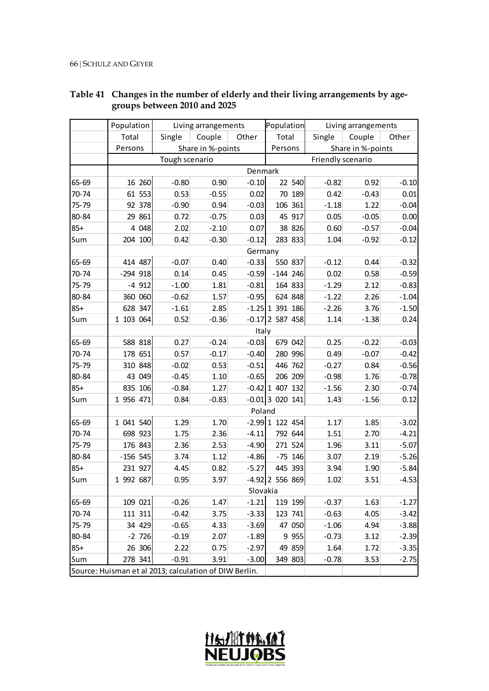|       | Population                                             |                | Living arrangements |          | Population        |  |                   | Living arrangements |         |
|-------|--------------------------------------------------------|----------------|---------------------|----------|-------------------|--|-------------------|---------------------|---------|
|       | Total                                                  | Single         | Couple              | Other    | Total             |  | Single            | Couple              | Other   |
|       | Persons                                                |                | Share in %-points   |          | Persons           |  |                   | Share in %-points   |         |
|       |                                                        | Tough scenario |                     |          |                   |  | Friendly scenario |                     |         |
|       |                                                        |                |                     | Denmark  |                   |  |                   |                     |         |
| 65-69 | 16 260                                                 | $-0.80$        | 0.90                | $-0.10$  | 22 540            |  | $-0.82$           | 0.92                | $-0.10$ |
| 70-74 | 61 553                                                 | 0.53           | $-0.55$             | 0.02     | 70 189            |  | 0.42              | $-0.43$             | 0.01    |
| 75-79 | 92 378                                                 | $-0.90$        | 0.94                | $-0.03$  | 106 361           |  | $-1.18$           | 1.22                | $-0.04$ |
| 80-84 | 29 861                                                 | 0.72           | $-0.75$             | 0.03     | 45 917            |  | 0.05              | $-0.05$             | 0.00    |
| $85+$ | 4 0 48                                                 | 2.02           | $-2.10$             | 0.07     | 38 826            |  | 0.60              | $-0.57$             | $-0.04$ |
| Sum   | 204 100                                                | 0.42           | $-0.30$             | $-0.12$  | 283 833           |  | 1.04              | $-0.92$             | $-0.12$ |
|       |                                                        |                |                     | Germany  |                   |  |                   |                     |         |
| 65-69 | 414 487                                                | $-0.07$        | 0.40                | $-0.33$  | 550 837           |  | $-0.12$           | 0.44                | $-0.32$ |
| 70-74 | -294 918                                               | 0.14           | 0.45                | $-0.59$  | $-144$ 246        |  | 0.02              | 0.58                | $-0.59$ |
| 75-79 | $-4912$                                                | $-1.00$        | 1.81                | $-0.81$  | 164 833           |  | $-1.29$           | 2.12                | $-0.83$ |
| 80-84 | 360 060                                                | $-0.62$        | 1.57                | $-0.95$  | 624 848           |  | $-1.22$           | 2.26                | $-1.04$ |
| $85+$ | 628 347                                                | $-1.61$        | 2.85                |          | $-1.25$ 1 391 186 |  | $-2.26$           | 3.76                | $-1.50$ |
| Sum   | 1 103 064                                              | 0.52           | $-0.36$             |          | $-0.17$ 2 587 458 |  | 1.14              | $-1.38$             | 0.24    |
|       | Italy                                                  |                |                     |          |                   |  |                   |                     |         |
| 65-69 | 588 818                                                | 0.27           | $-0.24$             | $-0.03$  | 679 042           |  | 0.25              | $-0.22$             | $-0.03$ |
| 70-74 | 178 651                                                | 0.57           | $-0.17$             | $-0.40$  | 280 996           |  | 0.49              | $-0.07$             | $-0.42$ |
| 75-79 | 310 848                                                | $-0.02$        | 0.53                | $-0.51$  | 446 762           |  | $-0.27$           | 0.84                | $-0.56$ |
| 80-84 | 43 049                                                 | $-0.45$        | 1.10                | $-0.65$  | 206 209           |  | $-0.98$           | 1.76                | $-0.78$ |
| $85+$ | 835 106                                                | $-0.84$        | 1.27                |          | $-0.42$ 1 407 132 |  | $-1.56$           | 2.30                | $-0.74$ |
| Sum   | 1 956 471                                              | 0.84           | $-0.83$             |          | $-0.01$ 3 020 141 |  | 1.43              | $-1.56$             | 0.12    |
|       |                                                        |                |                     | Poland   |                   |  |                   |                     |         |
| 65-69 | 1 041 540                                              | 1.29           | 1.70                |          | $-2.99$ 1 122 454 |  | 1.17              | 1.85                | $-3.02$ |
| 70-74 | 698 923                                                | 1.75           | 2.36                | $-4.11$  | 792 644           |  | 1.51              | 2.70                | $-4.21$ |
| 75-79 | 176 843                                                | 2.36           | 2.53                | $-4.90$  | 271 524           |  | 1.96              | 3.11                | $-5.07$ |
| 80-84 | $-156$ 545                                             | 3.74           | 1.12                | $-4.86$  | $-75$ 146         |  | 3.07              | 2.19                | $-5.26$ |
| $85+$ | 231 927                                                | 4.45           | 0.82                | $-5.27$  | 445 393           |  | 3.94              | 1.90                | $-5.84$ |
| Sum   | 1 992 687                                              | 0.95           | 3.97                |          | $-4.92$ 2 556 869 |  | 1.02              | 3.51                | $-4.53$ |
|       |                                                        |                |                     | Slovakia |                   |  |                   |                     |         |
| 65-69 | 109 021                                                | $-0.26$        | 1.47                | $-1.21$  | 119 199           |  | $-0.37$           | 1.63                | $-1.27$ |
| 70-74 | 111 311                                                | $-0.42$        | 3.75                | $-3.33$  | 123 741           |  | $-0.63$           | 4.05                | $-3.42$ |
| 75-79 | 34 429                                                 | $-0.65$        | 4.33                | $-3.69$  | 47 050            |  | $-1.06$           | 4.94                | $-3.88$ |
| 80-84 | $-2$ 726                                               | $-0.19$        | 2.07                | $-1.89$  | 9 9 5 5           |  | $-0.73$           | 3.12                | $-2.39$ |
| $85+$ | 26 306                                                 | 2.22           | 0.75                | $-2.97$  | 49 859            |  | 1.64              | 1.72                | $-3.35$ |
| Sum   | 278 341                                                | $-0.91$        | 3.91                | $-3.00$  | 349 803           |  | $-0.78$           | 3.53                | $-2.75$ |
|       | Source: Huisman et al 2013; calculation of DIW Berlin. |                |                     |          |                   |  |                   |                     |         |

### **Table 41 Changes in the number of elderly and their living arrangements by agegroups between 2010 and 2025**

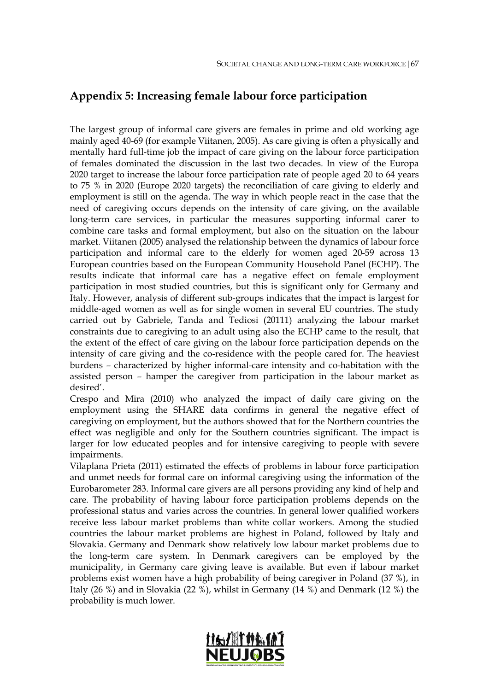# **Appendix 5: Increasing female labour force participation**

The largest group of informal care givers are females in prime and old working age mainly aged 40-69 (for example Viitanen, 2005). As care giving is often a physically and mentally hard full-time job the impact of care giving on the labour force participation of females dominated the discussion in the last two decades. In view of the Europa 2020 target to increase the labour force participation rate of people aged 20 to 64 years to 75 % in 2020 (Europe 2020 targets) the reconciliation of care giving to elderly and employment is still on the agenda. The way in which people react in the case that the need of caregiving occurs depends on the intensity of care giving, on the available long-term care services, in particular the measures supporting informal carer to combine care tasks and formal employment, but also on the situation on the labour market. Viitanen (2005) analysed the relationship between the dynamics of labour force participation and informal care to the elderly for women aged 20-59 across 13 European countries based on the European Community Household Panel (ECHP). The results indicate that informal care has a negative effect on female employment participation in most studied countries, but this is significant only for Germany and Italy. However, analysis of different sub-groups indicates that the impact is largest for middle-aged women as well as for single women in several EU countries. The study carried out by Gabriele, Tanda and Tediosi (20111) analyzing the labour market constraints due to caregiving to an adult using also the ECHP came to the result, that the extent of the effect of care giving on the labour force participation depends on the intensity of care giving and the co-residence with the people cared for. The heaviest burdens – characterized by higher informal-care intensity and co-habitation with the assisted person – hamper the caregiver from participation in the labour market as desired'.

Crespo and Mira (2010) who analyzed the impact of daily care giving on the employment using the SHARE data confirms in general the negative effect of caregiving on employment, but the authors showed that for the Northern countries the effect was negligible and only for the Southern countries significant. The impact is larger for low educated peoples and for intensive caregiving to people with severe impairments.

Vilaplana Prieta (2011) estimated the effects of problems in labour force participation and unmet needs for formal care on informal caregiving using the information of the Eurobarometer 283. Informal care givers are all persons providing any kind of help and care. The probability of having labour force participation problems depends on the professional status and varies across the countries. In general lower qualified workers receive less labour market problems than white collar workers. Among the studied countries the labour market problems are highest in Poland, followed by Italy and Slovakia. Germany and Denmark show relatively low labour market problems due to the long-term care system. In Denmark caregivers can be employed by the municipality, in Germany care giving leave is available. But even if labour market problems exist women have a high probability of being caregiver in Poland (37 %), in Italy (26 %) and in Slovakia (22 %), whilst in Germany (14 %) and Denmark (12 %) the probability is much lower.

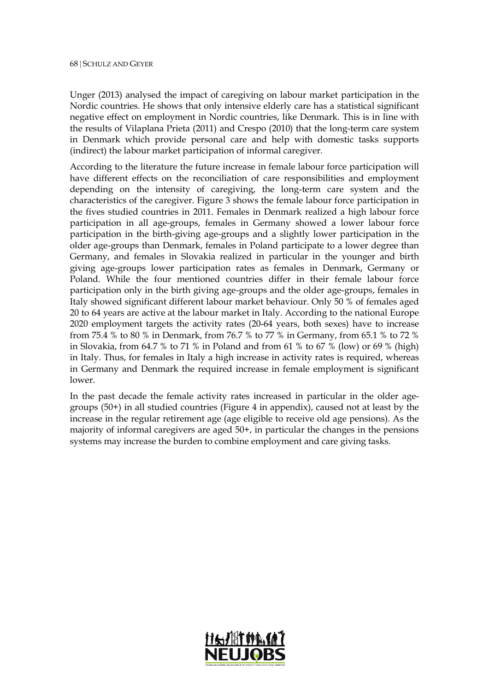Unger (2013) analysed the impact of caregiving on labour market participation in the Nordic countries. He shows that only intensive elderly care has a statistical significant negative effect on employment in Nordic countries, like Denmark. This is in line with the results of Vilaplana Prieta (2011) and Crespo (2010) that the long-term care system in Denmark which provide personal care and help with domestic tasks supports (indirect) the labour market participation of informal caregiver.

According to the literature the future increase in female labour force participation will have different effects on the reconciliation of care responsibilities and employment depending on the intensity of caregiving, the long-term care system and the characteristics of the caregiver. [Figure 3](#page-68-0) shows the female labour force participation in the fives studied countries in 2011. Females in Denmark realized a high labour force participation in all age-groups, females in Germany showed a lower labour force participation in the birth-giving age-groups and a slightly lower participation in the older age-groups than Denmark, females in Poland participate to a lower degree than Germany, and females in Slovakia realized in particular in the younger and birth giving age-groups lower participation rates as females in Denmark, Germany or Poland. While the four mentioned countries differ in their female labour force participation only in the birth giving age-groups and the older age-groups, females in Italy showed significant different labour market behaviour. Only 50 % of females aged 20 to 64 years are active at the labour market in Italy. According to the national Europe 2020 employment targets the activity rates (20-64 years, both sexes) have to increase from 75.4 % to 80 % in Denmark, from 76.7 % to 77 % in Germany, from 65.1 % to 72 % in Slovakia, from 64.7 % to 71 % in Poland and from 61 % to 67 % (low) or 69 % (high) in Italy. Thus, for females in Italy a high increase in activity rates is required, whereas in Germany and Denmark the required increase in female employment is significant lower.

In the past decade the female activity rates increased in particular in the older agegroups (50+) in all studied countries (Figure 4 in appendix), caused not at least by the increase in the regular retirement age (age eligible to receive old age pensions). As the majority of informal caregivers are aged 50+, in particular the changes in the pensions systems may increase the burden to combine employment and care giving tasks.

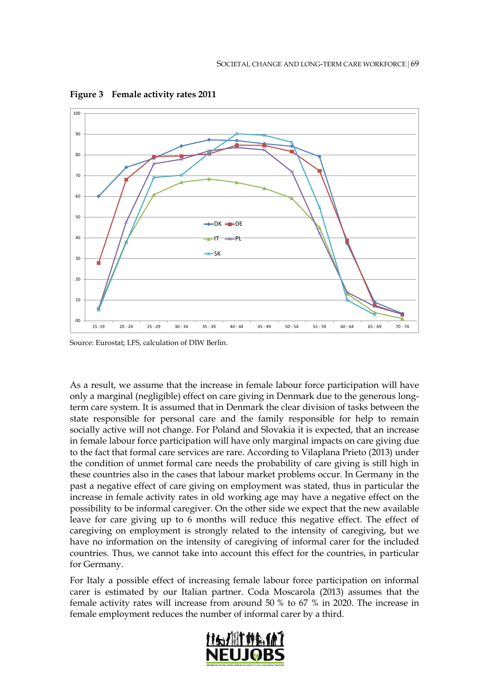

<span id="page-68-0"></span>**Figure 3 Female activity rates 2011**

Source: Eurostat; LFS, calculation of DIW Berlin.

As a result, we assume that the increase in female labour force participation will have only a marginal (negligible) effect on care giving in Denmark due to the generous longterm care system. It is assumed that in Denmark the clear division of tasks between the state responsible for personal care and the family responsible for help to remain socially active will not change. For Poland and Slovakia it is expected, that an increase in female labour force participation will have only marginal impacts on care giving due to the fact that formal care services are rare. According to Vilaplana Prieto (2013) under the condition of unmet formal care needs the probability of care giving is still high in these countries also in the cases that labour market problems occur. In Germany in the past a negative effect of care giving on employment was stated, thus in particular the increase in female activity rates in old working age may have a negative effect on the possibility to be informal caregiver. On the other side we expect that the new available leave for care giving up to 6 months will reduce this negative effect. The effect of caregiving on employment is strongly related to the intensity of caregiving, but we have no information on the intensity of caregiving of informal carer for the included countries. Thus, we cannot take into account this effect for the countries, in particular for Germany.

For Italy a possible effect of increasing female labour force participation on informal carer is estimated by our Italian partner. Coda Moscarola (2013) assumes that the female activity rates will increase from around 50 % to 67 % in 2020. The increase in female employment reduces the number of informal carer by a third.

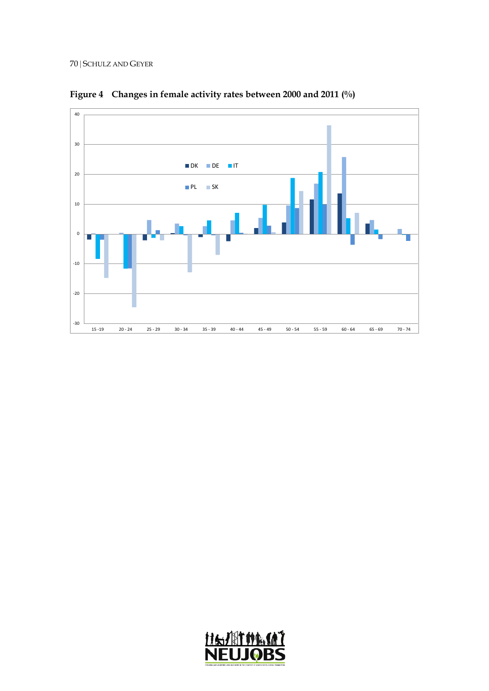

**Figure 4 Changes in female activity rates between 2000 and 2011 (%)**

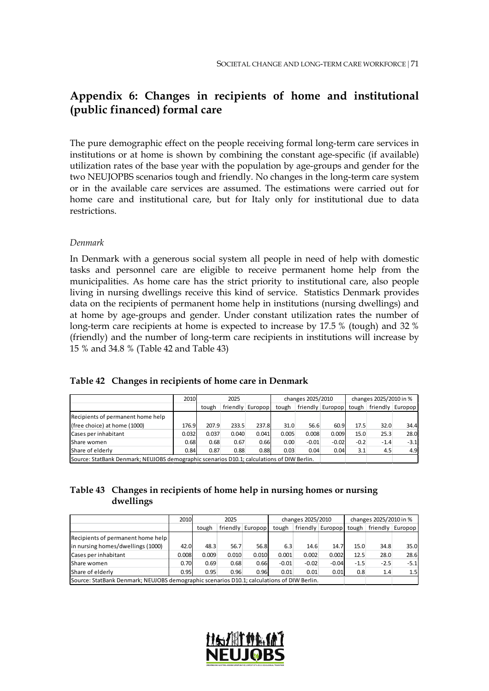# **Appendix 6: Changes in recipients of home and institutional (public financed) formal care**

The pure demographic effect on the people receiving formal long-term care services in institutions or at home is shown by combining the constant age-specific (if available) utilization rates of the base year with the population by age-groups and gender for the two NEUJOPBS scenarios tough and friendly. No changes in the long-term care system or in the available care services are assumed. The estimations were carried out for home care and institutional care, but for Italy only for institutional due to data restrictions.

#### *Denmark*

In Denmark with a generous social system all people in need of help with domestic tasks and personnel care are eligible to receive permanent home help from the municipalities. As home care has the strict priority to institutional care, also people living in nursing dwellings receive this kind of service. Statistics Denmark provides data on the recipients of permanent home help in institutions (nursing dwellings) and at home by age-groups and gender. Under constant utilization rates the number of long-term care recipients at home is expected to increase by 17.5 % (tough) and 32 % (friendly) and the number of long-term care recipients in institutions will increase by 15 % and 34.8 % (Table 42 and Table 43)

|  | Table 42 Changes in recipients of home care in Denmark |  |  |  |  |
|--|--------------------------------------------------------|--|--|--|--|
|--|--------------------------------------------------------|--|--|--|--|

|                                                                                            | 2010  | 2025  |          |         | changes 2025/2010 |         |                  | changes 2025/2010 in % |        |                            |
|--------------------------------------------------------------------------------------------|-------|-------|----------|---------|-------------------|---------|------------------|------------------------|--------|----------------------------|
|                                                                                            |       | tough | friendly | Europop | tough             |         | friendly Europop |                        |        | tough   friendly   Europop |
| Recipients of permanent home help                                                          |       |       |          |         |                   |         |                  |                        |        |                            |
| (free choice) at home (1000)                                                               | 176.9 | 207.9 | 233.5    | 237.8   | 31.0              | 56.6    | 60.9             | 17.5                   | 32.0   | 34.4                       |
| Cases per inhabitant                                                                       | 0.032 | 0.037 | 0.040    | 0.041   | 0.005             | 0.008   | 0.009            | 15.0                   | 25.3   | 28.0                       |
| Share women                                                                                | 0.68  | 0.68  | 0.67     | 0.66    | 0.00              | $-0.01$ | $-0.02$          | $-0.2$                 | $-1.4$ | $-3.1$                     |
| Share of elderly                                                                           | 0.84  | 0.87  | 0.88     | 0.88    | 0.03              | 0.04    | 0.04             | 3.1                    | 4.5    | 4.9                        |
| Source: StatBank Denmark; NEUJOBS demographic scenarios D10.1; calculations of DIW Berlin. |       |       |          |         |                   |         |                  |                        |        |                            |

### **Table 43 Changes in recipients of home help in nursing homes or nursing dwellings**

|                                                                                            | 2010  | 2025  |       |                  |         | changes 2025/2010 |                  | changes 2025/2010 in % |                  |        |
|--------------------------------------------------------------------------------------------|-------|-------|-------|------------------|---------|-------------------|------------------|------------------------|------------------|--------|
|                                                                                            |       | tough |       | friendly Europop | tough   |                   | friendly Europop | tough                  | friendly Europop |        |
| Recipients of permanent home help                                                          |       |       |       |                  |         |                   |                  |                        |                  |        |
| in nursing homes/dwellings (1000)                                                          | 42.0  | 48.3  | 56.7  | 56.8             | 6.3     | 14.6              | 14.7             | 15.0                   | 34.8             | 35.0   |
| Cases per inhabitant                                                                       | 0.008 | 0.009 | 0.010 | 0.010            | 0.001   | 0.002             | 0.002            | 12.5                   | 28.0             | 28.6   |
| Share women                                                                                | 0.70  | 0.69  | 0.68  | 0.66             | $-0.01$ | $-0.02$           | $-0.04$          | $-1.5$                 | $-2.5$           | $-5.1$ |
| Share of elderly                                                                           | 0.95  | 0.95  | 0.96  | 0.96             | 0.01    | 0.01              | 0.01             | 0.8                    | 1.4              | 1.5    |
| Source: StatBank Denmark; NEUJOBS demographic scenarios D10.1; calculations of DIW Berlin. |       |       |       |                  |         |                   |                  |                        |                  |        |

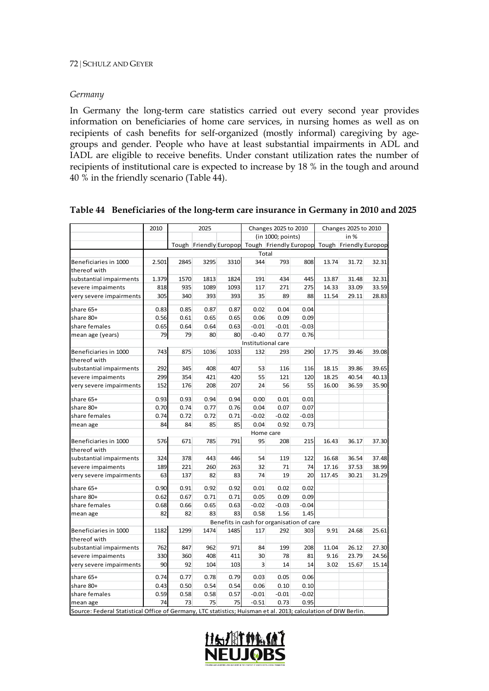#### *Germany*

In Germany the long-term care statistics carried out every second year provides information on beneficiaries of home care services, in nursing homes as well as on recipients of cash benefits for self-organized (mostly informal) caregiving by agegroups and gender. People who have at least substantial impairments in ADL and IADL are eligible to receive benefits. Under constant utilization rates the number of recipients of institutional care is expected to increase by 18 % in the tough and around 40 % in the friendly scenario (Table 44).

|                                                                                                                | 2010                                      |      | 2025 |      |         | Changes 2025 to 2010 |         | Changes 2025 to 2010 |                                                                      |       |
|----------------------------------------------------------------------------------------------------------------|-------------------------------------------|------|------|------|---------|----------------------|---------|----------------------|----------------------------------------------------------------------|-------|
|                                                                                                                |                                           |      |      |      |         | (in 1000; points)    |         | in %                 |                                                                      |       |
|                                                                                                                |                                           |      |      |      |         |                      |         |                      | Tough Friendly Europop Tough Friendly Europop Tough Friendly Europop |       |
|                                                                                                                |                                           |      |      |      |         | Total                |         |                      |                                                                      |       |
| Beneficiaries in 1000                                                                                          | 2.501                                     | 2845 | 3295 | 3310 | 344     | 793                  | 808     | 13.74                | 31.72                                                                | 32.31 |
| thereof with                                                                                                   |                                           |      |      |      |         |                      |         |                      |                                                                      |       |
| substantial impairments                                                                                        | 1.379                                     | 1570 | 1813 | 1824 | 191     | 434                  | 445     | 13.87                | 31.48                                                                | 32.31 |
| severe impaiments                                                                                              | 818                                       | 935  | 1089 | 1093 | 117     | 271                  | 275     | 14.33                | 33.09                                                                | 33.59 |
| very severe impairments                                                                                        | 305                                       | 340  | 393  | 393  | 35      | 89                   | 88      | 11.54                | 29.11                                                                | 28.83 |
| share 65+                                                                                                      | 0.83                                      | 0.85 | 0.87 | 0.87 | 0.02    | 0.04                 | 0.04    |                      |                                                                      |       |
| share 80+                                                                                                      | 0.56                                      | 0.61 | 0.65 | 0.65 | 0.06    | 0.09                 | 0.09    |                      |                                                                      |       |
| share females                                                                                                  | 0.65                                      | 0.64 | 0.64 | 0.63 | $-0.01$ | $-0.01$              | $-0.03$ |                      |                                                                      |       |
| mean age (years)                                                                                               | 79                                        | 79   | 80   | 80   | $-0.40$ | 0.77                 | 0.76    |                      |                                                                      |       |
|                                                                                                                | Institutional care                        |      |      |      |         |                      |         |                      |                                                                      |       |
| Beneficiaries in 1000                                                                                          | 743                                       | 875  | 1036 | 1033 | 132     | 293                  | 290     | 17.75                | 39.46                                                                | 39.08 |
| thereof with                                                                                                   |                                           |      |      |      |         |                      |         |                      |                                                                      |       |
| substantial impairments                                                                                        | 292                                       | 345  | 408  | 407  | 53      | 116                  | 116     | 18.15                | 39.86                                                                | 39.65 |
| severe impaiments                                                                                              | 299                                       | 354  | 421  | 420  | 55      | 121                  | 120     | 18.25                | 40.54                                                                | 40.13 |
| very severe impairments                                                                                        | 152                                       | 176  | 208  | 207  | 24      | 56                   | 55      | 16.00                | 36.59                                                                | 35.90 |
| share 65+                                                                                                      | 0.93                                      | 0.93 | 0.94 | 0.94 | 0.00    | 0.01                 | 0.01    |                      |                                                                      |       |
| share 80+                                                                                                      | 0.70                                      | 0.74 | 0.77 | 0.76 | 0.04    | 0.07                 | 0.07    |                      |                                                                      |       |
| share females                                                                                                  | 0.74                                      | 0.72 | 0.72 | 0.71 | $-0.02$ | $-0.02$              | $-0.03$ |                      |                                                                      |       |
| mean age                                                                                                       | 84                                        | 84   | 85   | 85   | 0.04    | 0.92                 | 0.73    |                      |                                                                      |       |
|                                                                                                                |                                           |      |      |      |         | Home care            |         |                      |                                                                      |       |
| Beneficiaries in 1000                                                                                          | 576                                       | 671  | 785  | 791  | 95      | 208                  | 215     | 16.43                | 36.17                                                                | 37.30 |
| thereof with                                                                                                   |                                           |      |      |      |         |                      |         |                      |                                                                      |       |
| substantial impairments                                                                                        | 324                                       | 378  | 443  | 446  | 54      | 119                  | 122     | 16.68                | 36.54                                                                | 37.48 |
| severe impaiments                                                                                              | 189                                       | 221  | 260  | 263  | 32      | 71                   | 74      | 17.16                | 37.53                                                                | 38.99 |
| very severe impairments                                                                                        | 63                                        | 137  | 82   | 83   | 74      | 19                   | 20      | 117.45               | 30.21                                                                | 31.29 |
| share 65+                                                                                                      | 0.90                                      | 0.91 | 0.92 | 0.92 | 0.01    | 0.02                 | 0.02    |                      |                                                                      |       |
| share 80+                                                                                                      | 0.62                                      | 0.67 | 0.71 | 0.71 | 0.05    | 0.09                 | 0.09    |                      |                                                                      |       |
| share females                                                                                                  | 0.68                                      | 0.66 | 0.65 | 0.63 | $-0.02$ | $-0.03$              | $-0.04$ |                      |                                                                      |       |
| mean age                                                                                                       | 82                                        | 82   | 83   | 83   | 0.58    | 1.56                 | 1.45    |                      |                                                                      |       |
|                                                                                                                | Benefits in cash for organisation of care |      |      |      |         |                      |         |                      |                                                                      |       |
| Beneficiaries in 1000                                                                                          | 1182                                      | 1299 | 1474 | 1485 | 117     | 292                  | 303     | 9.91                 | 24.68                                                                | 25.61 |
| thereof with                                                                                                   |                                           |      |      |      |         |                      |         |                      |                                                                      |       |
| substantial impairments                                                                                        | 762                                       | 847  | 962  | 971  | 84      | 199                  | 208     | 11.04                | 26.12                                                                | 27.30 |
| severe impaiments                                                                                              | 330                                       | 360  | 408  | 411  | 30      | 78                   | 81      | 9.16                 | 23.79                                                                | 24.56 |
| very severe impairments                                                                                        | 90                                        | 92   | 104  | 103  | 3       | 14                   | 14      | 3.02                 | 15.67                                                                | 15.14 |
| share 65+                                                                                                      | 0.74                                      | 0.77 | 0.78 | 0.79 | 0.03    | 0.05                 | 0.06    |                      |                                                                      |       |
| share 80+                                                                                                      | 0.43                                      | 0.50 | 0.54 | 0.54 | 0.06    | 0.10                 | 0.10    |                      |                                                                      |       |
| share females                                                                                                  | 0.59                                      | 0.58 | 0.58 | 0.57 | $-0.01$ | $-0.01$              | $-0.02$ |                      |                                                                      |       |
| mean age                                                                                                       | 74                                        | 73   | 75   | 75   | $-0.51$ | 0.73                 | 0.95    |                      |                                                                      |       |
| Source: Federal Statistical Office of Germany, LTC statistics; Huisman et al. 2013; calculation of DIW Berlin. |                                           |      |      |      |         |                      |         |                      |                                                                      |       |

#### **Table 44 Beneficiaries of the long-term care insurance in Germany in 2010 and 2025**

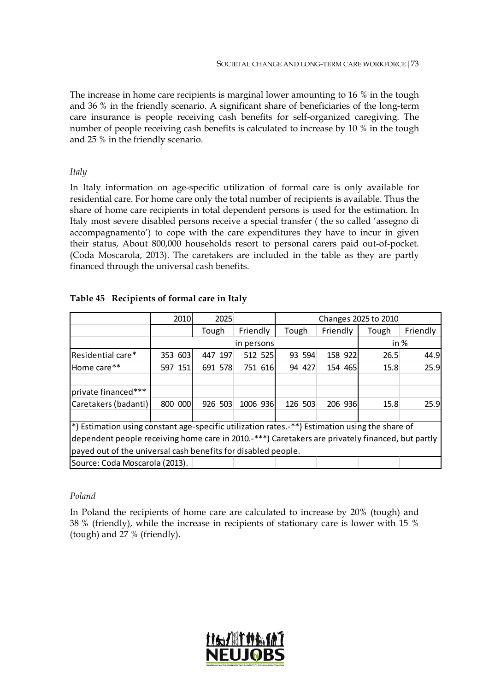The increase in home care recipients is marginal lower amounting to 16 % in the tough and 36 % in the friendly scenario. A significant share of beneficiaries of the long-term care insurance is people receiving cash benefits for self-organized caregiving. The number of people receiving cash benefits is calculated to increase by 10 % in the tough and 25 % in the friendly scenario.

### *Italy*

In Italy information on age-specific utilization of formal care is only available for residential care. For home care only the total number of recipients is available. Thus the share of home care recipients in total dependent persons is used for the estimation. In Italy most severe disabled persons receive a special transfer ( the so called 'assegno di accompagnamento') to cope with the care expenditures they have to incur in given their status, About 800,000 households resort to personal carers paid out-of-pocket. (Coda Moscarola, 2013). The caretakers are included in the table as they are partly financed through the universal cash benefits.

|                                                                                                  | 2010    | 2025    |          | Changes 2025 to 2010 |          |       |          |  |
|--------------------------------------------------------------------------------------------------|---------|---------|----------|----------------------|----------|-------|----------|--|
|                                                                                                  |         | Tough   | Friendly | Tough                | Friendly | Tough | Friendly |  |
|                                                                                                  |         |         | in %     |                      |          |       |          |  |
| Residential care*                                                                                | 353 603 | 447 197 | 512 525  | 93 594               | 158 922  | 26.5  | 44.9     |  |
| Home care**                                                                                      | 597 151 | 691 578 | 751 616  | 94 427               | 154 465  | 15.8  | 25.9     |  |
| private financed***                                                                              |         |         |          |                      |          |       |          |  |
| Caretakers (badanti)                                                                             | 800 000 | 926 503 | 1006 936 | 126 503              | 206 936  | 15.8  | 25.9     |  |
|                                                                                                  |         |         |          |                      |          |       |          |  |
| *) Estimation using constant age-specific utilization rates.-**) Estimation using the share of   |         |         |          |                      |          |       |          |  |
| dependent people receiving home care in 2010.-***) Caretakers are privately financed, but partly |         |         |          |                      |          |       |          |  |
| payed out of the universal cash benefits for disabled people.                                    |         |         |          |                      |          |       |          |  |
| Source: Coda Moscarola (2013).                                                                   |         |         |          |                      |          |       |          |  |

## **Table 45 Recipients of formal care in Italy**

## *Poland*

In Poland the recipients of home care are calculated to increase by 20% (tough) and 38 % (friendly), while the increase in recipients of stationary care is lower with 15 % (tough) and 27 % (friendly).

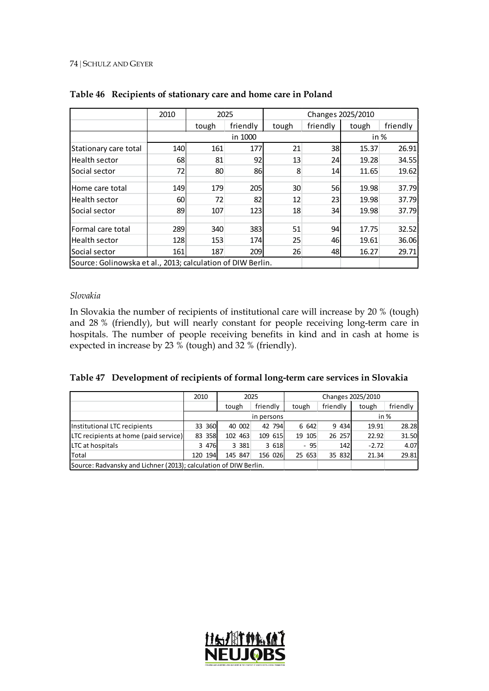#### 74 | SCHULZ AND GEYER

|                                                             | 2010    | 2025  |          | Changes 2025/2010 |           |       |          |
|-------------------------------------------------------------|---------|-------|----------|-------------------|-----------|-------|----------|
|                                                             |         | tough | friendly | tough             | friendly  | tough | friendly |
|                                                             | in 1000 |       |          |                   |           | in %  |          |
| Stationary care total                                       | 140     | 161   | 177      | 21                | 38        | 15.37 | 26.91    |
| <b>Health sector</b>                                        | 68      | 81    | 92       | 13                | 24        | 19.28 | 34.55    |
| Social sector                                               | 72      | 80    | 86       | 8                 | 14        | 11.65 | 19.62    |
| Home care total                                             | 149     | 179   | 205      | 30                | <b>56</b> | 19.98 | 37.79    |
| Health sector                                               | 60      | 72    | 82       | 12                | 23        | 19.98 | 37.79    |
| <b>Social sector</b>                                        | 89      | 107   | 123      | 18                | 34        | 19.98 | 37.79    |
| lFormal care total                                          | 289     | 340   | 383      | 51                | 94        | 17.75 | 32.52    |
| Health sector                                               | 128     | 153   | 174      | 25                | 46        | 19.61 | 36.06    |
| <b>Social sector</b>                                        | 161     | 187   | 209      | 26                | 48        | 16.27 | 29.71    |
| Source: Golinowska et al., 2013; calculation of DIW Berlin. |         |       |          |                   |           |       |          |

## **Table 46 Recipients of stationary care and home care in Poland**

## *Slovakia*

In Slovakia the number of recipients of institutional care will increase by 20 % (tough) and 28 % (friendly), but will nearly constant for people receiving long-term care in hospitals. The number of people receiving benefits in kind and in cash at home is expected in increase by 23 % (tough) and 32 % (friendly).

#### **Table 47 Development of recipients of formal long-term care services in Slovakia**

|                                                                  | 2010               | 2025    |          |        |          |         |          |
|------------------------------------------------------------------|--------------------|---------|----------|--------|----------|---------|----------|
|                                                                  |                    | tough   | friendly | tough  | friendly | tough   | friendly |
|                                                                  | in %<br>in persons |         |          |        |          |         |          |
| Institutional LTC recipients                                     | 33 360             | 40 002  | 42 794   | 6 642  | 9 4 3 4  | 19.91   | 28.28    |
| LTC recipients at home (paid service)                            | 83 358             | 102 463 | 109 615  | 19 105 | 26 257   | 22.92   | 31.50    |
| LTC at hospitals                                                 | 3 4 7 6            | 3 3 8 1 | 3 618    | $-95$  | 142      | $-2.72$ | 4.07     |
| Total                                                            | 120 194            | 145 847 | 156 026  | 25 653 | 35 832   | 21.34   | 29.81    |
| Source: Radvansky and Lichner (2013); calculation of DIW Berlin. |                    |         |          |        |          |         |          |